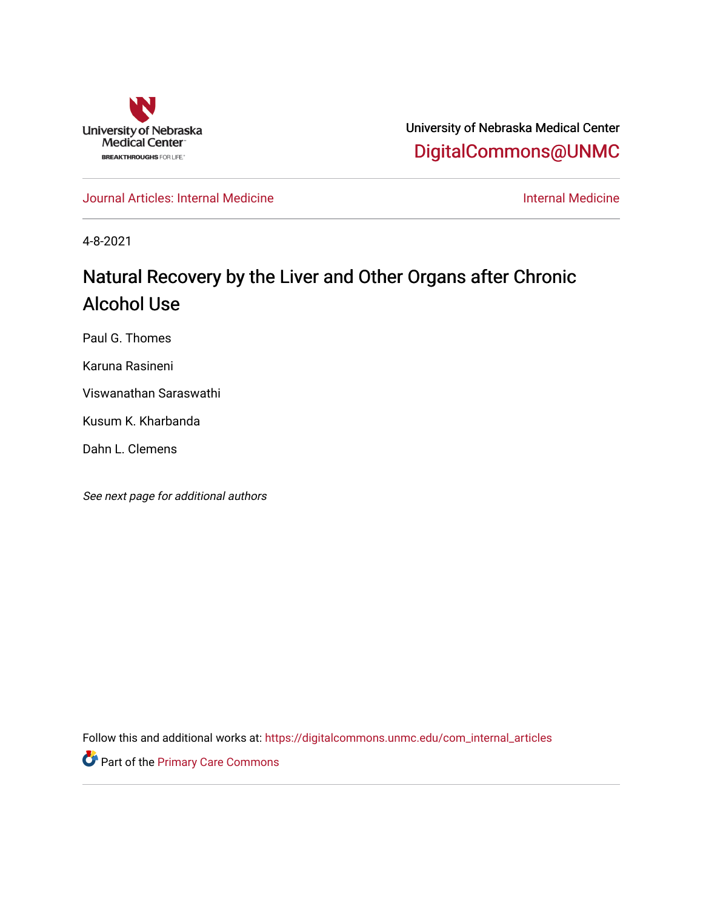

University of Nebraska Medical Center [DigitalCommons@UNMC](https://digitalcommons.unmc.edu/) 

[Journal Articles: Internal Medicine](https://digitalcommons.unmc.edu/com_internal_articles) [Internal Medicine](https://digitalcommons.unmc.edu/com_internal) 

4-8-2021

# Natural Recovery by the Liver and Other Organs after Chronic Alcohol Use

Paul G. Thomes

Karuna Rasineni

Viswanathan Saraswathi

Kusum K. Kharbanda

Dahn L. Clemens

See next page for additional authors

Follow this and additional works at: [https://digitalcommons.unmc.edu/com\\_internal\\_articles](https://digitalcommons.unmc.edu/com_internal_articles?utm_source=digitalcommons.unmc.edu%2Fcom_internal_articles%2F19&utm_medium=PDF&utm_campaign=PDFCoverPages)

Part of the [Primary Care Commons](http://network.bepress.com/hgg/discipline/1092?utm_source=digitalcommons.unmc.edu%2Fcom_internal_articles%2F19&utm_medium=PDF&utm_campaign=PDFCoverPages)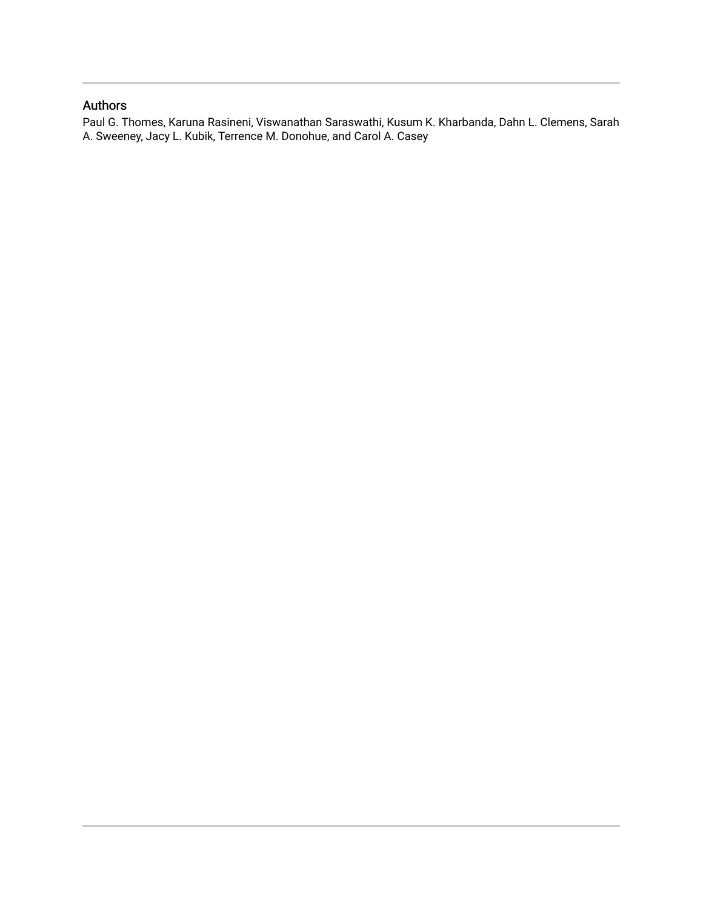#### Authors

Paul G. Thomes, Karuna Rasineni, Viswanathan Saraswathi, Kusum K. Kharbanda, Dahn L. Clemens, Sarah A. Sweeney, Jacy L. Kubik, Terrence M. Donohue, and Carol A. Casey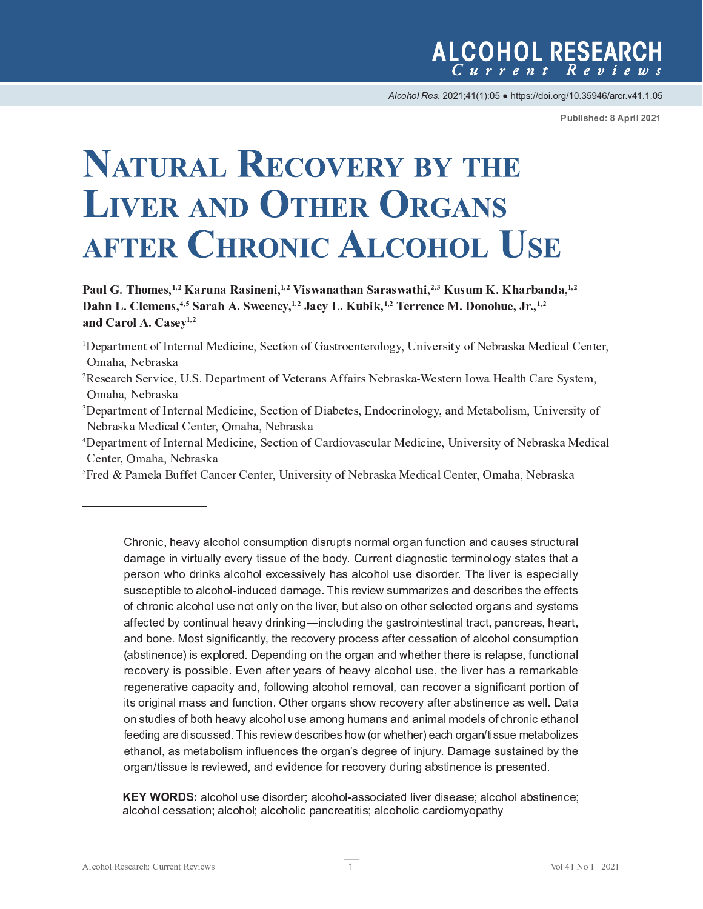Alcohol Res. 2021;41(1):05 · https://doi.org/10.35946/arcr.v41.1.05

Published: 8 April 2021

# **NATURAL RECOVERY BY THE LIVER AND OTHER ORGANS AFTER CHRONIC ALCOHOL USE**

 ${\bf Doul}$  C. Thomas  $1.2$  Kowyne Dosinoni  $1.2$  Viswanathan Sayeswathi  $2.3$  Kusym K. Khaybanda  $1.$  $\mathbf{Doh}$  **5**  $\mathbf{Glamens}$   $4.5$   $\mathbf{Sowch}$   $\mathbf{A}$   $\mathbf{Swannay}$   $1.2$   $\mathbf{Iow}$  **i**  $1.2$   $\mathbf{Tawana}$  **M**  $\mathbf{Danabus}$   $\mathbf{Iw}$  1. and  $C$  and  $A$   $C$  assault

- $\mathcal{L} = \mathcal{L} \times \mathcal{L} = \mathcal{L} \times \mathcal{L} = \mathcal{L} \times \mathcal{L} = \mathcal{L} \times \mathcal{L} = \mathcal{L} \times \mathcal{L} = \mathcal{L} \times \mathcal{L} = \mathcal{L} \times \mathcal{L} = \mathcal{L} \times \mathcal{L} = \mathcal{L} \times \mathcal{L} = \mathcal{L} \times \mathcal{L} = \mathcal{L} \times \mathcal{L} = \mathcal{L} \times \mathcal{L} = \mathcal{L} \times \mathcal{L} = \mathcal{L} \times \mathcal{L} = \mathcal$  $\sim$   $\sim$   $\sim$   $\sim$   $\sim$   $\sim$   $\sim$
- i <sup>B</sup> <sup>C</sup> <sup>D</sup> <sup>E</sup> <sup>F</sup> <sup>G</sup> <sup>H</sup> <sup>C</sup> <sup>I</sup> <sup>G</sup> <sup>J</sup> <sup>K</sup> <sup>L</sup> <sup>I</sup> <sup>G</sup> <sup>C</sup> <sup>F</sup> <sup>I</sup> <sup>E</sup> <sup>M</sup> <sup>N</sup> <sup>C</sup> <sup>O</sup> <sup>P</sup> <sup>Q</sup> <sup>P</sup> <sup>I</sup> <sup>C</sup> <sup>R</sup> <sup>S</sup> <sup>C</sup> <sup>Q</sup> <sup>G</sup> <sup>P</sup> <sup>J</sup> <sup>I</sup> <sup>J</sup> <sup>K</sup> <sup>B</sup> <sup>P</sup> <sup>E</sup> [ <sup>C</sup> <sup>G</sup> <sup>C</sup> <sup>U</sup> <sup>R</sup> <sup>j</sup> <sup>I</sup> <sup>O</sup> <sup>J</sup> <sup>Q</sup> <sup>F</sup> <sup>P</sup> <sup>I</sup> <sup>J</sup> <sup>M</sup> <sup>J</sup> <sup>V</sup> <sup>W</sup> <sup>R</sup> <sup>E</sup> <sup>I</sup> <sup>O</sup> <sup>N</sup> <sup>C</sup> <sup>G</sup> <sup>E</sup> [ <sup>J</sup> <sup>M</sup> <sup>P</sup> <sup>U</sup> <sup>H</sup> <sup>R</sup> <sup>X</sup> <sup>I</sup> <sup>P</sup> Y <sup>C</sup> <sup>F</sup> <sup>U</sup> <sup>P</sup> G <sup>W</sup> <sup>J</sup> <sup>K</sup>  $\mathbf{r} = \mathbf{r} - \mathbf{r} - \mathbf{r}$
- $\sim$   $\sim$   $\sim$   $\sim$   $\sim$   $\sim$   $\sim$   $\sim$
- $\mathbf{F}$  i a p  $\mathbf{F}$  a  $\mathbf{F}$   $\mathbf{F}$  and  $\mathbf{F}$  and  $\mathbf{F}$   $\mathbf{F}$  and  $\mathbf{F}$   $\mathbf{F}$  and  $\mathbf{F}$   $\mathbf{F}$  and  $\mathbf{F}$   $\mathbf{F}$   $\mathbf{F}$  and  $\mathbf{F}$   $\mathbf{F}$   $\mathbf{F}$   $\mathbf{F}$   $\mathbf{F}$   $\mathbf{F}$   $\mathbf{F}$

r s t u v w  $\alpha$  u v  $\alpha$  v  $\alpha$  v  $\alpha$  w u v  $\alpha$  w  $\alpha$  w  $\alpha$  w  $\alpha$  w u v  $\alpha$  w u v  $\alpha$  w u v  $\alpha$  w u v  $\alpha$  w u v  $\alpha$  w  $\alpha$  w  $\alpha$  w  $\alpha$  w  $\alpha$  w  $\alpha$  w  $\alpha$  w  $\alpha$  w  $\alpha$  w  $\alpha$  w  $\alpha$  w  $\alpha$  w  $\alpha$  w  $\alpha$  w ¡ ¢ £ ¤ ¥ ¡ ¦ § ¨ © £ ¨ <sup>ª</sup> © ¥ « ¨ <sup>¬</sup> £ § § ¨ © £ ¨ ¤ ¥ ¤ ® ¯ £ ¨ ¥ « ¥ © ¥ § ¨ ¨  ay sandaki a ka alaaki wa maana waa dagaan waa jiray waxee yaan ay ay ay ay ay ahaa dada wada ay ka aka ak  ${\bf x}$  , we will define the set with the set with  ${\bf x}$  and  ${\bf x}$  and  ${\bf x}$   ${\bf x}$  and  ${\bf x}$   ${\bf x}$   ${\bf x}$   ${\bf x}$   ${\bf x}$   ${\bf x}$   ${\bf x}$   ${\bf x}$   ${\bf x}$   ${\bf x}$   ${\bf x}$   ${\bf x}$   ${\bf x}$   ${\bf x}$   ${\bf x}$   ${\bf x}$   ${\bf x}$   ${\bf x}$   ${\bf x}$ and bone. Most significantly, the recovery process after cessation of alcohol consumption Ñ <sup>Ò</sup> <sup>Ó</sup> <sup>Ô</sup> <sup>Õ</sup> <sup>Ò</sup> <sup>Ñ</sup> <sup>Ö</sup> <sup>×</sup> <sup>Ø</sup> <sup>Ù</sup> <sup>Ô</sup> <sup>Ø</sup> <sup>Ø</sup> <sup>×</sup> <sup>Ú</sup> <sup>Û</sup> <sup>Ò</sup> <sup>Ü</sup> <sup>Ý</sup> <sup>Õ</sup> <sup>Ò</sup> <sup>Þ</sup> <sup>ß</sup> <sup>à</sup> <sup>á</sup> <sup>Ò</sup> <sup>Ñ</sup> <sup>Ö</sup> <sup>Ò</sup> <sup>ß</sup> <sup>Ñ</sup> <sup>Ø</sup> <sup>Ô</sup> <sup>à</sup> <sup>â</sup> <sup>Ò</sup> <sup>ß</sup> <sup>Õ</sup> <sup>Ö</sup> <sup>ß</sup> <sup>Û</sup> <sup>Ó</sup> <sup>Ô</sup> <sup>â</sup> <sup>Ô</sup> <sup>Û</sup> <sup>ã</sup> <sup>Ø</sup> <sup>Ò</sup> <sup>ä</sup> <sup>á</sup> <sup>â</sup> <sup>Ò</sup> <sup>Û</sup> <sup>×</sup> <sup>Õ</sup> <sup>Ò</sup> <sup>Ñ</sup> <sup>â</sup> <sup>ß</sup> <sup>Ø</sup> <sup>ß</sup> <sup>Ñ</sup> <sup>Ò</sup> <sup>å</sup> <sup>ß</sup> <sup>Ñ</sup> <sup>æ</sup> <sup>ß</sup> <sup>Ú</sup> <sup>Û</sup> <sup>Ò</sup> regenerative capacity and, following alcohol removal, can recover a significant portion of è <sup>é</sup> <sup>ê</sup> <sup>ë</sup> <sup>ì</sup> <sup>í</sup> <sup>î</sup> <sup>ï</sup> <sup>ê</sup> <sup>è</sup> <sup>ð</sup> <sup>ñ</sup> <sup>è</sup> <sup>ë</sup> <sup>ò</sup> <sup>ò</sup> <sup>ï</sup> <sup>ó</sup> <sup>ô</sup> <sup>õ</sup> <sup>ó</sup> <sup>ö</sup> <sup>÷</sup> <sup>è</sup> <sup>ò</sup> <sup>è</sup> <sup>ö</sup> <sup>ì</sup> <sup>ê</sup> <sup>ï</sup> <sup>ó</sup> <sup>ø</sup> <sup>è</sup> <sup>é</sup> <sup>ù</sup> <sup>ò</sup> <sup>ì</sup> <sup>ø</sup> <sup>ó</sup> <sup>é</sup> <sup>ê</sup> <sup>ó</sup> <sup>é</sup> <sup>í</sup> <sup>ó</sup> <sup>é</sup> <sup>î</sup> <sup>ø</sup> <sup>ó</sup> <sup>ö</sup> <sup>ø</sup> <sup>è</sup> <sup>í</sup> <sup>ï</sup> <sup>ö</sup> <sup>ê</sup> <sup>è</sup> <sup>ð</sup> <sup>÷</sup> <sup>ò</sup> <sup>ú</sup> <sup>è</sup> <sup>é</sup> <sup>î</sup> <sup>÷</sup> <sup>ï</sup> <sup>ë</sup> <sup>ò</sup> <sup>ó</sup> <sup>é</sup> <sup>è</sup> <sup>ö</sup>  $\boldsymbol{i}$  is the set of the set of the set of the set of the set of the set of the set of the set of the set of the set of the set of the set of the set of the set of the set of the set of the set of the set of the set of t ethanol, as metabolism influences the organ's degree of injury. Damage sustained by the  ${\bf v}$  , we zet  ${\bf v}$  and  ${\bf v}$  and  ${\bf v}$  in the  ${\bf v}$  v  ${\bf v}$  where  ${\bf v}$  we we we will zet  ${\bf v}$  where  ${\bf v}$ 

**KEY WORDS:** alcohol use disorder: alcohol-associated liver disease: alcohol abstinence:  ${\bf x}$  , we use the set of the set of the set of the set of the set of the set of the set of the set of the set of the set of the set of the set of the set of the set of the set of the set of the set of the set of the set

 $\sim$   $\sim$   $\sim$   $\sim$   $\sim$   $\sim$   $\sim$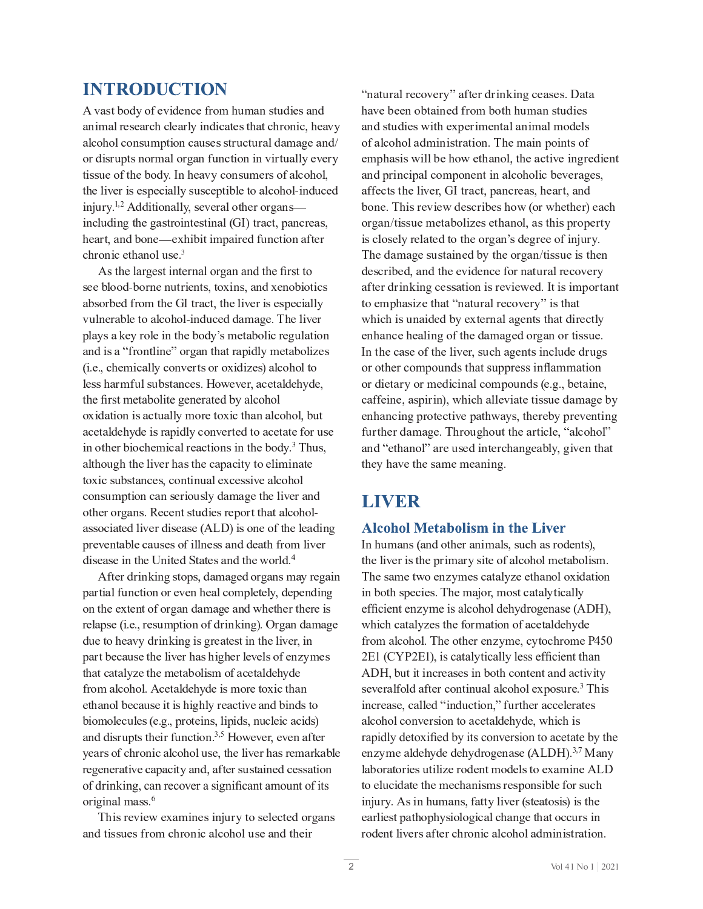# **INTRODUCTION**

 $E = \frac{1}{2} \frac{1}{2} \frac{1}{2} \frac{1}{2} \frac{1}{2} \frac{1}{2} \frac{1}{2} \frac{1}{2} \frac{1}{2} \frac{1}{2} \frac{1}{2} \frac{1}{2} \frac{1}{2} \frac{1}{2} \frac{1}{2} \frac{1}{2} \frac{1}{2} \frac{1}{2} \frac{1}{2} \frac{1}{2} \frac{1}{2} \frac{1}{2} \frac{1}{2} \frac{1}{2} \frac{1}{2} \frac{1}{2} \frac{1}{2} \frac{1}{2} \frac{1}{2} \frac{1}{2} \frac{1}{2} \$  $E_{\rm eff}$  , and the distribution of the distribution of the distribution of the distribution of the  $\mu$  $G_{\rm eff}$  U l  $G_{\rm eff}$  and  $G_{\rm eff}$  is the linear mass  $G_{\rm eff}$  and  $G_{\rm eff}$  and  $G_{\rm eff}$  and  $G_{\rm eff}$  $G = \{x \in \mathbb{R}^d : |x| \leq \sqrt{2} \}$  . We use the probability of  $\mathbb{R}^d$  is the probability of  $\mathbb{R}^d$  $\mathbf{F} = \mathbf{F} \mathbf{F} \mathbf{F} \mathbf{F} \mathbf{F} \mathbf{F} \mathbf{F} \mathbf{F} \mathbf{F} \mathbf{F} \mathbf{F} \mathbf{F} \mathbf{F} \mathbf{F} \mathbf{F} \mathbf{F} \mathbf{F} \mathbf{F} \mathbf{F} \mathbf{F} \mathbf{F} \mathbf{F} \mathbf{F} \mathbf{F} \mathbf{F} \mathbf{F} \mathbf{F} \mathbf{F} \mathbf{F} \mathbf{F} \mathbf{F} \mathbf{F} \mathbf{F} \mathbf{F} \mathbf{F} \mathbf$ P <sup>I</sup> <sup>Q</sup> <sup>M</sup> l <sup>O</sup> <sup>P</sup> <sup>I</sup> <sup>V</sup> <sup>G</sup> \_ <sup>C</sup> <sup>V</sup> <sup>E</sup> <sup>U</sup> <sup>G</sup> <sup>F</sup> <sup>J</sup> <sup>P</sup> <sup>I</sup> <sup>G</sup> <sup>C</sup> <sup>U</sup> <sup>G</sup> <sup>P</sup> <sup>I</sup> <sup>E</sup> <sup>M</sup> <sup>A</sup> <sup>T</sup> <sup>L</sup> <sup>B</sup> <sup>G</sup> <sup>F</sup> <sup>E</sup> <sup>Q</sup> <sup>G</sup> <sup>R</sup> <sup>D</sup> <sup>E</sup> <sup>I</sup> <sup>Q</sup> <sup>F</sup> <sup>C</sup> <sup>E</sup> <sup>U</sup> <sup>R</sup>  $\mathcal{L}_\mathcal{L}$  and  $\mathcal{L}_\mathcal{L}$  is a contribution of the properties of the properties of the properties of the properties of the properties of the properties of the properties of the properties of the properties of the  $\mathcal{L} = \mathcal{L} = \mathcal{L} = \mathcal{L} = \mathcal{L} = \mathcal{L} = \mathcal{L}$ 

As the largest internal organ and the first to  $U_{\rm eff}$  and  $U_{\rm eff}$  is the first part of  $\mu$  in  $\mu$  and  $\mu$  is the interpretation of  $\mu$  $Y \subset \mathbb{R}^n$  is a matrix of the p indice  $\mathbb{R}^n$  and  $\mathbb{R}^n$  of  $\mathbb{R}^n$  indices  $\mathbb{R}^n$  $D_{\rm eff}$  is the  $\Gamma$  -c with  $\Gamma$  and  $\Gamma$  and  $\Gamma$  and  $\Gamma$  and  $\Gamma$  is the  $\Gamma$  -c  $\Gamma$  is the  $\Gamma$ (i.e., chemically converts or oxidizes) alcohol to  $M_{\rm H}$  ,  $M_{\rm H}$  is the distribution of the distribution of  $\mu$  and  $\mu$  and  $\mu$  and  $\mu$ the first metabolite generated by alcohol  $J_{\rm eff}$  is a gradient of the maximum matrix  $\sim$  experiments of  $\sim$  and  $\sim$   $\sim$  $\mathcal{L}_{\mathcal{L}}$  and  $\mathcal{L}_{\mathcal{L}}$  and  $\mathcal{L}_{\mathcal{L}}$  is a differential definition of the gradient condition of  $\mathcal{L}_{\mathcal{L}}$  $\mathbf{A}$  $E = \frac{1}{2}$  is a gradient of the contract  $\mathcal{L}$  and  $\mathcal{L}$  and  $\mathcal{L}$  and  $\mathcal{L}$  and  $\mathcal{L}$  and  $\mathcal{L}$ G J C P Q U L E I L (U G E I L E M C U P I L E M C U P I L E M C U P I L E M C U P I L E M C U P I L E M Q J A J G  $\sim$  C  $\sim$  C  $\sim$  C  $\sim$  C  $\sim$  C  $\sim$  C  $\sim$  C  $\sim$  C  $\sim$  C  $\sim$  C  $\sim$  C  $\sim$  C  $\sim$  C  $\sim$  C  $\sim$  C  $\sim$  C  $\sim$  C  $\sim$  C  $\sim$  C  $\sim$  C  $\sim$  C  $\sim$  C  $\sim$  C  $\sim$  C  $\sim$  C  $\sim$  C  $\sim$  C  $\sim$  C  $\sim$  C  $\sim$  C  $\sim$  C E <sup>U</sup> <sup>U</sup> <sup>J</sup> <sup>Q</sup> <sup>P</sup> <sup>E</sup> <sup>G</sup> <sup>C</sup> <sup>O</sup> <sup>M</sup> <sup>P</sup> Y <sup>C</sup> <sup>F</sup> <sup>O</sup> <sup>P</sup> <sup>U</sup> <sup>C</sup> <sup>E</sup> <sup>U</sup> <sup>C</sup> <sup>A</sup> <sup>d</sup> <sup>J</sup> <sup>B</sup> <sup>B</sup> <sup>P</sup> <sup>U</sup> <sup>J</sup> <sup>I</sup> <sup>C</sup> <sup>J</sup> <sup>K</sup> <sup>G</sup> \_ <sup>C</sup> <sup>M</sup> <sup>C</sup> <sup>E</sup> <sup>O</sup> <sup>P</sup> <sup>I</sup> <sup>V</sup> O P U C E U C E U C P I G U C O S G E G E G E G E G E G E G G E G G E G G E G G E G G G G G G G G G G G G G G

d K G  $\Gamma$  is the  $\Gamma$  -p in  $\Gamma$  in  $\Gamma$  in  $\Gamma$  is the  $\Gamma$  -p in  $\Gamma$  in  $\Gamma$  is the  $\Gamma$  in  $\Gamma$  in  $\Gamma$  $J_{\rm eff}$  is the contract of the contract of the contract of the contract of the contract of the contract of the contract of the contract of the contract of the contract of the contract of the contract of the contract of t F <sup>C</sup> <sup>M</sup> <sup>E</sup> <sup>D</sup> <sup>U</sup> <sup>C</sup> <sup>A</sup> <sup>P</sup> <sup>b</sup> <sup>C</sup> <sup>b</sup> <sup>R</sup> <sup>F</sup> <sup>C</sup> <sup>U</sup> <sup>l</sup> <sup>H</sup> <sup>D</sup> <sup>G</sup> <sup>P</sup> <sup>J</sup> <sup>I</sup> <sup>J</sup> <sup>K</sup> <sup>O</sup> <sup>F</sup> <sup>P</sup> <sup>I</sup> \ <sup>P</sup> <sup>I</sup> <sup>V</sup> <sup>B</sup> <sup>b</sup> ^ F <sup>V</sup> <sup>E</sup> <sup>I</sup> <sup>O</sup> <sup>E</sup> <sup>H</sup> <sup>E</sup> <sup>V</sup> <sup>C</sup> D E F G G E L U C G E L U C G E L U C H U C G E L U C H U G E L U C H W H C U C H W H C U G E L U G E L U C U G \_ <sup>E</sup> <sup>G</sup> <sup>Q</sup> <sup>E</sup> <sup>G</sup> <sup>E</sup> <sup>M</sup> W <sup>H</sup> <sup>C</sup> <sup>G</sup> \_ <sup>C</sup> <sup>H</sup> <sup>C</sup> <sup>G</sup> <sup>E</sup> [ <sup>J</sup> <sup>M</sup> <sup>P</sup> <sup>U</sup> <sup>H</sup> <sup>J</sup> <sup>K</sup> <sup>E</sup> <sup>Q</sup> <sup>C</sup> <sup>G</sup> <sup>E</sup> <sup>M</sup> <sup>O</sup> <sup>C</sup> \_ <sup>W</sup> <sup>O</sup> <sup>C</sup>  $C = \{x \in \mathbb{R}^d : |x| \leq \sqrt{2} \}$  , where  $\mathbb{R}^d$  is the proof of  $\mathbb{R}^d$  and  $\mathbb{R}^d$  of  $\mathbb{R}^d$ [ <sup>P</sup> <sup>J</sup> <sup>H</sup> <sup>J</sup> <sup>M</sup> <sup>C</sup> <sup>Q</sup> <sup>l</sup> <sup>M</sup> <sup>C</sup> <sup>U</sup> <sup>A</sup> <sup>C</sup> <sup>b</sup> <sup>V</sup> <sup>b</sup> <sup>R</sup> <sup>D</sup> <sup>F</sup> <sup>J</sup> <sup>G</sup> <sup>C</sup> <sup>P</sup> <sup>I</sup> <sup>U</sup> <sup>R</sup> <sup>M</sup> <sup>P</sup> D <sup>P</sup> <sup>O</sup> <sup>U</sup> <sup>R</sup> <sup>I</sup> <sup>l</sup> <sup>Q</sup> <sup>M</sup> <sup>C</sup> <sup>P</sup> <sup>Q</sup> <sup>E</sup> <sup>Q</sup> <sup>P</sup> <sup>O</sup> <sup>U</sup> <sup>B</sup>  $E = \frac{E}{\sqrt{2\pi}}$ We can expect the first density  $\mathcal{F}_\mathcal{A}$  and  $\mathcal{F}_\mathcal{A}$  and  $\mathcal{F}_\mathcal{A}$  and  $\mathcal{F}_\mathcal{A}$  and  $\mathcal{F}_\mathcal{A}$ Fically expected to the contract  $\mathcal{L} = \mathcal{L}$  . The contract of  $\mathcal{L} = \mathcal{L}$  is the contract of  $\mathcal{L} = \mathcal{L}$ of drinking, can recover a significant amount of its  $\mathcal{L}_{\mathcal{F}}$  is a particular with  $\mathcal{F}$ 

This review examines injury to selected organs

"natural recovery" after drinking ceases. Data  $\mathbb{E}_{\mathcal{L}}$  $J_{\rm eff}$  , and the interaction of the interaction of the interaction of the problem is defined as  $\mu$ E <sup>I</sup> <sup>O</sup> <sup>D</sup> <sup>F</sup> <sup>P</sup> <sup>I</sup> <sup>Q</sup> <sup>P</sup> D <sup>E</sup> <sup>M</sup> <sup>Q</sup> <sup>J</sup> <sup>H</sup> <sup>D</sup> <sup>J</sup> <sup>I</sup> <sup>C</sup> <sup>I</sup> <sup>G</sup> <sup>P</sup> <sup>I</sup> <sup>E</sup> <sup>M</sup> <sup>Q</sup> <sup>J</sup> \_ <sup>J</sup> <sup>M</sup> <sup>P</sup> <sup>Q</sup> [ <sup>C</sup> <sup>Y</sup> <sup>C</sup> <sup>F</sup> <sup>E</sup> <sup>V</sup> <sup>C</sup> <sup>U</sup> <sup>R</sup> E K C G U G U G U G U G G U G G R D E I Q F C G R D E I Q F C E F G R D E I O G R D E I O G R E F G R E I O G  $J_{\rm eff}$  is a gradient contract of  $\mu$  m  $R$  and  $\mu$  and  $\mu$  and  $\mu$  and  $\mu$  and  $\mu$   $\mu$  and  $\mu$ P <sup>U</sup> <sup>Q</sup> <sup>M</sup> <sup>J</sup> <sup>U</sup> <sup>C</sup> <sup>M</sup> W <sup>F</sup> <sup>C</sup> <sup>M</sup> <sup>E</sup> <sup>G</sup> <sup>C</sup> <sup>O</sup> <sup>G</sup> <sup>J</sup> <sup>G</sup> \_ <sup>C</sup> <sup>J</sup> <sup>F</sup> <sup>V</sup> <sup>E</sup> <sup>I</sup> <sup>E</sup> <sup>U</sup> <sup>O</sup> <sup>C</sup> <sup>V</sup> <sup>F</sup> <sup>C</sup> <sup>C</sup> <sup>J</sup> <sup>K</sup> <sup>P</sup> <sup>I</sup> <sup>&</sup>lt; <sup>l</sup> <sup>F</sup> <sup>W</sup> <sup>b</sup> The damage sustained by the organ/tissue is then  $\overline{C}$  contains the containing  $\overline{C}$  and  $\overline{C}$  and  $\overline{C}$  is a containing the containing  $\overline{C}$  $E \in \mathbb{R}^n$  is the probability of  $P$  if  $P$  is the probability of  $P$  if  $\mathbb{R}^n$  is the probability of  $P$ g a P  $\overline{P}$  P  $\overline{P}$  and  $\overline{P}$  is equal to  $\overline{P}$  in the mass of the mass of the contribution  $\overline{P}$  $C \subset \mathbb{R}^n$  , we can consider the constant  $\mathbb{R}^n$  in the value of  $\mathbb{R}^n$  in the value of  $\mathbb{R}^n$ or other compounds that suppress inflammation  $J_{\rm eff}$  F  $\sim$   $J_{\rm eff}$  and  $J_{\rm eff}$  is a contract of the matrix  $\sim$   $J_{\rm eff}$  and  $J_{\rm eff}$  and  $J_{\rm eff}$  $C_{\rm eff}$  is a group  $C_{\rm eff}$  group  $C_{\rm eff}$  group  $C_{\rm eff}$  and  $C_{\rm eff}$  is a group  $C_{\rm eff}$  $K_{\rm eff}$  is a contract of the distribution of  $\sigma$  and  $\sigma$  and  $\sigma$  and  $\sigma$  and  $\sigma$  and  $\sigma$  $G_{\rm eff}$   $G_{\rm eff}$   $G_{\rm eff}$   $G_{\rm eff}$   $G_{\rm eff}$   $G_{\rm eff}$   $G_{\rm eff}$   $G_{\rm eff}$   $G_{\rm eff}$   $G_{\rm eff}$   $G_{\rm eff}$   $G_{\rm eff}$   $G_{\rm eff}$   $G_{\rm eff}$   $G_{\rm eff}$   $G_{\rm eff}$   $G_{\rm eff}$   $G_{\rm eff}$   $G_{\rm eff}$   $G_{\rm eff}$   $G_{\rm eff}$   $G_{\rm eff}$   $G_{\rm eff}$   $G_{\rm eff}$   $G_{\rm$ 

# LIVER

### **Alcohol Metabolism in the Liver**

G \_ <sup>C</sup> <sup>M</sup> <sup>P</sup> Y <sup>C</sup> <sup>F</sup> <sup>P</sup> <sup>U</sup> <sup>G</sup> \_ <sup>C</sup> <sup>D</sup> <sup>F</sup> <sup>P</sup> <sup>H</sup> <sup>E</sup> <sup>F</sup> <sup>W</sup> <sup>U</sup> <sup>P</sup> G <sup>C</sup> <sup>J</sup> <sup>K</sup> <sup>E</sup> <sup>M</sup> <sup>Q</sup> <sup>J</sup> \_ <sup>J</sup> <sup>M</sup> <sup>H</sup> <sup>C</sup> <sup>G</sup> <sup>E</sup> [ <sup>J</sup> <sup>M</sup> <sup>P</sup> <sup>U</sup> <sup>H</sup> <sup>b</sup> The same two enzymes catalyze ethanol oxidation efficient enzyme is alcohol dehydrogenase (ADH), g  $\mathcal{P}_\mathrm{c}$  , we can expect the contribution of the G  $\mathcal{P}_\mathrm{c}$  and  $\mathcal{P}_\mathrm{c}$  is a set of  $\mathcal{P}_\mathrm{c}$ 2E1 (CYP2E1), is catalytically less efficient than d B h R [ l G P I G P I G P I G P I G E I G E I G E I G E I O E L G P I G E I G G P I G G E I O E G P I G G P  $\mathbf{A}$  $P$  is the interaction of the interaction of  $P$  is the interaction of  $\mathcal{P}$  and  $\mathcal{P}$  and  $\mathcal{P}$  $E_{\rm eff}$  and  $E_{\rm eff}$  is the distribution of  $\mu$  and  $\mu$  and  $\mu$  and  $\mu$   $\mu$  and  $\mu$ rapidly detoxified by its conversion to acetate by the C <sup>I</sup> <sup>H</sup> <sup>W</sup> <sup>H</sup> <sup>C</sup> <sup>E</sup> <sup>M</sup> <sup>O</sup> <sup>C</sup> \_ <sup>W</sup> <sup>O</sup> <sup>C</sup> <sup>O</sup> <sup>C</sup> \_ <sup>W</sup> <sup>O</sup> <sup>F</sup> <sup>J</sup> <sup>V</sup> <sup>C</sup> <sup>I</sup> <sup>E</sup> <sup>U</sup> <sup>C</sup> <sup>A</sup> <sup>d</sup> <sup>J</sup> <sup>B</sup> <sup>h</sup> <sup>B</sup> <sup>b</sup> <sup>I</sup> > Q <sup>N</sup> <sup>E</sup> <sup>I</sup> <sup>W</sup>  $\mathcal{L}_{\mathcal{L}}$  for  $\mathcal{L}_{\mathcal{L}}$  for  $\mathcal{L}_{\mathcal{L}}$  and  $\mathcal{L}_{\mathcal{L}}$  and  $\mathcal{L}_{\mathcal{L}}$  and  $\mathcal{L}_{\mathcal{L}}$  and  $\mathcal{L}_{\mathcal{L}}$ P <sup>I</sup> <sup>&</sup>lt; <sup>l</sup> <sup>F</sup> <sup>W</sup> <sup>b</sup> <sup>d</sup> <sup>U</sup> <sup>P</sup> <sup>I</sup> \_ <sup>l</sup> <sup>H</sup> <sup>E</sup> <sup>I</sup> <sup>U</sup> <sup>R</sup> <sup>K</sup> <sup>E</sup> <sup>G</sup> <sup>G</sup> <sup>W</sup> <sup>M</sup> <sup>P</sup> Y <sup>C</sup> <sup>F</sup> <sup>A</sup> <sup>U</sup> <sup>G</sup> <sup>C</sup> <sup>E</sup> <sup>G</sup> <sup>J</sup> <sup>U</sup> <sup>P</sup> <sup>U</sup> <sup>B</sup> <sup>P</sup> <sup>U</sup> <sup>G</sup> \_ <sup>C</sup>  $C_{\rm eff}$  , where  $\alpha$  is the distribution of  $\alpha$  and  $\alpha$  and  $\alpha$  is the distribution of  $\alpha$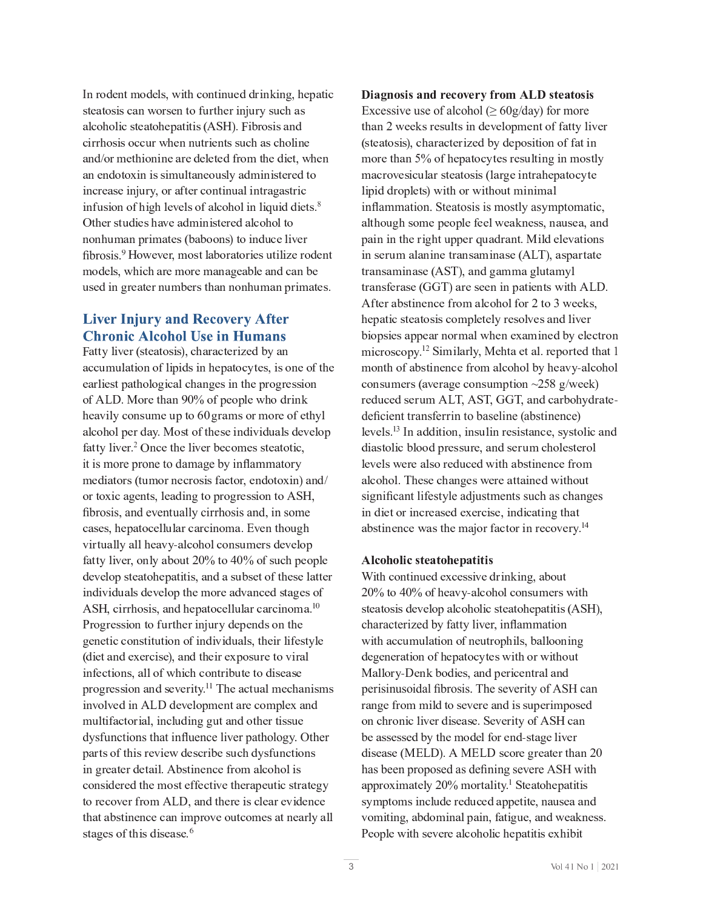$L \sim 10^{-10}$  G  $^{-1}$ E M P Q J M P D G G J M P D D G P U A D G L D G P U A D B H B N B 1  $\mathcal{L}_\mathcal{P}$  for a graph  $\mathcal{L}_\mathcal{P}$  and  $\mathcal{L}_\mathcal{P}$  and  $\mathcal{L}_\mathcal{P}$  and  $\mathcal{L}_\mathcal{P}$  and  $\mathcal{L}_\mathcal{P}$  $E_{\rm eff}$  is a group of the interval  $\mu$  $P$  is the interaction of the  $P$  interaction of  $\mathcal{P}$  and  $\mathcal{P}$  is the interaction of  $\mathcal{P}$ ^ G \_ <sup>C</sup> <sup>F</sup> <sup>U</sup> <sup>G</sup> <sup>l</sup> <sup>O</sup> <sup>P</sup> <sup>C</sup> <sup>U</sup> \_ <sup>E</sup> <sup>Y</sup> <sup>C</sup> <sup>E</sup> <sup>O</sup> <sup>H</sup> <sup>P</sup> <sup>I</sup> <sup>P</sup> <sup>U</sup> <sup>G</sup> <sup>C</sup> <sup>F</sup> <sup>C</sup> <sup>O</sup> <sup>E</sup> <sup>M</sup> <sup>Q</sup> <sup>J</sup> \_ <sup>J</sup> <sup>M</sup> <sup>G</sup> <sup>J</sup>  $\mathcal{L} \equiv \mathcal{L} \equiv \mathcal{L} \equiv \mathcal{L} \equiv \mathcal{L} \equiv \mathcal{L} \equiv \mathcal{L} \equiv \mathcal{L} \equiv \mathcal{L} \equiv \mathcal{L} \equiv \mathcal{L} \equiv \mathcal{L} \equiv \mathcal{L} \equiv \mathcal{L} \equiv \mathcal{L} \equiv \mathcal{L} \equiv \mathcal{L} \equiv \mathcal{L} \equiv \mathcal{L} \equiv \mathcal{L} \equiv \mathcal{L} \equiv \mathcal{L} \equiv \mathcal{L} \equiv \mathcal{L} \equiv \mathcal{L} \equiv \mathcal{L} \equiv \mathcal{L} \equiv \mathcal{$ fibrosis.<sup>9</sup> However, most laboratories utilize roden H  $\mathcal{H}_{\rm eff}$  and  $\mathcal{H}_{\rm eff}$  is the interpretation of  $\mathcal{H}_{\rm eff}$  is the interpretation of  $\mathcal{H}_{\rm eff}$ l U C O P I  $\mathbb{R}^n$  is the contract of  $\mathbb{R}^n$  in the interaction of  $\mathbb{R}^n$  in the interaction of  $\mathbb{R}^n$ 

#### **Liver Injury and Recovery After Chronic Alcohol Use in Humans**

n A U G W M P Y C F A U G C H C O G C F E G G C F E G C F E G C G C F E G C F E F E G C F E G C F P H C O [ W E  $\mathcal{L}$  is a gradient of the distribution of  $\mathcal{L}$  and  $\mathcal{L}$  and  $\mathcal{L}$  and  $\mathcal{L}$  and  $\mathcal{L}$  and  $\mathcal{L}$  and  $\mathcal{L}$  and  $\mathcal{L}$  and  $\mathcal{L}$  and  $\mathcal{L}$  and  $\mathcal{L}$  and  $\mathcal{L}$  and  $\mathcal{L}$  and  $\mathcal$  $C_{\rm eff}$  , and the distribution  $\Gamma$  and  $\Gamma$  is a given in the distribution of  $\Gamma$  is a given in the distribution of  $\Gamma$  $\mathcal{L} = \mathcal{L} \times \mathcal{L} = \mathcal{L} \times \mathcal{L} = \mathcal{L} \times \mathcal{L} = \mathcal{L} \times \mathcal{L} = \mathcal{L} \times \mathcal{L} = \mathcal{L} \times \mathcal{L} = \mathcal{L} \times \mathcal{L} = \mathcal{L} \times \mathcal{L} = \mathcal{L} \times \mathcal{L} = \mathcal{L} \times \mathcal{L} = \mathcal{L} \times \mathcal{L} = \mathcal{L} \times \mathcal{L} = \mathcal{L} \times \mathcal{L} = \mathcal{L} \times \mathcal{L} = \mathcal$ E <sup>M</sup> <sup>Q</sup> <sup>J</sup> \_ <sup>J</sup> <sup>M</sup> <sup>D</sup> <sup>C</sup> <sup>F</sup> <sup>O</sup> <sup>E</sup> <sup>W</sup> <sup>b</sup> <sup>N</sup> <sup>J</sup> <sup>U</sup> <sup>G</sup> <sup>J</sup> <sup>K</sup> <sup>G</sup> \_ <sup>C</sup> <sup>U</sup> <sup>C</sup> <sup>P</sup> <sup>I</sup> <sup>O</sup> <sup>P</sup> Y <sup>P</sup> <sup>O</sup> <sup>l</sup> <sup>E</sup> <sup>M</sup> <sup>U</sup> <sup>O</sup> <sup>C</sup> <sup>Y</sup> <sup>C</sup> <sup>M</sup> <sup>J</sup> <sup>D</sup> K <sup>E</sup> <sup>G</sup> <sup>G</sup> <sup>W</sup> <sup>M</sup> <sup>P</sup> Y <sup>C</sup> <sup>F</sup> <sup>b</sup> ? ^ I <sup>Q</sup> <sup>C</sup> <sup>G</sup> \_ <sup>C</sup> <sup>M</sup> <sup>P</sup> Y <sup>C</sup> <sup>F</sup> [ <sup>C</sup> <sup>Q</sup> <sup>J</sup> <sup>H</sup> <sup>C</sup> <sup>U</sup> <sup>U</sup> <sup>G</sup> <sup>C</sup> <sup>E</sup> <sup>G</sup> <sup>J</sup> <sup>G</sup> <sup>P</sup> <sup>Q</sup> <sup>R</sup> it is more prone to damage by inflammatory H C O P E G  $\sim$  10 H  $\sim$  10 H  $\sim$  10 H  $\sim$  10 H  $\sim$  10 H  $\sim$  10 H  $\sim$  10 H  $\sim$  10 H  $\sim$  10 H  $\sim$  10 H  $\sim$  10 H  $\sim$  10 H  $\sim$  10 H  $\sim$  10 H  $\sim$  10 H  $\sim$  10 H  $\sim$  10 H  $\sim$  10 H  $\sim$  10 H  $\sim$  10 H  $\sim$  10 H fibrosis, and eventually cirrhosis and, in some  $\mathcal{L}_\text{C}$  and the contribution of  $\mathcal{L}_\text{C}$  and  $\mathcal{L}_\text{C}$  is just the b j  $\mathcal{L}_\text{C}$  in  $\mathcal{L}_\text{C}$ K <sup>E</sup> <sup>G</sup> <sup>G</sup> <sup>W</sup> <sup>M</sup> <sup>P</sup> Y <sup>C</sup> <sup>F</sup> <sup>R</sup> <sup>J</sup> <sup>I</sup> <sup>M</sup> W <sup>E</sup> [ <sup>J</sup> <sup>l</sup> <sup>G</sup> <sup>X</sup> <sup>P</sup> <sup>V</sup> <sup>G</sup> <sup>J</sup> <sup>N</sup> <sup>P</sup> <sup>V</sup> <sup>J</sup> <sup>K</sup> <sup>U</sup> <sup>l</sup> <sup>Q</sup> \_ <sup>D</sup> <sup>C</sup> <sup>J</sup> <sup>D</sup> <sup>M</sup> <sup>C</sup> O <sup>C</sup> <sup>Y</sup> <sup>C</sup> <sup>M</sup> <sup>J</sup> <sup>D</sup> <sup>U</sup> <sup>G</sup> <sup>C</sup> <sup>E</sup> <sup>G</sup> <sup>J</sup> \_ <sup>C</sup> <sup>D</sup> <sup>E</sup> <sup>G</sup> <sup>P</sup> G <sup>P</sup> <sup>U</sup> <sup>R</sup> <sup>E</sup> <sup>I</sup> <sup>O</sup> <sup>E</sup> <sup>U</sup> <sup>l</sup> [ <sup>U</sup> <sup>C</sup> <sup>G</sup> <sup>J</sup> <sup>K</sup> <sup>G</sup> \_ <sup>C</sup> <sup>U</sup> <sup>C</sup> <sup>M</sup> <sup>E</sup> <sup>G</sup> <sup>G</sup> <sup>C</sup> <sup>F</sup> d S h R  $\alpha$  -  $\alpha$  -  $\alpha$  -  $\alpha$  -  $\alpha$  -  $\alpha$  -  $\alpha$  and  $\alpha$  i  $\alpha$  -  $\alpha$  i  $\alpha$  -  $\alpha$  i  $\alpha$  -  $\alpha$  $\mathcal{P}_\text{L}$  is the first part of the  $\mathcal{P}_\text{L}$  and  $\mathcal{P}_\text{L}$  and  $\mathcal{P}_\text{L}$  and  $\mathcal{P}_\text{L}$  and  $\mathcal{P}_\text{L}$ (diet and exercise), and their exposure to viral P I K C G P I K G P J I U R E M J H J H J H J G H J G H J G H J G H J G H J O P U C G J O P U C G J O P U C E  $\mathbf{F} = \mathbf{F} \mathbf{F} \mathbf{F} = \mathbf{F} \mathbf{F} \mathbf{F} \mathbf{F} = \mathbf{F} \mathbf{F} \mathbf{F} \mathbf{F} = \mathbf{F} \mathbf{F} \mathbf{F} \mathbf{F}$ P I Y J M Y C O P I D I D J B O C O P I D H C I G E F C H D H D M C C H D M J D H C I O C H D M C C H D M C C H l M G P K E G J F P E M R P I V L O P I V L O P I V L O P I D I D P I V L C F G P U L C F G U L C F G P U L dysfunctions that influence liver pathology. Other D <sup>E</sup> <sup>F</sup> <sup>G</sup> <sup>U</sup> <sup>J</sup> <sup>K</sup> <sup>G</sup> \_ <sup>P</sup> <sup>U</sup> <sup>F</sup> <sup>C</sup> <sup>Y</sup> <sup>P</sup> <sup>C</sup> <sup>g</sup> <sup>O</sup> <sup>C</sup> <sup>U</sup> <sup>Q</sup> <sup>F</sup> <sup>P</sup> [ <sup>C</sup> <sup>U</sup> <sup>l</sup> <sup>Q</sup> \_ <sup>O</sup> <sup>W</sup> <sup>U</sup> <sup>K</sup> <sup>l</sup> <sup>I</sup> <sup>Q</sup> <sup>G</sup> <sup>P</sup> <sup>J</sup> <sup>I</sup> <sup>U</sup>  $P$  is the contract of  $P$  is the contract of  $\mathcal{P}$  and  $\mathcal{P}$  and  $\mathcal{P}$  and  $\mathcal{P}$  and  $\mathcal{P}$  and  $\mathcal{P}$  and  $\mathcal{P}$  and  $\mathcal{P}$  and  $\mathcal{P}$  and  $\mathcal{P}$  and  $\mathcal{P}$  and  $\mathcal{P}$  and  $\mathcal{P}$  and  $\mathcal{P$  $G_{\rm eff}$   $\sim$   $G_{\rm eff}$   $\sim$   $G_{\rm eff}$   $\sim$   $G_{\rm eff}$  and  $\sim$   $G_{\rm eff}$   $\sim$   $G_{\rm eff}$   $\sim$   $G_{\rm eff}$   $\sim$   $G_{\rm eff}$   $\sim$   $G_{\rm eff}$   $\sim$  $G = \frac{1}{2}$ 

6 . <sup>Z</sup> , " % . % , <sup>5</sup> <sup>+</sup> \$ <sup>&</sup>gt; " [ \$ <sup>+</sup> <sup>&</sup>lt; \ <sup>+</sup> " # ; <sup>7</sup> <sup>6</sup> % <sup>1</sup> \$ <sup>1</sup> " % . % Excessive use of alcohol ( $\geq 60$ g/day) for more  $G = \{x \in \mathbb{R}^d : |x| \leq \omega \}$  . We are the contract of the contract of  $\omega$  and  $\omega$  is the contract of  $\omega$ (steatosis), characterized by deposition of fat in H E  $\mathcal{L}_{\mathcal{A}}$  is a matrix of the f u  $\mathcal{L}_{\mathcal{A}}$  and  $\mathcal{L}_{\mathcal{A}}$  and  $\mathcal{L}_{\mathcal{A}}$  and  $\mathcal{L}_{\mathcal{A}}$ M P D P O O F O O F J D M C G U B G H P I P H G G H P I P H G G H P I P H G G H P I P H H E M H H H H H H H H inflammation. Steatosis is mostly asymptomatic,  $\mathcal{L} = \mathcal{L} \cup \mathcal{L}$  is a given by definition of the distribution of  $\mathcal{L} = \mathcal{L} \cup \mathcal{L}$ D <sup>E</sup> <sup>P</sup> <sup>I</sup> <sup>P</sup> <sup>I</sup> <sup>G</sup> \_ <sup>C</sup> <sup>F</sup> <sup>P</sup> <sup>V</sup> \_ <sup>G</sup> <sup>l</sup> <sup>D</sup> <sup>D</sup> <sup>C</sup> <sup>F</sup> <sup>R</sup> <sup>l</sup> <sup>E</sup> <sup>O</sup> <sup>F</sup> <sup>E</sup> <sup>I</sup> <sup>G</sup> <sup>b</sup> <sup>N</sup> <sup>P</sup> <sup>M</sup> <sup>O</sup> <sup>C</sup> <sup>M</sup> <sup>C</sup> <sup>Y</sup> <sup>E</sup> <sup>G</sup> <sup>P</sup> <sup>J</sup> <sup>I</sup> <sup>U</sup>  $G_{\rm eff}$  is the interaction of the interaction of the interaction of the interaction of the interaction of the interaction of the interaction of the interaction of the interaction of the interaction of the interaction of G F E I U K C F E I U K C F E I D E G E F E G E G P I D E G E G P I D E G U G P I D E G U G P G G U G G U G G  $\mathcal{L} = \mathcal{L} \times \mathcal{L}$  $\mathcal{P}_\mathrm{u}$  denote the distribution of the matrix  $\mathcal{P}_\mathrm{u}$  and  $\mathcal{P}_\mathrm{u}$  is a contract of the distribution of the distribution of the distribution of the distribution of the distribution of the distribution of  $\frac{1}{10}$  b  $\frac{1}{10}$  and  $\frac{1}{10}$  and  $\frac{1}{10}$  f  $\frac{1}{10}$  f  $\frac{1}{10}$  f  $\frac{1}{10}$  f  $\frac{1}{10}$  f  $\frac{1}{10}$  f  $\frac{1}{10}$  f  $\frac{1}{10}$  f  $\frac{1}{10}$  f  $\frac{1}{10}$  f  $\frac{1}{10}$  f  $\frac{1}{10}$  f  $\frac{1}{10}$  f  $\frac{1}{10}$ H J I G  $\bar{M}$  is the first part of  $\bar{M}$  and  $\bar{M}$  and  $\bar{M}$  and  $\bar{M}$  and  $\bar{M}$  and  $\bar{M}$  and  $\bar{M}$  $\mathcal{L}_{\mathcal{L}}$  is the contract of the contract of  $\mathcal{L}_{\mathcal{L}}$  is the contract of  $\mathcal{L}_{\mathcal{L}}$ deficient transferrin to baseline (abstinence)  $\mathcal{L}$   $\mathcal{L}$   $\mathcal{L}$   $\mathcal{L}$   $\mathcal{L}$   $\mathcal{L}$   $\mathcal{L}$   $\mathcal{L}$   $\mathcal{L}$   $\mathcal{L}$   $\mathcal{L}$   $\mathcal{L}$   $\mathcal{L}$   $\mathcal{L}$   $\mathcal{L}$   $\mathcal{L}$   $\mathcal{L}$   $\mathcal{L}$   $\mathcal{L}$   $\mathcal{L}$   $\mathcal{L}$   $\mathcal{L}$   $\mathcal{L}$   $\mathcal{L}$   $\mathcal{$ M <sup>C</sup> <sup>Y</sup> <sup>C</sup> <sup>M</sup> <sup>U</sup> <sup>g</sup> <sup>C</sup> <sup>F</sup> <sup>C</sup> <sup>E</sup> <sup>M</sup> <sup>U</sup> <sup>J</sup> <sup>F</sup> <sup>C</sup> <sup>O</sup> <sup>l</sup> <sup>Q</sup> <sup>C</sup> <sup>O</sup> <sup>g</sup> <sup>P</sup> G \_ <sup>E</sup> [ <sup>U</sup> <sup>G</sup> <sup>P</sup> <sup>I</sup> <sup>C</sup> <sup>I</sup> <sup>Q</sup> <sup>C</sup> <sup>K</sup> <sup>F</sup> <sup>J</sup> <sup>H</sup>  $E_{\rm eff}$  and  $E_{\rm eff}$  and  $E_{\rm eff}$  is defined as significant lifestyle adjustments such as changes  $P$  is a contract of  $P$  is a contract of  $P$  is a contract of  $P$  is a contract of  $P$  is a contract of  $P$ E  $\mathbb{R}$  . The interaction of the interaction of the interaction of the interaction of  $\mathbb{R}$ 

#### ; <sup>&</sup>gt; " ! " . <sup>&</sup>gt; % <sup>1</sup> \$ <sup>1</sup> " ! \$ <sup>a</sup> <sup>1</sup> . <sup>1</sup> . %

f  $P$   $\sim$   $P$   $\sim$   $P$   $\sim$   $P$   $\sim$   $P$   $\sim$   $P$   $\sim$   $P$   $\sim$   $P$   $\sim$   $P$   $\sim$   $P$   $\sim$   $P$   $\sim$   $P$   $\sim$   $P$   $\sim$   $P$   $\sim$   $P$   $\sim$   $P$   $\sim$   $P$   $\sim$   $P$   $\sim$   $P$   $\sim$   $P$   $\sim$   $P$   $\sim$   $P$   $\sim$   $P$   $\sim$   $P$   $\sim$   $P$ 20% to 40% of heavy-alcohol consumers with  $U_{\rm eff}$  is a gradient of the matrix  $\mathcal{H}_{\rm eff}$  and  $\mathcal{H}_{\rm eff}$  and  $\mathcal{H}_{\rm eff}$  are gradient of the set characterized by fatty liver, inflammation O <sup>C</sup> <sup>V</sup> <sup>C</sup> <sup>I</sup> <sup>C</sup> <sup>F</sup> <sup>E</sup> <sup>G</sup> <sup>P</sup> <sup>J</sup> <sup>I</sup> <sup>J</sup> <sup>K</sup> \_ <sup>C</sup> <sup>D</sup> <sup>E</sup> <sup>G</sup> <sup>J</sup> <sup>Q</sup> <sup>W</sup> <sup>G</sup> <sup>C</sup> <sup>U</sup> <sup>g</sup> <sup>P</sup> G \_ <sup>J</sup> <sup>F</sup> <sup>g</sup> <sup>P</sup> G \_ <sup>J</sup> <sup>l</sup> <sup>G</sup> N <sup>E</sup> <sup>M</sup> <sup>M</sup> <sup>J</sup> <sup>F</sup> <sup>W</sup> <sup>e</sup> <sup>B</sup> <sup>C</sup> <sup>I</sup> \ [ <sup>J</sup> <sup>O</sup> <sup>P</sup> <sup>C</sup> <sup>U</sup> <sup>R</sup> <sup>E</sup> <sup>I</sup> <sup>O</sup> <sup>D</sup> <sup>C</sup> <sup>F</sup> <sup>P</sup> <sup>Q</sup> <sup>C</sup> <sup>I</sup> <sup>G</sup> <sup>F</sup> <sup>E</sup> <sup>M</sup> <sup>E</sup> <sup>I</sup> <sup>O</sup> perisinusoidal fibrosis. The severity of ASH can F E I  $\mathcal{L}_\mathcal{L}$  is the distribution of the distribution of  $\mathcal{L}_\mathcal{L}$  and  $\mathcal{L}_\mathcal{L}$ J <sup>I</sup> <sup>Q</sup> \_ <sup>F</sup> <sup>J</sup> <sup>I</sup> <sup>P</sup> <sup>Q</sup> <sup>M</sup> <sup>P</sup> Y <sup>C</sup> <sup>F</sup> <sup>O</sup> <sup>P</sup> <sup>U</sup> <sup>C</sup> <sup>E</sup> <sup>U</sup> <sup>C</sup> <sup>b</sup> <sup>S</sup> <sup>C</sup> <sup>Y</sup> <sup>C</sup> <sup>F</sup> <sup>P</sup> G <sup>W</sup> <sup>J</sup> <sup>K</sup> <sup>d</sup> <sup>S</sup> <sup>h</sup> <sup>Q</sup> <sup>E</sup> <sup>I</sup>  $\mathcal{O}_\mathcal{P}$  b d  $\mathcal{O}_\mathcal{P}$  is defined by d  $\mathcal{O}_\mathcal{P}$  and  $\mathcal{O}_\mathcal{P}$  f  $\mathcal{O}_\mathcal{P}$  and  $\mathcal{O}_\mathcal{P}$ has been proposed as defining severe ASH with E <sup>D</sup> <sup>D</sup> <sup>F</sup> <sup>J</sup> <sup>C</sup> <sup>P</sup> <sup>H</sup> <sup>E</sup> <sup>G</sup> <sup>C</sup> <sup>M</sup> W <sup>X</sup> <sup>P</sup> <sup>V</sup> <sup>H</sup> <sup>J</sup> <sup>F</sup> <sup>G</sup> <sup>E</sup> <sup>M</sup> <sup>P</sup> G <sup>W</sup> <sup>b</sup> <sup>=</sup> <sup>S</sup> <sup>G</sup> <sup>C</sup> <sup>E</sup> <sup>G</sup> <sup>J</sup> \_ <sup>C</sup> <sup>D</sup> <sup>E</sup> <sup>G</sup> <sup>P</sup> G <sup>P</sup> <sup>U</sup> U W H D G J H D G J H D G J D O C O L O C O E D C O E D C C C C O L C O E D C O E D C C C C C C C C E I O C C Y <sup>J</sup> <sup>H</sup> <sup>P</sup> G <sup>P</sup> <sup>I</sup> <sup>V</sup> <sup>R</sup> <sup>E</sup> [ <sup>O</sup> <sup>J</sup> <sup>H</sup> <sup>P</sup> <sup>I</sup> <sup>E</sup> <sup>M</sup> <sup>D</sup> <sup>E</sup> <sup>P</sup> <sup>I</sup> <sup>R</sup> <sup>K</sup> <sup>E</sup> <sup>G</sup> <sup>P</sup> <sup>V</sup> <sup>l</sup> <sup>C</sup> <sup>R</sup> <sup>E</sup> <sup>I</sup> <sup>O</sup> <sup>g</sup> <sup>C</sup> <sup>E</sup> \ <sup>I</sup> <sup>C</sup> <sup>U</sup> <sup>U</sup> <sup>b</sup>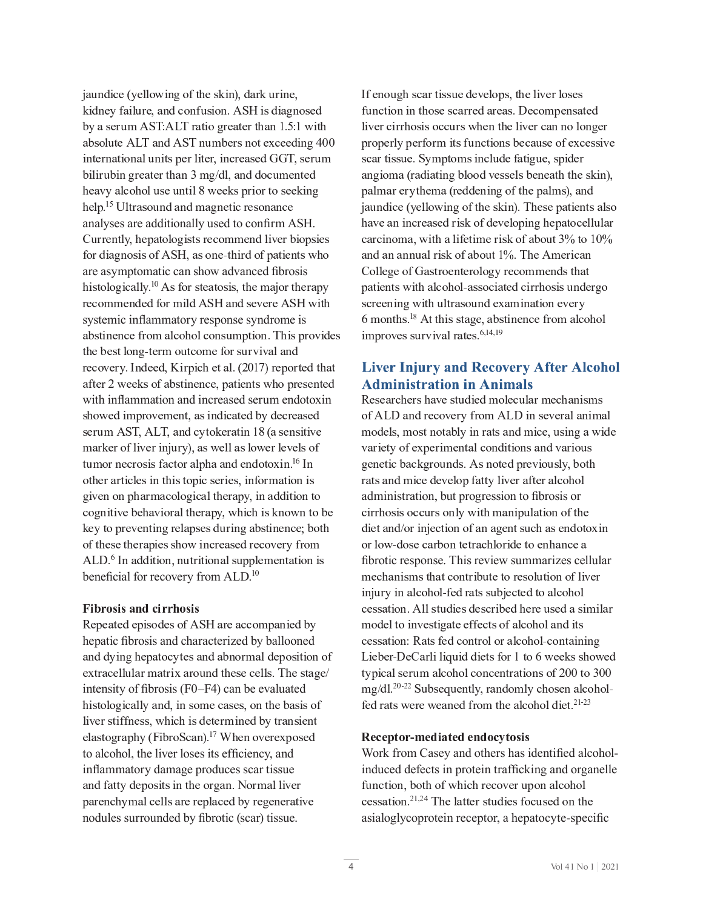jaundice (yellowing of the skin), dark urine,  $\mathcal{L} = \mathcal{L} \times \mathcal{L}$  , where  $\mathcal{L} = \mathcal{L} \times \mathcal{L}$  and  $\mathcal{L} = \mathcal{L} \times \mathcal{L}$  and  $\mathcal{L} = \mathcal{L} \times \mathcal{L}$  and E E E I U J M L G C D E I D E I D E I D E I L H E I L H E I L H E I L H E I L H E I L H E I L H E I L H E I V  $\mathcal{P}_\mathcal{P}$  and  $\mathcal{P}_\mathcal{P}$  is the contract of the interaction of  $\mathcal{P}_\mathcal{P}$  is the interaction of  $\mathcal{P}_\mathcal{P}$  $\mathcal{L} = \mathcal{L} \times \mathcal{L}$  where  $\mathcal{L} = \mathcal{L} \times \mathcal{L}$  and  $\mathcal{L} = \mathcal{L} \times \mathcal{L}$  and  $\mathcal{L} = \mathcal{L} \times \mathcal{L}$  $\sim$  L  $\sim$  L  $\sim$  L  $\sim$  L  $\sim$  L  $\sim$  L  $\sim$  L  $\sim$  L  $\sim$  L  $\sim$  L  $\sim$  L  $\sim$  L  $\sim$  L  $\sim$  L  $\sim$  L  $\sim$  L  $\sim$  L  $\sim$  L  $\sim$  L  $\sim$  L  $\sim$  L  $\sim$  L  $\sim$  L  $\sim$  L  $\sim$  L  $\sim$  L  $\sim$  L  $\sim$  L  $\sim$  L  $\sim$  L  $\sim$  L  $\sim$ analyses are additionally used to confirm ASH.  $\mathcal{L} = \mathcal{L} \mathcal{L} = \mathcal{L} \mathcal{L}$  , where  $\mathcal{L} = \mathcal{L} \mathcal{L}$  and  $\mathcal{L} = \mathcal{L} \mathcal{L}$  and  $\mathcal{L} = \mathcal{L} \mathcal{L}$ are asymptomatic can show advanced fibrosis  $\mathcal{L} = \frac{10}{10}$ systemic inflammatory response syndrome is  $E_{\rm eff}$  is the mass  $U_{\rm eff}$  and  $U_{\rm eff}$  and  $U_{\rm eff}$  is defined by  $\Delta$   $\Delta$   $\Delta$ F C  $\bar{C}$  and  $\bar{C}$  and  $\bar{C}$  and  $\bar{C}$  and  $\bar{C}$  and  $\bar{C}$  and  $\bar{C}$  and  $\bar{C}$  and  $\bar{C}$   $\bar{C}$  and  $\bar{C}$   $\bar{C}$  and  $\bar{C}$  and  $\bar{C}$  and  $\bar{C}$  and  $\bar{C}$  and  $\bar{C}$  and  $\bar{C}$  and  $\bar{C}$  a  $E \left( \frac{1}{2} \right)$  (  $\frac{1}{2}$  )  $\frac{1}{2}$  (  $\frac{1}{2}$  )  $\frac{1}{2}$  (  $\frac{1}{2}$  )  $\frac{1}{2}$  (  $\frac{1}{2}$  )  $\frac{1}{2}$  (  $\frac{1}{2}$  )  $\frac{1}{2}$ with inflammation and increased serum endotoxin  $U = \{U \in \mathcal{U} \mid \mathcal{U} \in \mathcal{U} \}$  and  $U = \{U \in \mathcal{U} \mid \mathcal{U} \in \mathcal{U} \}$  . We can consider the constraints of  $U$ U <sup>C</sup> <sup>F</sup> <sup>l</sup> <sup>H</sup> <sup>d</sup> <sup>S</sup> <sup>D</sup> <sup>R</sup> <sup>d</sup> <sup>J</sup> <sup>D</sup> <sup>R</sup> <sup>E</sup> <sup>I</sup> <sup>O</sup> <sup>Q</sup> <sup>W</sup> <sup>G</sup> <sup>J</sup> \ <sup>C</sup> <sup>F</sup> <sup>E</sup> <sup>G</sup> <sup>P</sup> <sup>I</sup> ^ ` <sup>A</sup> <sup>E</sup> <sup>U</sup> <sup>C</sup> <sup>I</sup> <sup>U</sup> <sup>P</sup> G <sup>P</sup> Y <sup>C</sup>  $G = \frac{1}{2}$  is the set of the set of the matrix  $\mathcal{L} = \frac{1}{2}$  of the matrix  $\mathcal{L} = \frac{1}{2}$  $J_{\rm eff}$  G  $_{\rm eff}$  and  $_{\rm eff}$  and  $_{\rm eff}$   $_{\rm eff}$   $_{\rm eff}$   $_{\rm eff}$   $_{\rm eff}$   $_{\rm eff}$   $_{\rm eff}$   $_{\rm eff}$   $_{\rm eff}$   $_{\rm eff}$   $_{\rm eff}$   $_{\rm eff}$   $_{\rm eff}$   $_{\rm eff}$   $_{\rm eff}$   $_{\rm eff}$   $_{\rm eff}$   $_{\rm eff}$   $_{\rm eff}$   $_{\rm eff}$   $_{\rm eff}$   $_{\rm eff}$   $_{\rm eff}$   $_{$ Q <sup>J</sup> <sup>V</sup> <sup>I</sup> <sup>P</sup> G <sup>P</sup> Y <sup>C</sup> [ <sup>C</sup> \_ <sup>E</sup> <sup>Y</sup> <sup>P</sup> <sup>J</sup> <sup>F</sup> <sup>E</sup> <sup>M</sup> <sup>G</sup> \_ <sup>C</sup> <sup>F</sup> <sup>E</sup> <sup>D</sup> <sup>W</sup> <sup>R</sup> <sup>g</sup> \_ <sup>P</sup> <sup>Q</sup> \_ <sup>P</sup> <sup>U</sup> \ <sup>I</sup> <sup>J</sup> <sup>g</sup> <sup>I</sup> <sup>G</sup> <sup>J</sup> [ <sup>C</sup> \ <sup>C</sup> <sup>W</sup> <sup>G</sup> <sup>J</sup> <sup>D</sup> <sup>F</sup> <sup>C</sup> <sup>Y</sup> <sup>C</sup> <sup>I</sup> <sup>G</sup> <sup>P</sup> <sup>I</sup> <sup>V</sup> <sup>F</sup> <sup>C</sup> <sup>M</sup> <sup>E</sup> <sup>D</sup> <sup>U</sup> <sup>C</sup> <sup>U</sup> <sup>O</sup> <sup>l</sup> <sup>F</sup> <sup>P</sup> <sup>I</sup> <sup>V</sup> <sup>E</sup> [ <sup>U</sup> <sup>G</sup> <sup>P</sup> <sup>I</sup> <sup>C</sup> <sup>I</sup> <sup>Q</sup> <sup>C</sup> <sup>f</sup> [ <sup>J</sup> <sup>G</sup> \_ d J  $\beta$  and  $\beta$  is a matrix  $\beta$  in the matrix  $\beta$  -d  $\beta$  in the matrix  $\beta$  is a matrix  $\beta$ beneficial for recovery from  $ALD$ <sup>1</sup>

#### Fibrosis and cirrhosis

a C  $C$  C  $C$  C  $C$   $C$   $C$   $C$   $C$   $D$   $C$   $D$   $C$   $D$   $C$   $D$   $C$   $D$   $C$   $D$   $C$   $D$   $C$   $D$   $C$   $D$   $C$   $D$   $C$   $D$   $C$   $D$   $C$   $D$   $C$   $D$   $C$   $D$   $C$   $D$   $C$   $D$   $C$   $D$   $C$   $D$   $C$   $D$   $C$   $D$   $C$   $D$   $C$   $D$   $C$  hepatic fibrosis and characterized by ballooned E <sup>I</sup> <sup>O</sup> <sup>O</sup> <sup>W</sup> <sup>P</sup> <sup>I</sup> <sup>V</sup> \_ <sup>C</sup> <sup>D</sup> <sup>E</sup> <sup>G</sup> <sup>J</sup> <sup>Q</sup> <sup>W</sup> <sup>G</sup> <sup>C</sup> <sup>U</sup> <sup>E</sup> <sup>I</sup> <sup>O</sup> <sup>E</sup> [ <sup>I</sup> <sup>J</sup> <sup>F</sup> <sup>H</sup> <sup>E</sup> <sup>M</sup> <sup>O</sup> <sup>C</sup> <sup>D</sup> <sup>J</sup> <sup>U</sup> <sup>P</sup> G <sup>P</sup> <sup>J</sup> <sup>I</sup> <sup>J</sup> <sup>K</sup> C C G F E F H E G F H E F H E G F H E G F H E G E G E G E F H E G E V C U G E V C U G E V C U G E V C U G E V intensity of fibrosis  $(F0-F4)$  can be evaluated  $\mathcal{L}_\mathcal{D}$  , we have the interpretation of the interpretation of the interpretation of the interpretation of the interpretation of the interpretation of the interpretation of the interpretation of the interpretation o M P Y C F U G P Y C H LA G H P U D C G C F H P I C O C G C F H P I C O C G C F E I C O C G F E I U P C I G G F  $\mathcal{L} = \mathcal{L} \times \mathcal{L} = \mathcal{L} \times \mathcal{L} = \mathcal{L} \times \mathcal{L} = \mathcal{L} \times \mathcal{L} = \mathcal{L} \times \mathcal{L} = \mathcal{L} \times \mathcal{L} = \mathcal{L} \times \mathcal{L} = \mathcal{L} \times \mathcal{L} = \mathcal{L} \times \mathcal{L} = \mathcal{L} \times \mathcal{L} = \mathcal{L} \times \mathcal{L} = \mathcal{L} \times \mathcal{L} = \mathcal{L} \times \mathcal{L} = \mathcal{L} \times \mathcal{L} = \mathcal$ to alcohol, the liver loses its efficiency, and inflammatory damage produces scar tissue E <sup>I</sup> <sup>O</sup> <sup>K</sup> <sup>E</sup> <sup>G</sup> <sup>G</sup> <sup>W</sup> <sup>O</sup> <sup>C</sup> <sup>D</sup> <sup>J</sup> <sup>U</sup> <sup>P</sup> G <sup>U</sup> <sup>P</sup> <sup>I</sup> <sup>G</sup> \_ <sup>C</sup> <sup>J</sup> <sup>F</sup> <sup>V</sup> <sup>E</sup> <sup>I</sup> <sup>b</sup> <sup>Z</sup> <sup>J</sup> <sup>F</sup> <sup>H</sup> <sup>E</sup> <sup>M</sup> <sup>M</sup> <sup>P</sup> Y <sup>C</sup> <sup>F</sup> D <sup>E</sup> <sup>F</sup> <sup>C</sup> <sup>I</sup> <sup>Q</sup> \_ <sup>W</sup> <sup>H</sup> <sup>E</sup> <sup>M</sup> <sup>Q</sup> <sup>C</sup> <sup>M</sup> <sup>M</sup> <sup>U</sup> <sup>E</sup> <sup>F</sup> <sup>C</sup> <sup>F</sup> <sup>C</sup> <sup>D</sup> <sup>M</sup> <sup>E</sup> <sup>Q</sup> <sup>C</sup> <sup>O</sup> [ <sup>W</sup> <sup>F</sup> <sup>C</sup> <sup>V</sup> <sup>C</sup> <sup>I</sup> <sup>C</sup> <sup>F</sup> <sup>E</sup> <sup>G</sup> <sup>P</sup> Y <sup>C</sup> nodules surrounded by fibrotic (scar) tissue.

 $L_{\rm H}$  is a gradient of  $\mu$  in  $\mu$  and  $\mu$  and  $\mu$  and  $\mu$  and  $\mu$  and  $\mu$ M P  $\mathcal{F}_\mathcal{F}$  and the properties of the properties of the interpretation  $\mathcal{F}_\mathcal{F}$ D <sup>F</sup> <sup>J</sup> <sup>D</sup> <sup>C</sup> <sup>F</sup> <sup>M</sup> W <sup>D</sup> <sup>C</sup> <sup>F</sup> <sup>K</sup> <sup>J</sup> <sup>F</sup> <sup>H</sup> <sup>P</sup> G <sup>U</sup> <sup>K</sup> <sup>l</sup> <sup>I</sup> <sup>Q</sup> <sup>G</sup> <sup>P</sup> <sup>J</sup> <sup>I</sup> <sup>U</sup> [ <sup>C</sup> <sup>Q</sup> <sup>E</sup> <sup>l</sup> <sup>U</sup> <sup>C</sup> <sup>J</sup> <sup>K</sup> <sup>C</sup> <sup>C</sup> <sup>Q</sup> <sup>C</sup> <sup>U</sup> <sup>U</sup> <sup>P</sup> Y <sup>C</sup> E I  $\mathcal{L} = \mathcal{L} \times \mathcal{L}$  and  $\mathcal{L} = \mathcal{L} \times \mathcal{L}$  and  $\mathcal{L} = \mathcal{L} \times \mathcal{L}$  and  $\mathcal{L} = \mathcal{L} \times \mathcal{L}$ D <sup>E</sup> <sup>M</sup> <sup>H</sup> <sup>E</sup> <sup>F</sup> <sup>C</sup> <sup>F</sup> <sup>W</sup> <sup>G</sup> \_ <sup>C</sup> <sup>H</sup> <sup>E</sup> <sup>A</sup> <sup>F</sup> <sup>C</sup> <sup>O</sup> <sup>O</sup> <sup>C</sup> <sup>I</sup> <sup>P</sup> <sup>I</sup> <sup>V</sup> <sup>J</sup> <sup>K</sup> <sup>G</sup> \_ <sup>C</sup> <sup>D</sup> <sup>E</sup> <sup>M</sup> <sup>H</sup> <sup>U</sup> <sup>B</sup> <sup>R</sup> <sup>E</sup> <sup>I</sup> <sup>O</sup> jaundice (yellowing of the skin). These patients also  $\mathcal{F} = \mathcal{F} \cup \mathcal{F}$  is a fixed point of  $\mathcal{F} = \mathcal{F} \cup \mathcal{F}$  and  $\mathcal{F} = \mathcal{F} \cup \mathcal{F}$  and  $\mathcal{F} = \mathcal{F} \cup \mathcal{F}$  $\mathcal{F} = \mathcal{F} \cup \mathcal{F}$  is a subset of the reduction of the field  $\mathcal{F} = \mathcal{F} \cup \mathcal{F}$  and  $\mathcal{F} = \mathcal{F} \cup \mathcal{F}$  $J_{\rm eff}$  m M  $_{\rm eff}$  and  $J_{\rm eff}$  and  $J_{\rm eff}$  and  $J_{\rm eff}$  and  $J_{\rm eff}$  is the contract of  $J_{\rm eff}$ D E G P C I G U G U G U J A G U G U J D H G G U J D H G U J D H G U J D H G U L I O C F F F F F F H G U L I O  $\mathbf{H}$  and  $\mathbf{H}$  and  $\mathbf{H}$  and  $\mathbf{H}$  and  $\mathbf{H}$  and  $\mathbf{H}$  and  $\mathbf{H}$  and  $\mathbf{H}$  and  $\mathbf{H}$  and  $\mathbf{H}$  and  $\mathbf{H}$  and  $\mathbf{H}$  and  $\mathbf{H}$  and  $\mathbf{H}$  and  $\mathbf{H}$  and  $\mathbf{H}$  and  $\mathbf{H}$  and P <sup>H</sup> <sup>D</sup> <sup>F</sup> <sup>J</sup> <sup>Y</sup> <sup>C</sup> <sup>U</sup> <sup>U</sup> <sup>l</sup> <sup>F</sup> <sup>Y</sup> <sup>P</sup> Y <sup>E</sup> <sup>M</sup> <sup>F</sup> <sup>E</sup> <sup>G</sup> <sup>C</sup> <sup>U</sup> <sup>b</sup> <sup>M</sup> <sup>&</sup>gt; <sup>=</sup> <sup>K</sup> <sup>&</sup>gt; <sup>=</sup>

#### **Liver Injury and Recovery After Alcohol Administration in Animals**

a C C E F U C E F U G L O P C U G L O P C U G L O P U C U G L O P U G L O P U C L M E F H C U G L O P U H U H  $J_{\rm eff}$  is a group of the interaction of the interaction of the matrix  $\mu$  and  $\mu$  and  $\mu$  is a group of the matrix  $\mu$ H J O C M U R H J O C M U R H J G E G U E I O H P I V E G U E I O H P I V E G U E I O H P I V E G P I V E G P V C I C G P  $\overline{C}$  is a contract of the U i or definition of the U i  $\overline{C}$ F E G U E I O H P  $F$  O H  $\bar{F}$  and  $\bar{F}$  and  $\bar{F}$  and  $\bar{F}$  and  $\bar{F}$  and  $\bar{F}$  and  $\bar{F}$ administration, but progression to fibrosis or  $\mathcal{L}_\mathcal{P}$  and the probability of the interpretation of the interpretation of the interpretation of the interpretation of the interpretation of the interpretation of the interpretation of the interpretation of the int  $\mathcal{L}^{\mathcal{L}}(\mathcal{L}^{\mathcal{L}})$  is the contract of  $\mathcal{L}^{\mathcal{L}}$  and  $\mathcal{L}^{\mathcal{L}}$  and  $\mathcal{L}^{\mathcal{L}}$  and  $\mathcal{L}^{\mathcal{L}}$  and  $\mathcal{L}^{\mathcal{L}}$ fibrotic response. This review summarizes cellular He can be in the  $E$  -dimensional definition of  $E$  and  $E$  and  $E$  and  $E$  and  $E$   $\in$  $\mathcal{L} = \mathcal{L} \times \mathcal{L}$  and  $\mathcal{L} = \mathcal{L} \times \mathcal{L}$  and  $\mathcal{L} = \mathcal{L} \times \mathcal{L}$  . Then the matrix  $\mathcal{L} = \mathcal{L} \times \mathcal{L}$  $H_{\rm eff}$  is a group  $H_{\rm eff}$  in  $\mathcal{H}_{\rm eff}$  and  $\mathcal{H}_{\rm eff}$ Lieber-DeCarli liquid diets for 1 to 6 weeks showed  $G_{\rm eff}$  , and the main  $\Delta$  is the main  $\Delta$  -field  $\Delta$  and  $\Delta$  is the main  $\Delta$  -field  $\Delta$   $\Delta$  $\frac{1}{20.22}$  ,  $\frac{1}{20.22}$  $\mathbf{A} \mathbf{A} \mathbf{A}$ 

Work from Casey and others has identified alcoholinduced defects in protein trafficking and organelle  $\alpha$  and  $\alpha$  is  $\alpha$  and  $\alpha$  is  $\alpha$  and  $\alpha$  is  $\alpha$  and  $\alpha$  is  $\alpha$  is  $\alpha$  is  $\alpha$  is  $\alpha$  is  $\alpha$  is  $\alpha$  is  $\alpha$  is  $\alpha$  is  $\alpha$  is  $\alpha$  is  $\alpha$  is  $\alpha$  is  $\alpha$  is  $\alpha$  is  $\alpha$  is  $\alpha$  is  $\alpha$  is  $\alpha$  is  $\alpha$  is asialoglycoprotein receptor, a hepatocyte-specific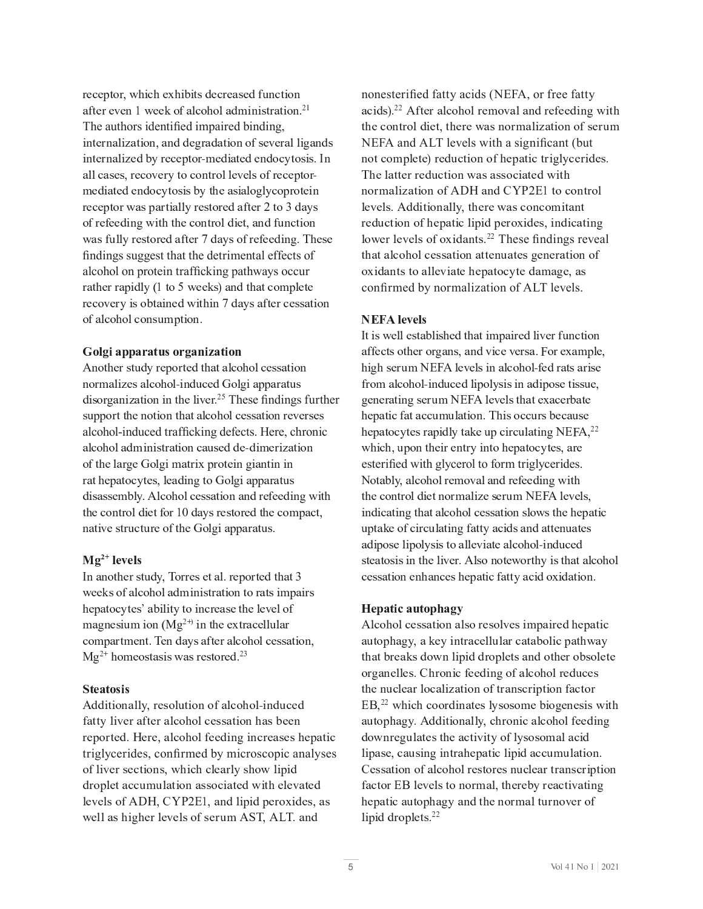$\Gamma_{\rm eff}$  g  $\Gamma_{\rm eff}$  and  $\Gamma_{\rm eff}$  and  $\Gamma_{\rm eff}$  $\mathbf{A}$ The authors identified impaired binding, P <sup>I</sup> <sup>G</sup> <sup>C</sup> <sup>F</sup> <sup>I</sup> <sup>E</sup> <sup>M</sup> <sup>P</sup> <sup>H</sup> <sup>E</sup> <sup>G</sup> <sup>P</sup> <sup>J</sup> <sup>I</sup> <sup>R</sup> <sup>E</sup> <sup>I</sup> <sup>O</sup> <sup>O</sup> <sup>C</sup> <sup>V</sup> <sup>F</sup> <sup>E</sup> <sup>O</sup> <sup>E</sup> <sup>G</sup> <sup>P</sup> <sup>J</sup> <sup>I</sup> <sup>J</sup> <sup>K</sup> <sup>U</sup> <sup>C</sup> <sup>Y</sup> <sup>C</sup> <sup>F</sup> <sup>E</sup> <sup>M</sup> <sup>M</sup> <sup>P</sup> <sup>V</sup> <sup>E</sup> <sup>I</sup> <sup>O</sup> <sup>U</sup> E <sup>M</sup> <sup>M</sup> <sup>Q</sup> <sup>E</sup> <sup>U</sup> <sup>C</sup> <sup>U</sup> <sup>R</sup> <sup>F</sup> <sup>C</sup> <sup>Q</sup> <sup>J</sup> <sup>Y</sup> <sup>C</sup> <sup>F</sup> <sup>W</sup> <sup>G</sup> <sup>J</sup> <sup>Q</sup> <sup>J</sup> <sup>I</sup> <sup>G</sup> <sup>F</sup> <sup>J</sup> <sup>M</sup> <sup>M</sup> <sup>C</sup> <sup>Y</sup> <sup>C</sup> <sup>M</sup> <sup>U</sup> <sup>J</sup> <sup>K</sup> <sup>F</sup> <sup>C</sup> <sup>Q</sup> <sup>C</sup> <sup>D</sup> <sup>G</sup> <sup>J</sup> <sup>F</sup> <sup>e</sup> H C O P E G C O P E G C O P E G C O P E G C O G U P E M J V M G J D F J G G C P I D F J D F J D F J D F J G G J <sup>K</sup> <sup>F</sup> <sup>C</sup> <sup>K</sup> <sup>C</sup> <sup>C</sup> <sup>O</sup> <sup>P</sup> <sup>I</sup> <sup>V</sup> <sup>g</sup> <sup>P</sup> G \_ <sup>G</sup> \_ <sup>C</sup> <sup>Q</sup> <sup>J</sup> <sup>I</sup> <sup>G</sup> <sup>F</sup> <sup>J</sup> <sup>M</sup> <sup>O</sup> <sup>P</sup> <sup>C</sup> <sup>G</sup> <sup>R</sup> <sup>E</sup> <sup>I</sup> <sup>O</sup> <sup>K</sup> <sup>l</sup> <sup>I</sup> <sup>Q</sup> <sup>G</sup> <sup>P</sup> <sup>J</sup> <sup>I</sup> g E U K l M M W F C O E K G G J F C O E W U J K F C O E W U J K F E O E W U J K F C O P I V B D D D D D D D D findings suggest that the detrimental effects of alcohol on protein trafficking pathways occur F E G  $\sim$  C  $\sim$  F  $\sim$  G  $\sim$  G  $\sim$  G  $\sim$  G  $\sim$  G  $\sim$  G  $\sim$  G  $\sim$  G  $\sim$  G  $\sim$  $\mathcal{L}_\text{L}$  and  $\mathcal{L}_\text{L}$  and  $\mathcal{L}_\text{L}$  and  $\mathcal{L}_\text{L}$  is a set  $\mathcal{L}_\text{L}$ 

d I  $\alpha$  is the  $1$  G  $\alpha$  -c  $\beta$  and  $\beta$  and  $\beta$  and  $\beta$  and  $\beta$  and  $\beta$  is the  $\beta$  -c  $\beta$ In the matrix  $\mathcal{L} = \mathcal{L} \mathcal{L}$  , we have the problem of the problem  $\mathcal{L} = \mathcal{L} \mathcal{L}$ disorganization in the liver.<sup>25</sup> These findings further  $U$  is defined as  $U$  d  $D$  and  $\bar{U}$  and  $\bar{U}$  and  $\bar{U}$  and  $\bar{U}$  and  $\bar{U}$  is defined as  $\bar{U}$ alcohol-induced trafficking defects. Here, chronic  $J_{\rm eff}$  (  $J_{\rm eff}$  ) and  $J_{\rm eff}$  is the first particle in the interval  $\mu$  and  $\mu$  is the interval  $\mu$ F E G  $\sim$  C  $\sim$  C  $\sim$  C  $\sim$  C  $\sim$  C  $\sim$  C  $\sim$  C  $\sim$  C  $\sim$  C  $\sim$  C  $\sim$  C  $\sim$  C  $\sim$  C  $\sim$  C  $\sim$  C  $\sim$  C  $\sim$  C  $\sim$  C  $\sim$  C  $\sim$  C  $\sim$  C  $\sim$  C  $\sim$  C  $\sim$  C  $\sim$  C  $\sim$  C  $\sim$  C  $\sim$  C  $\sim$  C  $\sim$  C  $\sim$   $G = \{x \in \mathbb{R}^d : |x| \leq \epsilon \}$ I <sup>E</sup> <sup>G</sup> <sup>P</sup> Y <sup>C</sup> <sup>U</sup> <sup>G</sup> <sup>F</sup> <sup>l</sup> <sup>Q</sup> <sup>G</sup> <sup>l</sup> <sup>F</sup> <sup>C</sup> <sup>J</sup> <sup>K</sup> <sup>G</sup> \_ <sup>C</sup> <sup>T</sup> <sup>J</sup> <sup>M</sup> <sup>V</sup> <sup>P</sup> <sup>E</sup> <sup>D</sup> <sup>D</sup> <sup>E</sup> <sup>F</sup> <sup>E</sup> <sup>G</sup> <sup>l</sup> <sup>U</sup> <sup>b</sup>

#### \_ \_ \_

L I E I G  $\bar{L}$  is the contract of the contract of  $\bar{L}$  f  $\bar{L}$  f  $\bar{L}$  and  $\bar{L}$  f  $\bar{L}$  f  $\bar{L}$  f  $\bar{L}$  $\mathcal{L} = \mathcal{L} \times \mathcal{L}$  $\mathcal{F} = \mathcal{F} \cup \mathcal{F}$  is a non-dependent of  $\mathcal{F}$  and  $\mathcal{F}$  and  $\mathcal{F}$  are  $\mathcal{F}$  .  $\Lambda$  . The set of the set of  $\Lambda$ 

d O  $\alpha$  is the contract of  $\alpha$  in  $\alpha$  in  $\alpha$  is the p interaction of  $\alpha$  in  $\alpha$  is the p interaction of  $\alpha$  $K_{\rm eff}$  is the contract of the contract of  $\mu$  and  $\mu$  and  $\mu$  and  $\mu$  and  $\mu$  is the contract of the contract of the contract of the contract of the contract of the contract of the contract of the contract of the c triglycerides, confirmed by microscopic analyses  $J_{\rm eff}$  , we can consider the probability of  $\mu$  and  $\mu$  and  $\mu$  and  $\mu$  and  $\mu$  and  $\mu$  and  $\mu$  $M_{\rm H}$  and  $M_{\rm H}$  is a p  $R$  -r expected by  $R$  in  $R$  in  $R$  in  $R$  expected by  $\alpha$  in  $R$  in  $\alpha$ g C M  $C$  M  $C$   $\geq$   $C$   $\geq$   $C$   $\geq$   $C$   $\geq$   $C$   $\geq$   $C$   $\geq$   $C$   $\geq$   $C$   $\geq$   $C$   $\geq$   $C$   $\geq$   $C$   $\geq$   $C$   $\geq$   $C$   $\geq$   $C$   $\geq$   $C$   $\geq$   $C$   $\geq$   $C$   $\geq$   $C$   $\geq$   $C$   $\geq$   $C$   $\geq$   $C$   $\geq$ 

nonesterified fatty acids (NEFA, or free fatty  $\mathbf{A} \mathbf{A}$  $G = \{x \in \mathbb{R}^d : |x| \leq \epsilon \}$ NEFA and ALT levels with a significant (but) The latter reduction was associated with I H E M  $F$  H E  $\mathcal{F}$  is a given by  $\mathcal{F}$  and  $\mathcal{F}$  and  $\mathcal{F}$  are  $\mathcal{F}$  and  $\mathcal{F}$  and  $\mathcal{F}$  are  $\mathcal{F}$  and  $\mathcal{F}$  are  $\mathcal{F}$  and  $\mathcal{F}$  are  $\mathcal{F}$  and  $\mathcal{F}$  are  $\mathcal{F}$  and  $\mathcal{F}$  are F <sup>C</sup> <sup>O</sup> <sup>l</sup> <sup>Q</sup> <sup>G</sup> <sup>P</sup> <sup>J</sup> <sup>I</sup> <sup>J</sup> <sup>K</sup> \_ <sup>C</sup> <sup>D</sup> <sup>E</sup> <sup>G</sup> <sup>P</sup> <sup>Q</sup> <sup>M</sup> <sup>P</sup> <sup>D</sup> <sup>P</sup> <sup>O</sup> <sup>D</sup> <sup>C</sup> <sup>F</sup> <sup>J</sup> <sup>C</sup> <sup>P</sup> <sup>O</sup> <sup>C</sup> <sup>U</sup> <sup>R</sup> <sup>P</sup> <sup>I</sup> <sup>O</sup> <sup>P</sup> <sup>Q</sup> <sup>E</sup> <sup>G</sup> <sup>P</sup> <sup>I</sup> <sup>V</sup> lower levels of oxidants.<sup>22</sup> These findings reveal  $J_{\rm eff}$  (  $J_{\rm eff}$  ) and  $J_{\rm eff}$  and  $J_{\rm eff}$  and  $J_{\rm eff}$  and  $J_{\rm eff}$  and  $J_{\rm eff}$  and  $J_{\rm eff}$  and  $J_{\rm eff}$ confirmed by normalization of ALT levels.

#### **NEFA** levels

 $L_{\rm eff}$  except  $L_{\rm eff}$  and  $R_{\rm eff}$  is the p  $R_{\rm eff}$  $\mathbb{R}$  and the internal definition of the internal definition of the internal definition of the internal definition of the internal definition of the internal definition of the internal definition of the internal defini  $P$  v  $P$   $\sim$   $P$   $\sim$   $P$   $\sim$   $P$   $\sim$   $P$   $\sim$   $P$   $\sim$   $P$   $\sim$   $P$   $\sim$   $P$   $\sim$   $P$   $\sim$   $P$   $\sim$   $P$   $\sim$   $P$   $\sim$   $P$   $\sim$   $P$   $\sim$   $P$   $\sim$   $P$   $\sim$   $P$   $\sim$   $P$   $\sim$   $P$   $\sim$   $P$   $\sim$   $P$   $\sim$   $P$   $\sim$   $P$   $\sim$ K F J H E M E M E M E M E M H E M E M H E O L Q C O M P D J U L C O M P D J U L C R V U L C R V U L C G P U L V <sup>C</sup> <sup>I</sup> <sup>C</sup> <sup>F</sup> <sup>E</sup> <sup>G</sup> <sup>P</sup> <sup>I</sup> <sup>V</sup> <sup>U</sup> <sup>C</sup> <sup>F</sup> <sup>l</sup> <sup>H</sup> <sup>Z</sup> <sup>j</sup> n <sup>d</sup> <sup>M</sup> <sup>C</sup> <sup>Y</sup> <sup>C</sup> <sup>M</sup> <sup>U</sup> <sup>G</sup> \_ <sup>E</sup> <sup>G</sup> <sup>C</sup> <sup>C</sup> <sup>E</sup> <sup>Q</sup> <sup>C</sup> <sup>F</sup> [ <sup>E</sup> <sup>G</sup> <sup>C</sup>  $\mathcal{L} = \mathcal{L} \times \mathcal{L}$  , where  $\mathcal{L} = \mathcal{L} \times \mathcal{L}$  and  $\mathcal{L} = \mathcal{L} \times \mathcal{L}$  and  $\mathcal{L} = \mathcal{L} \times \mathcal{L}$  $\mathcal{L} = \mathcal{L} \cup \mathcal{L}$  and  $\mathcal{L} = \mathcal{L} \cup \mathcal{L}$  is a set of  $\mathcal{L} = \mathcal{L} \cup \mathcal{L}$  in the f  $\mathcal{L} = \mathcal{L} \cup \mathcal{L}$ esterified with glycerol to form triglycerides. Z <sup>J</sup> <sup>G</sup> <sup>E</sup> [ <sup>M</sup> W <sup>R</sup> <sup>E</sup> <sup>M</sup> <sup>Q</sup> <sup>J</sup> \_ <sup>J</sup> <sup>M</sup> <sup>F</sup> <sup>C</sup> <sup>H</sup> <sup>J</sup> <sup>Y</sup> <sup>E</sup> <sup>M</sup> <sup>E</sup> <sup>I</sup> <sup>O</sup> <sup>F</sup> <sup>C</sup> <sup>K</sup> <sup>C</sup> <sup>C</sup> <sup>O</sup> <sup>P</sup> <sup>I</sup> <sup>V</sup> <sup>g</sup> <sup>P</sup> G \_ G Z J I G J I G H H E M O P H E M O P H E M O P H E M O P H E M O P H E M H E M H E M O P H E M H E M H E M U  $P$  is a positive different parameter  $P$  and  $P$  and  $P$  and  $P$  and  $P$   $\in$   $Q$   $\in$   $Q$   $\in$   $Q$   $\in$   $Q$   $\in$   $Q$   $\in$   $Q$   $\in$   $Q$   $\in$   $Q$   $\in$   $Q$   $\in$   $Q$   $\in$   $Q$   $\in$   $Q$   $\in$   $Q$   $\in$   $Q$   $\in$   $Q$   $\in$   $Q$   $\in$ l D G E  $\bar{C}$  C  $\bar{C}$  and  $\bar{C}$  is the f  $\bar{C}$  -contract  $\bar{C}$  and  $\bar{C}$  is the f  $\bar{C}$  contract of  $\bar{C}$ U <sup>G</sup> <sup>C</sup> <sup>E</sup> <sup>G</sup> <sup>J</sup> <sup>U</sup> <sup>P</sup> <sup>U</sup> <sup>P</sup> <sup>I</sup> <sup>G</sup> \_ <sup>C</sup> <sup>M</sup> <sup>P</sup> Y <sup>C</sup> <sup>F</sup> <sup>b</sup> <sup>d</sup> <sup>M</sup> <sup>U</sup> <sup>J</sup> <sup>I</sup> <sup>J</sup> <sup>G</sup> <sup>C</sup> <sup>g</sup> <sup>J</sup> <sup>F</sup> <sup>G</sup> \_ <sup>W</sup> <sup>P</sup> <sup>U</sup> <sup>G</sup> \_ <sup>E</sup> <sup>G</sup> <sup>E</sup> <sup>M</sup> <sup>Q</sup> <sup>J</sup> \_ <sup>J</sup> <sup>M</sup>  $\mathcal{L}_{\mathcal{L}}$  is the distribution of the distribution of  $\mathcal{L}_{\mathcal{L}}$  and  $\mathcal{L}_{\mathcal{L}}$  and  $\mathcal{L}_{\mathcal{L}}$ 

#### Hepatic autophagy

d M  $\bar{M}$  ,  $\bar{M}$  and  $\bar{M}$  and  $\bar{M}$  is the p  $\bar{M}$  -c  $\bar{M}$  and  $\bar{M}$  and  $\bar{M}$  and  $\bar{M}$  and  $\bar{M}$  $G = \frac{1}{2} \sum_{i=1}^n \frac{1}{2} \sum_{j=1}^n \frac{1}{2} \sum_{j=1}^n \frac{1}{2} \sum_{j=1}^n \frac{1}{2} \sum_{j=1}^n \frac{1}{2} \sum_{j=1}^n \frac{1}{2} \sum_{j=1}^n \frac{1}{2} \sum_{j=1}^n \frac{1}{2} \sum_{j=1}^n \frac{1}{2} \sum_{j=1}^n \frac{1}{2} \sum_{j=1}^n \frac{1}{2} \sum_{j=1}^n \frac{1}{2} \sum_{j=1}^n \frac{1}{2} \sum_{$  $J_{\rm eff}$  is a mass  $T_{\rm eff}$  in the definition of  $T_{\rm eff}$  and  $T_{\rm eff}$  and  $T_{\rm eff}$  and  $T_{\rm eff}$  $\mathbf{A}$   $\mathbf{A}$ E l G  $\bar{B}$  d  $\bar{B}$  and  $\bar{B}$  and  $\bar{B}$  is defined by a p  $\bar{B}$  and  $\bar{B}$  and  $\bar{B}$  and  $\bar{B}$  $\mathcal{L}_{\mathcal{L}}$  , we define the definition of the definition of  $\mathcal{L}_{\mathcal{L}}$  and  $\mathcal{L}_{\mathcal{L}}$  $\mathcal{L} = \{ \mathcal{L}_1 \mid \mathcal{L}_2 \in \mathcal{L}_1 \}$  , where  $\mathcal{L}_1$  is the properties of  $\mathcal{L}_2$  $\mathcal{L} = \mathcal{L} \times \mathcal{L}$  , where  $\mathcal{L} = \mathcal{L} \times \mathcal{L}$  and  $\mathcal{L} = \mathcal{L} \times \mathcal{L}$  and  $\mathcal{L} = \mathcal{L} \times \mathcal{L}$  $\mathcal{A}$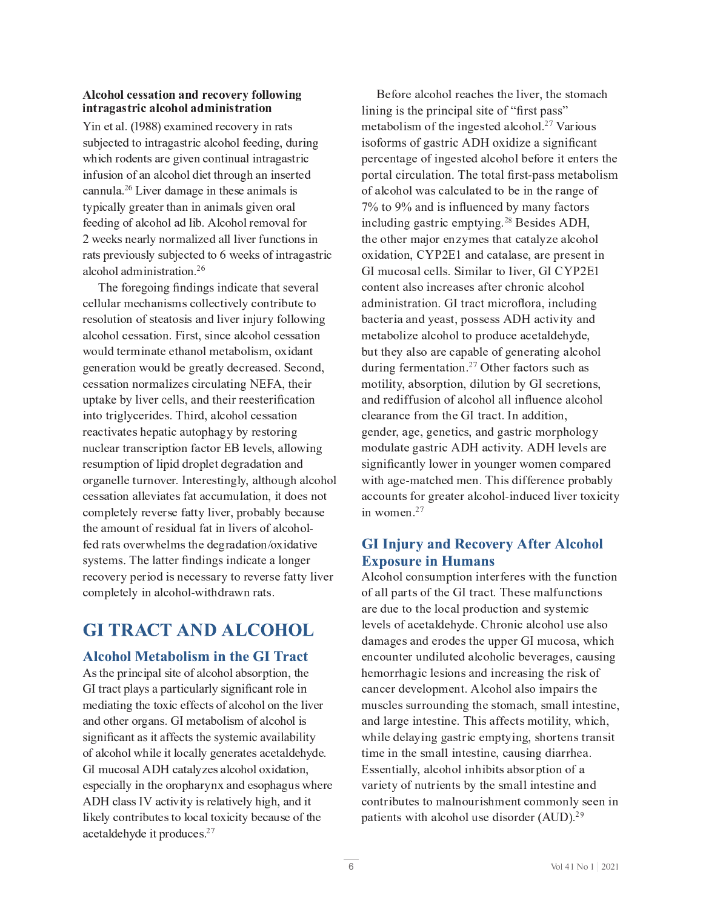#### $\cdot$  . The set of the set of the set of the set of the set of the set of the set of the set of the set of the set of the set of the set of the set of the set of the set of the set of the set of the set of the set of the s . , <sup>1</sup> <sup>+</sup> <sup>Z</sup> % <sup>1</sup> <sup>+</sup> . <sup>&</sup>gt; <sup>&</sup>gt; " ! " <sup>5</sup> # . , . % <sup>1</sup> <sup>+</sup> <sup>1</sup> . " ,

Yin et al. (1988) examined recovery in rats  $U_{\rm eff}$  is the contract of  $C$  and  $C$  and  $\bar{C}$  and  $\bar{C}$  is the contract of  $\bar{C}$  and  $\bar{C}$  is the contract of  $\bar{C}$  $P$  is the interaction of the interaction of  $\mathcal{P}$  and  $\mathcal{P}$  and  $\mathcal{P}$  is the interaction of  $\mathcal{P}$  $\overline{a}$  and  $\overline{a}$   $\overline{b}$  if  $\overline{b}$  is a multiplier  $\overline{a}$  is a multiplier  $\overline{a}$  in  $\overline{b}$  is a multiplier  $\overline{a}$  is a multiplier  $\overline{a}$  is a multiplier  $\overline{a}$  is a multiplier  $\overline{a}$  is a multiplier K <sup>C</sup> <sup>C</sup> <sup>O</sup> <sup>P</sup> <sup>I</sup> <sup>V</sup> <sup>J</sup> <sup>K</sup> <sup>E</sup> <sup>M</sup> <sup>Q</sup> <sup>J</sup> \_ <sup>J</sup> <sup>M</sup> <sup>E</sup> <sup>O</sup> <sup>M</sup> <sup>P</sup> [ <sup>b</sup> <sup>d</sup> <sup>M</sup> <sup>Q</sup> <sup>J</sup> \_ <sup>J</sup> <sup>M</sup> <sup>F</sup> <sup>C</sup> <sup>H</sup> <sup>J</sup> <sup>Y</sup> <sup>E</sup> <sup>M</sup> <sup>K</sup> <sup>J</sup> <sup>F</sup> 2 weeks nearly normalized all liver functions in  $\mathbf{A}$ 

The foregoing findings indicate that several F C U J M l G P  $\sim$  10 M l G  $\sim$  10 M  $\sim$  10 M  $\sim$  10 M  $\sim$  10 M  $\sim$  10 M  $\sim$  10 M  $\sim$  10 M  $\sim$ E <sup>M</sup> <sup>Q</sup> <sup>J</sup> \_ <sup>J</sup> <sup>M</sup> <sup>Q</sup> <sup>C</sup> <sup>U</sup> <sup>U</sup> <sup>E</sup> <sup>G</sup> <sup>P</sup> <sup>J</sup> <sup>I</sup> <sup>b</sup> <sup>n</sup> P <sup>F</sup> <sup>U</sup> <sup>G</sup> <sup>R</sup> <sup>U</sup> <sup>P</sup> <sup>I</sup> <sup>Q</sup> <sup>C</sup> <sup>E</sup> <sup>M</sup> <sup>Q</sup> <sup>J</sup> \_ <sup>J</sup> <sup>M</sup> <sup>Q</sup> <sup>C</sup> <sup>U</sup> <sup>U</sup> <sup>E</sup> <sup>G</sup> <sup>P</sup> <sup>J</sup> <sup>I</sup>  $V_{\rm eff}$  is a group of the distribution of the distribution of the distribution of the state  $\mu$ Q <sup>C</sup> <sup>U</sup> <sup>U</sup> <sup>E</sup> <sup>G</sup> <sup>P</sup> <sup>J</sup> <sup>I</sup> <sup>I</sup> <sup>J</sup> <sup>F</sup> <sup>H</sup> <sup>E</sup> <sup>M</sup> <sup>P</sup> <sup>H</sup> <sup>C</sup> <sup>U</sup> <sup>Q</sup> <sup>P</sup> <sup>F</sup> <sup>Q</sup> <sup>l</sup> <sup>M</sup> <sup>E</sup> <sup>G</sup> <sup>P</sup> <sup>I</sup> <sup>V</sup> <sup>Z</sup> <sup>j</sup> n <sup>d</sup> <sup>R</sup> <sup>G</sup> \_ <sup>C</sup> <sup>P</sup> <sup>F</sup> uptake by liver cells, and their reesterification P I G  $\sim$  P  $\sim$  P  $\sim$  P  $\sim$  P  $\sim$  P  $\sim$  P  $\sim$  P  $\sim$  P  $\sim$  P  $\sim$  P  $\sim$  P  $\sim$  P  $\sim$  P  $\sim$  P  $\sim$  P  $\sim$  P  $\sim$  P  $\sim$  P  $\sim$  P  $\sim$  P  $\sim$  P  $\sim$  P  $\sim$  P  $\sim$  P  $\sim$  P  $\sim$  P  $\sim$  P  $\sim$  P  $\sim$  P  $\sim$  P  $\sim$  P F C E  $\mathcal{L}_{\mathcal{L}}$  and  $\mathcal{L}_{\mathcal{L}}$  and  $\mathcal{L}_{\mathcal{L}}$  and  $\mathcal{L}_{\mathcal{L}}$  and  $\mathcal{L}_{\mathcal{L}}$  for  $\mathcal{L}_{\mathcal{L}}$ F C U l H D G P  $\bar{D}$  is a given by  $\bar{D}$  and  $\bar{D}$  and  $\bar{D}$  and  $\bar{D}$  and  $\bar{D}$  is a given by  $\bar{D}$  $J_{\rm eff}$  is the complex mass  $\mu$  in  $\mu$  and  $\mu$  and  $\mu$  and  $\mu$  and  $\mu$  and  $\mu$  is the complex mass  $\mu$  $\mathcal{L}_{\mathcal{L}}$  , and the complex extension of  $\mathcal{L}_{\mathcal{L}}$  and  $\mathcal{L}_{\mathcal{L}}$  and  $\mathcal{L}_{\mathcal{L}}$  and  $\mathcal{L}_{\mathcal{L}}$ G \_ <sup>C</sup> <sup>E</sup> <sup>H</sup> <sup>J</sup> <sup>l</sup> <sup>I</sup> <sup>G</sup> <sup>J</sup> <sup>K</sup> <sup>F</sup> <sup>C</sup> <sup>U</sup> <sup>P</sup> <sup>O</sup> <sup>l</sup> <sup>E</sup> <sup>M</sup> <sup>K</sup> <sup>E</sup> <sup>G</sup> <sup>P</sup> <sup>I</sup> <sup>M</sup> <sup>P</sup> Y <sup>C</sup> <sup>F</sup> <sup>U</sup> <sup>J</sup> <sup>K</sup> <sup>E</sup> <sup>M</sup> <sup>Q</sup> <sup>J</sup> \_ <sup>J</sup> <sup>M</sup> <sup>e</sup> systems. The latter findings indicate a longer F C  $\bar{C}$  and  $\bar{C}$  and  $\bar{C}$  and  $\bar{C}$  and  $\bar{C}$  and  $\bar{C}$  f w  $\bar{C}$  f  $\bar{C}$  and  $\bar{C}$  f  $\bar{C}$  f  $\bar{C}$  f  $\bar{C}$  f  $\bar{C}$  f  $\bar{C}$  f  $\bar{C}$  f  $\bar{C}$  f  $\bar{C}$  f  $\bar{C}$  f  $\bar{C}$  f  $\bar{C}$  f  $\bar$ 

# **GI TRACT AND ALCOHOL**

#### **Alcohol Metabolism in the GI Tract**

 $\mathcal{L}^{\mathcal{L}}$ GI tract plays a particularly significant role in  $\mathcal{L} = \mathcal{L} \times \mathcal{L}$  and  $\mathcal{L} = \mathcal{L} \times \mathcal{L}$  and  $\mathcal{L} = \mathcal{L} \times \mathcal{L}$  and  $\mathcal{L} = \mathcal{L} \times \mathcal{L}$  $\mathcal{L}_{\mathcal{L}}$  is the first definition of  $\mathcal{L}_{\mathcal{L}}$  and  $\mathcal{L}_{\mathcal{L}}$  and  $\mathcal{L}_{\mathcal{L}}$  and  $\mathcal{L}_{\mathcal{L}}$ significant as it affects the systemic availability  $\mathcal{F}$  and  $\mathcal{F}$  and  $\mathcal{F}$  and  $\mathcal{F}$  and  $\mathcal{F}$  and  $\mathcal{F}$  exceptions of  $\mathcal{F}$  and  $\mathcal{F}$ T <sup>L</sup> <sup>H</sup> <sup>l</sup> <sup>Q</sup> <sup>J</sup> <sup>U</sup> <sup>E</sup> <sup>M</sup> <sup>d</sup> <sup>B</sup> <sup>h</sup> <sup>Q</sup> <sup>E</sup> <sup>G</sup> <sup>E</sup> <sup>M</sup> W <sup>H</sup> <sup>C</sup> <sup>U</sup> <sup>E</sup> <sup>M</sup> <sup>Q</sup> <sup>J</sup> \_ <sup>J</sup> <sup>M</sup> <sup>J</sup> <sup>C</sup> <sup>P</sup> <sup>O</sup> <sup>E</sup> <sup>G</sup> <sup>P</sup> <sup>J</sup> <sup>I</sup> <sup>R</sup> d <sup>B</sup> <sup>h</sup> <sup>Q</sup> <sup>M</sup> <sup>E</sup> <sup>U</sup> <sup>U</sup> <sup>L</sup> <sup>c</sup> <sup>E</sup> <sup>Q</sup> <sup>G</sup> <sup>P</sup> Y <sup>P</sup> G <sup>W</sup> <sup>P</sup> <sup>U</sup> <sup>F</sup> <sup>C</sup> <sup>M</sup> <sup>E</sup> <sup>G</sup> <sup>P</sup> Y <sup>C</sup> <sup>M</sup> W \_ <sup>P</sup> <sup>V</sup> \_ <sup>R</sup> <sup>E</sup> <sup>I</sup> <sup>O</sup> <sup>P</sup> G M  $\sim$  C  $\sim$  C  $\sim$  C  $\sim$  C  $\sim$  C  $\sim$  C  $\sim$  C  $\sim$  C  $\sim$  C  $\sim$  C  $\sim$  C  $\sim$  C  $\sim$  C  $\sim$  C  $\sim$  C  $\sim$  C  $\sim$  $\mathcal{L} = \mathcal{L} \mathcal{L} \mathcal{L} \mathcal{L}$ 

 $\mathcal{L}_\mathrm{G}$  and  $\mathcal{L}_\mathrm{G}$  and  $\mathcal{L}_\mathrm{G}$  and  $\mathcal{L}_\mathrm{G}$  and  $\mathcal{L}_\mathrm{G}$  and  $\mathcal{L}_\mathrm{G}$  and  $\mathcal{L}_\mathrm{G}$ lining is the principal site of "first pass" H <sup>C</sup> <sup>G</sup> <sup>E</sup> [ <sup>J</sup> <sup>M</sup> <sup>P</sup> <sup>U</sup> <sup>H</sup> <sup>J</sup> <sup>K</sup> <sup>G</sup> \_ <sup>C</sup> <sup>P</sup> <sup>I</sup> <sup>V</sup> <sup>C</sup> <sup>U</sup> <sup>G</sup> <sup>C</sup> <sup>O</sup> <sup>E</sup> <sup>M</sup> <sup>Q</sup> <sup>J</sup> \_ <sup>J</sup> <sup>M</sup> <sup>b</sup> ? <sup>Q</sup> <sup>c</sup> <sup>E</sup> <sup>F</sup> <sup>P</sup> <sup>J</sup> <sup>l</sup> <sup>U</sup> isoforms of gastric ADH oxidize a significant portal circulation. The total first-pass metabolism  $J_{\rm eff}$  , and the matrix  $J_{\rm eff}$  and  $J_{\rm eff}$  is the matrix of  $J_{\rm eff}$  and  $J_{\rm eff}$  and  $J_{\rm eff}$  $7\%$  to 9% and is influenced by many factors  $\mathbf{A} \mathbf{A}$  $G = \frac{1}{2} \int_{0}^{2\pi} \frac{1}{2} \, \mathrm{d} \omega$  , where  $\omega$  is the distribution of  $\omega$  and  $\omega$  and  $\omega$ T L H  $\sim$  10 M U  $\sim$  10 M U  $\sim$  10 M U  $\sim$  10 M U  $\sim$  20 M U  $\sim$  20 M U  $\sim$  20 M U  $\sim$  20 M U  $\sim$  20 M U  $\sim$  $\mathcal{L}_{\mathcal{L}}$  is the contract of the contract of  $\mathcal{L}_{\mathcal{L}}$  and  $\mathcal{L}_{\mathcal{L}}$  and  $\mathcal{L}_{\mathcal{L}}$  and  $\mathcal{L}_{\mathcal{L}}$ administration. GI tract microflora, including  $\mathcal{L}^{\mathcal{L}}(\mathcal{L}^{\mathcal{L}})$  and the extent of the distribution of  $\mathcal{L}^{\mathcal{L}}$ H C G E  $\mathcal{L}_{\mathcal{L}}$  and  $\mathcal{L}_{\mathcal{L}}$  and  $\mathcal{L}_{\mathcal{L}}$  and  $\mathcal{L}_{\mathcal{L}}$  of  $\mathcal{L}_{\mathcal{L}}$  and  $\mathcal{L}_{\mathcal{L}}$  $\overline{a}$  is a contract to  $\overline{a}$  and  $\overline{a}$  and  $\overline{a}$  f uncertainty  $\overline{a}$ H  $\mathcal{H}_{\rm eff}$  and  $\mathcal{H}_{\rm eff}$  is a group of the distribution of  $\mathcal{H}_{\rm eff}$  and  $\mathcal{H}_{\rm eff}$ and rediffusion of alcohol all influence alcohol  $\mathcal{L}_\text{C}$  and  $\mathcal{L}_\text{C}$  is the contract of the contract of  $\mathcal{L}_\text{C}$  and  $\mathcal{L}_\text{C}$  is the contract of the contract of  $\mathcal{L}_\text{C}$  $V_{\rm eff}$  C  $V_{\rm eff}$  can be a very defined by  $V_{\rm eff}$  and  $V_{\rm eff}$  and  $V_{\rm eff}$  and  $V_{\rm eff}$ significantly lower in younger women compared  $\mathcal{L}_{\mathcal{L}}$  e H  $\mathcal{L}_{\mathcal{L}}$  and  $\mathcal{L}_{\mathcal{L}}$  b  $\mathcal{L}_{\mathcal{L}}$  and  $\mathcal{L}_{\mathcal{L}}$  and  $\mathcal{L}_{\mathcal{L}}$  and  $\mathcal{L}_{\mathcal{L}}$  $\mathbf{A}$ 

### **GI Injury and Recovery After Alcohol Exposure in Humans**

d M  $\bar{M}$  ,  $\bar{M}$  and  $\bar{M}$  is the distribution of  $\bar{M}$  and  $\bar{M}$  and  $\bar{M}$  and  $\bar{M}$  $\mathcal{L}_{\mathcal{L}}$  and  $\mathcal{L}_{\mathcal{L}}$  and  $\mathcal{L}_{\mathcal{L}}$  and  $\mathcal{L}_{\mathcal{L}}$  and  $\mathcal{L}_{\mathcal{L}}$  and  $\mathcal{L}_{\mathcal{L}}$  and  $\mathcal{L}_{\mathcal{L}}$  $M_{\rm C}$  C  $M_{\rm C}$  ,  $M_{\rm C}$  and  $M_{\rm C}$  and  $M_{\rm C}$  and  $M_{\rm C}$  is a set of  $M_{\rm C}$  and  $M_{\rm C}$  $C$  is a given by the contract of the contract of  $\mathcal{L}$  and  $\mathcal{L}$  and  $\mathcal{L}$  and  $\mathcal{L}$  and  $\mathcal{L}$  is a given by the contract of the contract of  $\mathcal{L}$  $\mathcal{L}_\text{max}$  is the contract of the interaction of  $\mathcal{L}_\text{max}$  and  $\mathcal{L}_\text{max}$  and  $\mathcal{L}_\text{max}$ H l U  $\mathcal{U}$  is the set of the  $\mathcal{U}$  -defined by  $\mathcal{U}$  and  $\mathcal{U}$  and  $\mathcal{U}$  and  $\mathcal{U}$  and  $\mathcal{U}$  and  $\mathcal{U}$  and  $\mathcal{U}$  and  $\mathcal{U}$  and  $\mathcal{U}$  and  $\mathcal{U}$  and  $\mathcal{U}$  and  $\mathcal{U}$  $E = \frac{1}{2}$  of  $E = \frac{1}{2}$  and  $E = \frac{1}{2}$  and  $E = \frac{1}{2}$  and  $E = \frac{1}{2}$  and  $E = \frac{1}{2}$  and  $E = \frac{1}{2}$  $G$  is the contract of  $\mathcal{L}$  in the contract of  $\mathcal{L}$  and  $\mathcal{L}$  and  $\mathcal{L}$  is the contract of  $\mathcal{L}$ j U U C I G  $\mu$  and  $\mu$  and  $\mu$  and  $\mu$  and  $\mu$  and  $\mu$  is the p interface  $\mu$  interface  $\mu$  $\mathcal{L}_{\mathcal{L}}$  is the first particle in the matrix  $\mathcal{L}_{\mathcal{L}}$  and  $\mathcal{L}_{\mathcal{L}}$  and  $\mathcal{L}_{\mathcal{L}}$  is the matrix of  $\mathcal{L}_{\mathcal{L}}$  $D_{\rm eff}$  G  $P_{\rm eff}$  g  $P_{\rm eff}$  and  $P_{\rm eff}$  and  $P_{\rm eff}$  and  $P_{\rm eff}$  and  $P_{\rm eff}$  b  $P_{\rm eff}$  b  $P_{\rm eff}$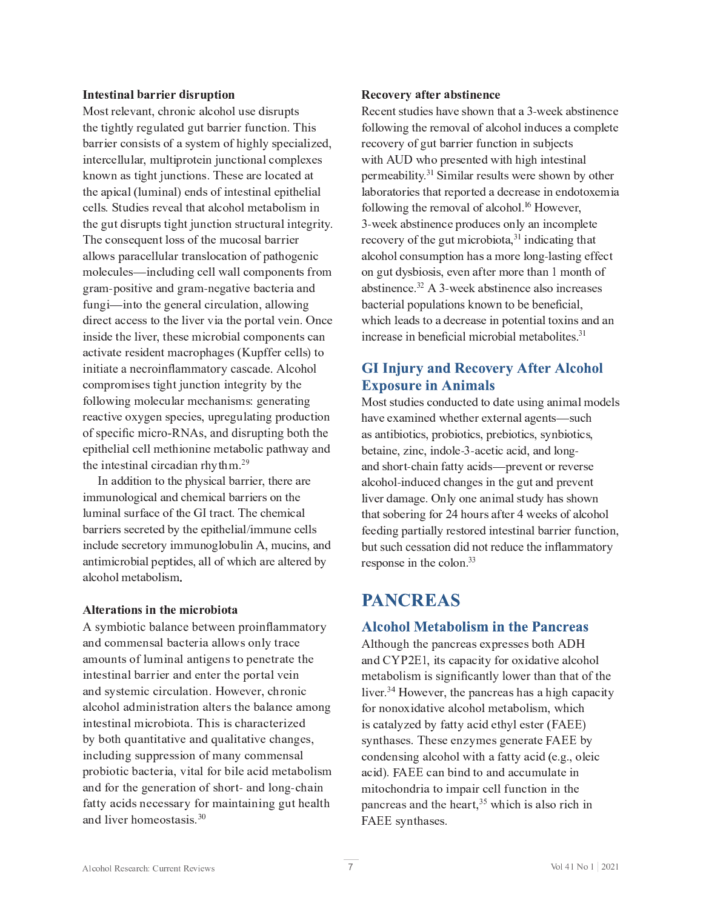#### **Intestinal barrier disruptio**

 $G = \{x \in \mathbb{R}^d : |x| \leq \epsilon \}$  $\mathcal{L} = \{ \mathbf{F}_1, \mathbf{F}_2, \ldots, \mathbf{F}_N \}$  with  $\mathcal{L} = \{ \mathbf{F}_1, \mathbf{F}_2, \ldots, \mathbf{F}_N \}$ \ <sup>I</sup> <sup>J</sup> <sup>g</sup> <sup>I</sup> <sup>E</sup> <sup>U</sup> <sup>G</sup> <sup>P</sup> <sup>V</sup> \_ <sup>G</sup> <sup>&</sup>lt; <sup>l</sup> <sup>I</sup> <sup>Q</sup> <sup>G</sup> <sup>P</sup> <sup>J</sup> <sup>I</sup> <sup>U</sup> <sup>b</sup> <sup>D</sup> \_ <sup>C</sup> <sup>U</sup> <sup>C</sup> <sup>E</sup> <sup>F</sup> <sup>C</sup> <sup>M</sup> <sup>J</sup> <sup>Q</sup> <sup>E</sup> <sup>G</sup> <sup>C</sup> <sup>O</sup> <sup>E</sup> <sup>G</sup>  $G = \frac{1}{2} \sum_{i=1}^n \frac{1}{2} \sum_{j=1}^n \frac{1}{2} \sum_{j=1}^n \frac{1}{2} \sum_{j=1}^n \frac{1}{2} \sum_{j=1}^n \frac{1}{2} \sum_{j=1}^n \frac{1}{2} \sum_{j=1}^n \frac{1}{2} \sum_{j=1}^n \frac{1}{2} \sum_{j=1}^n \frac{1}{2} \sum_{j=1}^n \frac{1}{2} \sum_{j=1}^n \frac{1}{2} \sum_{j=1}^n \frac{1}{2} \sum_{j=1}^n \frac{1}{2} \sum_{$  $G = \frac{1}{2} \int_{0}^{2} \frac{1}{2} \, \mathrm{d} \omega$ The consequent loss of the mucosal barrier E M J g U D E F E  $F$  E  $\mathcal{L}$  and  $\mathcal{L}$  is the f g  $\mathcal{L}$  in the f  $\mathcal{L}$  and  $\mathcal{L}$  is the f  $\mathcal{L}$ H  $\mathcal{H}$  M  $\mathcal{H}$  and  $\mathcal{H}$  and  $\mathcal{H}$  and  $\mathcal{H}$  is a set  $\mathcal{H}$  and  $\mathcal{H}$  and  $\mathcal{H}$  is a set  $\mathcal{H}$ V <sup>F</sup> <sup>E</sup> <sup>H</sup> <sup>e</sup> <sup>D</sup> <sup>J</sup> <sup>U</sup> <sup>P</sup> G <sup>P</sup> Y <sup>C</sup> <sup>E</sup> <sup>I</sup> <sup>O</sup> <sup>V</sup> <sup>F</sup> <sup>E</sup> <sup>H</sup> <sup>e</sup> <sup>I</sup> <sup>C</sup> <sup>V</sup> <sup>E</sup> <sup>G</sup> <sup>P</sup> Y <sup>C</sup> [ <sup>E</sup> <sup>Q</sup> <sup>G</sup> <sup>C</sup> <sup>F</sup> <sup>P</sup> <sup>E</sup> <sup>E</sup> <sup>I</sup> <sup>O</sup>  $K_{\rm eff}$  is a positive definition of  $\mu$  and  $\mu$  and  $\mu$  and  $\mu$  and  $\mu$  and  $\mu$  and  $\mu$  and  $\mu$  $\overline{a}$   $\overline{b}$   $\overline{c}$   $\overline{d}$   $\overline{d}$   $\overline{d}$   $\overline{d}$   $\overline{d}$   $\overline{d}$   $\overline{d}$   $\overline{d}$   $\overline{d}$   $\overline{d}$   $\overline{d}$   $\overline{d}$   $\overline{d}$   $\overline{d}$   $\overline{d}$   $\overline{d}$   $\overline{d}$   $\overline{d}$   $\overline{d}$   $\overline{d}$   $\overline{d}$   $\overline{$ P I U P O C G G H P Y C H P Y C H P Y C H P H D J H D J H D J I C I G U Q H D J I C I G U Q J I C I G U Q E I  $E_{\rm eff}$  is the contract of  $\sim$  10  $\mu$  m using the contract of  $\mu$  and  $\mu$  and  $\mu$  and  $\mu$  and  $\mu$ initiate a necroinflammatory cascade. Alcohol  $\mathcal{L}_{\mathcal{A}}$  is a group of the distribution of  $\mathcal{A}$  and  $\mathcal{A}$  are distribution of  $\mathcal{A}$  and  $\mathcal{A}$  $K_{\rm eff}$  is the distribution of the  $\mu$  m  $\mu$  and  $\mu$  is the distribution of  $\mu$  in  $\mu$ F C  $C$  C  $P$   $\sim$   $C$   $\sim$   $C$   $\sim$   $C$   $\sim$   $C$   $\sim$   $C$   $\sim$   $C$   $\sim$   $C$   $\sim$   $C$   $\sim$   $C$   $\sim$   $C$   $\sim$   $C$   $\sim$   $C$   $\sim$   $C$   $\sim$   $C$   $\sim$   $C$   $\sim$   $C$   $\sim$   $C$   $\sim$   $C$   $\sim$   $C$   $\sim$   $C$   $\sim$   $C$   $\sim$   $C$   $\sim$   $C$  of specific micro-RNAs, and disrupting both the C <sup>D</sup> <sup>P</sup> G \_ <sup>C</sup> <sup>M</sup> <sup>P</sup> <sup>E</sup> <sup>M</sup> <sup>Q</sup> <sup>C</sup> <sup>M</sup> <sup>M</sup> <sup>H</sup> <sup>C</sup> <sup>G</sup> \_ <sup>P</sup> <sup>J</sup> <sup>I</sup> <sup>P</sup> <sup>I</sup> <sup>C</sup> <sup>H</sup> <sup>C</sup> <sup>G</sup> <sup>E</sup> [ <sup>J</sup> <sup>M</sup> <sup>P</sup> <sup>Q</sup> <sup>D</sup> <sup>E</sup> <sup>G</sup> \_ <sup>g</sup> <sup>E</sup> <sup>W</sup> <sup>E</sup> <sup>I</sup> <sup>O</sup> Let  $\mathcal{L} = \mathcal{L} \cup \mathcal{L}$  and  $\mathcal{L} = \mathcal{L} \cup \mathcal{L}$  and  $\mathcal{L} = \mathcal{L} \cup \mathcal{L}$  and  $\mathcal{L} = \mathcal{L} \cup \mathcal{L}$ 

 $P$  H  $\sim$  H  $\sim$  H  $\sim$  H  $\sim$  H  $\sim$  H  $\sim$  H  $\sim$  H  $\sim$  H  $\sim$  H  $\sim$  H  $\sim$  H  $\sim$  H  $\sim$  H  $\sim$  H  $\sim$  H  $\sim$  H  $\sim$  H  $\sim$  H  $\sim$  H  $\sim$  H  $\sim$  H  $\sim$  H  $\sim$  H  $\sim$  H  $\sim$  H  $\sim$  H  $\sim$  H  $\sim$  H  $\sim$  H  $\sim$  H  $\sim$   $\mathbb{E}[\mathbf{F}_{\mathbf{r}}]$ P <sup>I</sup> <sup>Q</sup> <sup>M</sup> l <sup>O</sup> <sup>C</sup> <sup>U</sup> <sup>C</sup> <sup>Q</sup> <sup>F</sup> <sup>C</sup> <sup>G</sup> <sup>J</sup> <sup>F</sup> <sup>W</sup> <sup>P</sup> <sup>H</sup> <sup>H</sup> <sup>l</sup> <sup>I</sup> <sup>J</sup> <sup>V</sup> <sup>M</sup> <sup>J</sup> [ <sup>l</sup> <sup>M</sup> <sup>P</sup> <sup>I</sup> <sup>d</sup> <sup>R</sup> <sup>H</sup> <sup>l</sup> <sup>Q</sup> <sup>P</sup> <sup>I</sup> <sup>U</sup> <sup>R</sup> <sup>E</sup> <sup>I</sup> <sup>O</sup> E <sup>M</sup> <sup>Q</sup> <sup>J</sup> \_ <sup>J</sup> <sup>M</sup> <sup>H</sup> <sup>C</sup> <sup>G</sup> <sup>E</sup> [ <sup>J</sup> <sup>M</sup> <sup>P</sup> <sup>U</sup> <sup>H</sup>

#### Alterations in the microbiot.

A symbiotic balance between proinflammatory  $\mathbb{E}_{\mathcal{L}}[E_{\mathcal{L}}(t)] = \mathbb{E}_{\mathcal{L}}[E_{\mathcal{L}}(t)]$  and  $\mathcal{L}^{\mathcal{L}}[E_{\mathcal{L}}(t)]$  and  $\mathcal{L}^{\mathcal{L}}[E_{\mathcal{L}}(t)]$  $P$  is the interaction of the interaction of  $\mathcal{L}_\mathcal{D}$  and  $\mathcal{L}_\mathcal{D}$  and  $\mathcal{L}_\mathcal{D}$  is the interaction of  $\mathcal{L}_\mathcal{D}$  $E_{\rm eff}$  is the distribution of  $\mu$  and  $\mu$  and  $\mu$  and  $\mu$  and  $\mu$  is the distribution of  $\mu$  $P$  is a generator  $P$  if  $P$  is a generator  $P$  is a generator  $P$  of  $P$  is a generator  $P$  is a generator  $P$  $\mathcal{L}^{\mathcal{L}}(\mathcal{L}^{\mathcal{L}})$  and  $\mathcal{L}^{\mathcal{L}}(\mathcal{L}^{\mathcal{L}})$  and  $\mathcal{L}^{\mathcal{L}}(\mathcal{L}^{\mathcal{L}})$  and  $\mathcal{L}^{\mathcal{L}}(\mathcal{L}^{\mathcal{L}})$  $D_{\rm eff}$   $\sim$   $D_{\rm eff}$   $\sim$   $D_{\rm eff}$   $\sim$   $D_{\rm eff}$   $\sim$   $D_{\rm eff}$   $\sim$   $D_{\rm eff}$   $\sim$   $D_{\rm eff}$   $\sim$   $D_{\rm eff}$   $\sim$   $D_{\rm eff}$   $\sim$   $D_{\rm eff}$   $\sim$   $D_{\rm eff}$   $\sim$   $D_{\rm eff}$   $\sim$   $D_{\rm eff}$   $\sim$   $D_{\rm eff}$   $\sim$   $D_{\rm eff}$   $\sim$   $D_{\rm eff}$   $\$  $E = \frac{1}{2} \sum_{i=1}^n \frac{1}{2} \sum_{j=1}^n \frac{1}{2} \sum_{j=1}^n \frac{1}{2} \sum_{j=1}^n \frac{1}{2} \sum_{j=1}^n \frac{1}{2} \sum_{j=1}^n \frac{1}{2} \sum_{j=1}^n \frac{1}{2} \sum_{j=1}^n \frac{1}{2} \sum_{j=1}^n \frac{1}{2} \sum_{j=1}^n \frac{1}{2} \sum_{j=1}^n \frac{1}{2} \sum_{j=1}^n \frac{1}{2} \sum_{j=1}^n \frac{1}{2} \sum_{$ E <sup>I</sup> <sup>O</sup> <sup>M</sup> <sup>P</sup> <sup>Y</sup> <sup>C</sup> <sup>F</sup> \_ <sup>J</sup> <sup>H</sup> <sup>C</sup> <sup>J</sup> <sup>U</sup> <sup>G</sup> <sup>E</sup> <sup>U</sup> <sup>P</sup> <sup>U</sup> <sup>b</sup> <sup>I</sup> <sup>Y</sup>

#### Recovery after abstinenc

a C <sup>Q</sup> <sup>C</sup> <sup>I</sup> <sup>G</sup> <sup>U</sup> <sup>G</sup> <sup>l</sup> <sup>O</sup> <sup>P</sup> <sup>C</sup> <sup>U</sup> \_ <sup>E</sup> <sup>Y</sup> <sup>C</sup> <sup>U</sup> \_ <sup>J</sup> <sup>g</sup> <sup>I</sup> <sup>G</sup> \_ <sup>E</sup> <sup>G</sup> <sup>E</sup> ] <sup>e</sup> <sup>g</sup> <sup>C</sup> <sup>C</sup> \ <sup>E</sup> [ <sup>U</sup> <sup>G</sup> <sup>P</sup> <sup>I</sup> <sup>C</sup> <sup>I</sup> <sup>Q</sup> <sup>C</sup>  $K_{\rm eff}$  , and the matrix  $K_{\rm eff}$  is the matrix of  $\mu$  and  $\mu$  and  $\mu$  and  $\mu$  and  $\mu$  and  $\mu$ F C  $\bar{C}$  and  $\bar{C}$  and  $\bar{C}$  and  $\bar{C}$  is the first part of  $\bar{C}$  and  $\bar{C}$  and  $\bar{C}$  and  $\bar{C}$  and  $\bar{C}$  and  $\bar{C}$  and  $\bar{C}$  and  $\bar{C}$  and  $\bar{C}$  and  $\bar{C}$  and  $\bar{C}$  and  $\bar{C}$  and  $\bar{C}$   $\mathbf{C}^{1}$  $M_{\rm eff}$   $\sim$   $M_{\rm eff}$   $\sim$   $M_{\rm eff}$   $\sim$   $M_{\rm eff}$  and  $\sim$   $M_{\rm eff}$  and  $\sim$   $M_{\rm eff}$  and  $\sim$  $\mathbf{M}$  and  $\mathbf{M}$  and  $\mathbf{M}$  and  $\mathbf{M}$  and  $\mathbf{M}$  and  $\mathbf{M}$  and  $\mathbf{M}$  and  $\mathbf{M}$  and  $\mathbf{M}$  and  $\mathbf{M}$  and  $\mathbf{M}$  and  $\mathbf{M}$  and  $\mathbf{M}$  and  $\mathbf{M}$  and  $\mathbf{M}$  and  $\mathbf{M}$  and  $\mathbf{M}$  and 3-week abstinence produces only an incomplete  $\mathcal{F}(\mathbf{M})$  $J_{\rm eff}$  is the contract of the contract of the contract  $\mu$  and  $\mu$  and  $\mu$  and  $\mu$  is the contract of the contract of the contract of the contract of the contract of the contract of the contract of the contract of t  $E = \frac{1}{2}$ bacterial populations known to be beneficial.  $\mathcal{P}_\text{max}$  and  $\mathcal{P}_\text{max}$  and  $\mathcal{P}_\text{max}$  is the internal distribution of  $\mathcal{P}_\text{max}$ increase in beneficial microbial metabolites. $3<sup>3</sup>$ 

### **GI Injury and Recovery After Alcohol Exposure in Animals**

N <sup>J</sup> <sup>U</sup> <sup>G</sup> <sup>U</sup> <sup>G</sup> <sup>l</sup> <sup>O</sup> <sup>P</sup> <sup>C</sup> <sup>U</sup> <sup>Q</sup> <sup>J</sup> <sup>I</sup> <sup>O</sup> <sup>l</sup> <sup>Q</sup> <sup>G</sup> <sup>C</sup> <sup>O</sup> <sup>G</sup> <sup>J</sup> <sup>O</sup> <sup>E</sup> <sup>G</sup> <sup>C</sup> <sup>l</sup> <sup>U</sup> <sup>P</sup> <sup>I</sup> <sup>V</sup> <sup>E</sup> <sup>I</sup> <sup>P</sup> <sup>H</sup> <sup>E</sup> <sup>M</sup> <sup>H</sup> <sup>J</sup> <sup>O</sup> <sup>C</sup> <sup>M</sup> <sup>U</sup>  $E = \frac{1}{2} \sum_{i=1}^{n} \frac{1}{2} \sum_{i=1}^{n} \frac{1}{2} \sum_{j=1}^{n} \frac{1}{2} \sum_{i=1}^{n} \frac{1}{2} \sum_{i=1}^{n} \frac{1}{2} \sum_{j=1}^{n} \frac{1}{2} \sum_{i=1}^{n} \frac{1}{2} \sum_{i=1}^{n} \frac{1}{2} \sum_{i=1}^{n} \frac{1}{2} \sum_{i=1}^{n} \frac{1}{2} \sum_{i=1}^{n} \frac{1}{2} \sum_{i=1}^{n} \frac{1}{2} \sum_{i=1}$  $\mathcal{L}^{\mathcal{L}}(\mathcal{L}^{\mathcal{L}})$  and the extent of  $\mathcal{L}^{\mathcal{L}}$  and  $\mathcal{L}^{\mathcal{L}}$  and  $\mathcal{L}^{\mathcal{L}}$  is the extendion of  $\mathcal{L}^{\mathcal{L}}$  $E = \frac{1}{2} \sum_{i=1}^n \frac{1}{2} \sum_{j=1}^n \frac{1}{2} \sum_{j=1}^n \frac{1}{2} \sum_{j=1}^n \frac{1}{2} \sum_{j=1}^n \frac{1}{2} \sum_{j=1}^n \frac{1}{2} \sum_{j=1}^n \frac{1}{2} \sum_{j=1}^n \frac{1}{2} \sum_{j=1}^n \frac{1}{2} \sum_{j=1}^n \frac{1}{2} \sum_{j=1}^n \frac{1}{2} \sum_{j=1}^n \frac{1}{2} \sum_{j=1}^n \frac{1}{2} \sum_{$  $\mathbf{B}$  i  $\mathbf{B}$  and  $\mathbf{B}$  i p  $\mathbf{B}$  i p  $\mathbf{B}$  i p  $\mathbf{B}$  i p  $\mathbf{B}$  i  $\mathbf{B}$  i  $\mathbf{B}$  i  $\mathbf{B}$  i  $\mathbf{B}$  i  $\mathbf{B}$  i  $\mathbf{B}$  i  $\mathbf{B}$  i  $\mathbf{B}$  i  $\mathbf{B}$  i  $\mathbf{B}$  i  $\mathbf{B}$  i  $\mathbf{B}$  i  $\$  $G = \frac{1}{2} \sum_{i=1}^n \frac{1}{2} \sum_{j=1}^n \frac{1}{2} \sum_{j=1}^n \frac{1}{2} \sum_{j=1}^n \frac{1}{2} \sum_{j=1}^n \frac{1}{2} \sum_{j=1}^n \frac{1}{2} \sum_{j=1}^n \frac{1}{2} \sum_{j=1}^n \frac{1}{2} \sum_{j=1}^n \frac{1}{2} \sum_{j=1}^n \frac{1}{2} \sum_{j=1}^n \frac{1}{2} \sum_{j=1}^n \frac{1}{2} \sum_{j=1}^n \frac{1}{2} \sum_{$ but such cessation did not reduce the inflammatory F <sup>C</sup> <sup>U</sup> <sup>D</sup> <sup>J</sup> <sup>I</sup> <sup>U</sup> <sup>C</sup> <sup>P</sup> <sup>I</sup> <sup>G</sup> \_ <sup>C</sup> <sup>Q</sup> <sup>J</sup> <sup>M</sup> <sup>J</sup> <sup>I</sup> <sup>b</sup> <sup>I</sup> <sup>I</sup>

# **PANCREAS**

### **Alcohol Metabolism in the Pancreas**

E <sup>I</sup> <sup>O</sup> ] <sup>p</sup> <sup>p</sup> <sup>X</sup> <sup>j</sup> ^ <sup>R</sup> <sup>P</sup> <sup>G</sup> <sup>U</sup> <sup>Q</sup> <sup>E</sup> <sup>D</sup> <sup>E</sup> <sup>Q</sup> <sup>P</sup> G <sup>W</sup> <sup>K</sup> <sup>J</sup> <sup>F</sup> <sup>J</sup> <sup>C</sup> <sup>P</sup> <sup>O</sup> <sup>E</sup> <sup>G</sup> <sup>P</sup> <sup>Y</sup> <sup>C</sup> <sup>E</sup> <sup>M</sup> <sup>Q</sup> <sup>J</sup> \_ <sup>J</sup> <sup>M</sup> metabolism is significantly lower than that of the  $\mathcal{L}$  and  $\mathcal{L}$  and  $\mathcal{L}$  except  $\mathcal{L}$  and  $\mathcal{L}$  and  $\mathcal{L}$  except  $\mathcal{L}$  and  $\mathcal{L}$  and  $\mathcal{L}$  and  $\mathcal{L}$  and  $\mathcal{L}$  and  $\mathcal{L}$  and  $\mathcal{L}$  and  $\mathcal{L}$  and  $\mathcal{L}$  and  $\mathcal{L}$  and  $\mathcal{L}$  $K_{\rm eff}$  is the first particle with  $\mu$  and  $\mu$  and  $\mu$  and  $\mu$  and  $\mu$  and  $\mu$  and  $\mu$  and  $\mu$  $P$  U  $\mathcal{L}$  U  $\mathcal{L}$  and  $\mathcal{L}$  and  $\mathcal{L}$  and  $\mathcal{L}$  and  $\mathcal{L}$  and  $\mathcal{L}$  is independent of  $\mathcal{L}$  $\mathcal{L}_{\mathcal{L}}$  is a contract of the definition of the definition of  $\mathcal{L}_{\mathcal{L}}$  and  $\mathcal{L}_{\mathcal{L}}$  $\mathcal{L}_{\mathcal{D}}$  b n d  $\mathcal{L}_{\mathcal{D}}$  is a d j  $\mathcal{L}_{\mathcal{D}}$  and  $\mathcal{L}_{\mathcal{D}}$  is a d  $\mathcal{L}_{\mathcal{D}}$  is a d  $\mathcal{L}_{\mathcal{D}}$  $\Delta$  F  $\alpha$  is the contract of  $\Delta$  F  $\alpha$  and  $\alpha$  and  $\alpha$  and  $\alpha$  is the contract of  $\alpha$  is the contract of  $\alpha$ n <sup>d</sup> <sup>j</sup> <sup>j</sup> <sup>U</sup> <sup>W</sup> <sup>I</sup> <sup>G</sup> \_ <sup>E</sup> <sup>U</sup> <sup>C</sup> <sup>U</sup> <sup>b</sup>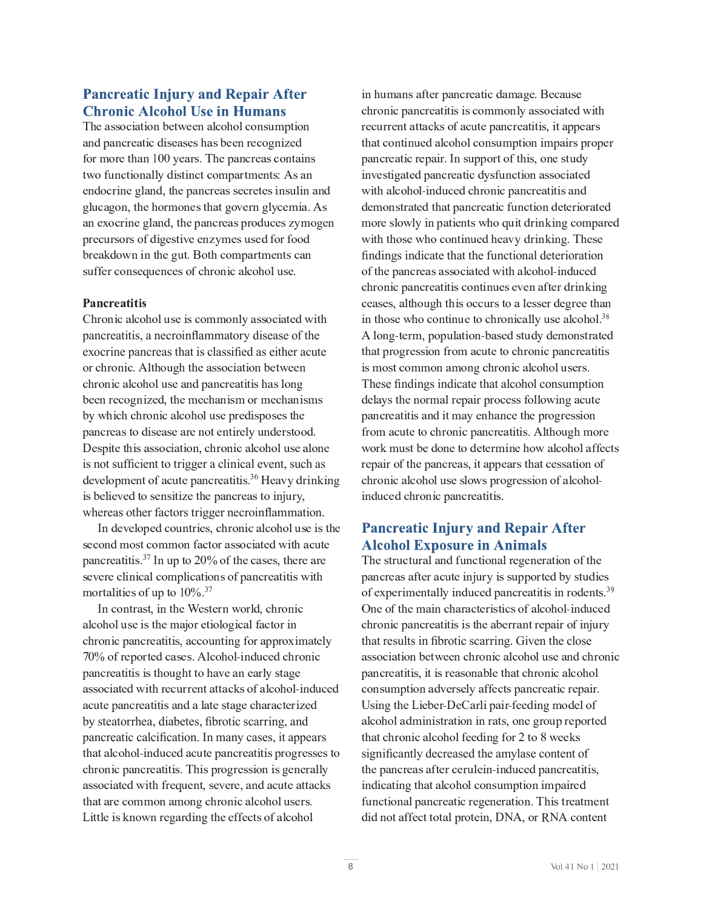### **Pancreatic Injury and Repair After Chronic Alcohol Use in Humans**

The association between alcohol consumption  $E \in \mathbb{R}^n$  of the interaction  $\mathbb{R}^n$  and  $\mathbb{R}^n$  is the interaction of the interaction of the interaction G <sup>g</sup> <sup>J</sup> <sup>K</sup> <sup>l</sup> <sup>I</sup> <sup>Q</sup> <sup>G</sup> <sup>P</sup> <sup>J</sup> <sup>I</sup> <sup>E</sup> <sup>M</sup> <sup>M</sup> W <sup>O</sup> <sup>P</sup> <sup>U</sup> <sup>G</sup> <sup>P</sup> <sup>I</sup> <sup>Q</sup> <sup>G</sup> <sup>Q</sup> <sup>J</sup> <sup>H</sup> <sup>D</sup> <sup>E</sup> <sup>F</sup> <sup>G</sup> <sup>H</sup> <sup>C</sup> <sup>I</sup> <sup>G</sup> <sup>U</sup> <sup>c</sup> <sup>d</sup> <sup>U</sup> <sup>E</sup> <sup>I</sup>  $C$  is a gradient of  $\mathcal{L}$  of  $\mathcal{L}$  and  $\mathcal{L}$  and  $\mathcal{L}$  and  $\mathcal{L}$  and  $\mathcal{L}$  is a gradient of  $\mathcal{L}$  $E = \frac{1}{2} \sum_{i=1}^{n} \frac{1}{2} \sum_{j=1}^{n} \frac{1}{2} \sum_{j=1}^{n} \frac{1}{2} \sum_{j=1}^{n} \frac{1}{2} \sum_{j=1}^{n} \frac{1}{2} \sum_{j=1}^{n} \frac{1}{2} \sum_{j=1}^{n} \frac{1}{2} \sum_{j=1}^{n} \frac{1}{2} \sum_{j=1}^{n} \frac{1}{2} \sum_{j=1}^{n} \frac{1}{2} \sum_{j=1}^{n} \frac{1}{2} \sum_{j=1}^{n} \frac{1}{2} \sum_{j=1}$ D <sup>F</sup> <sup>C</sup> <sup>Q</sup> <sup>l</sup> <sup>F</sup> <sup>U</sup> <sup>J</sup> <sup>F</sup> <sup>U</sup> <sup>J</sup> <sup>K</sup> <sup>O</sup> <sup>P</sup> <sup>V</sup> <sup>C</sup> <sup>U</sup> <sup>G</sup> <sup>P</sup> Y <sup>C</sup> <sup>C</sup> <sup>I</sup> <sup>H</sup> <sup>W</sup> <sup>H</sup> <sup>C</sup> <sup>U</sup> <sup>l</sup> <sup>U</sup> <sup>C</sup> <sup>O</sup> <sup>K</sup> <sup>J</sup> <sup>F</sup> <sup>K</sup> <sup>J</sup> <sup>J</sup> <sup>O</sup>  $U_{\rm eff}$  is the contract of  $\mu$  in  $\mu$  and  $\mu$  and  $\mu$  and  $\mu$  and  $\mu$  and  $\mu$  is the contract of  $\mu$ 

 $\mathcal{F}_\mathcal{F}$  is the dimensional dimensional dimensional dimensional dimensional dimensional dimensional dimensional dimensional dimensional dimensional dimensional dimensional dimensional dimensional dimensional dimensi pancreatitis, a necroinflammatory disease of the exocrine pancreas that is classified as either acute  $\mathcal{F}_\mathcal{F}$  is a finite dimension of  $\mathcal{F}_\mathcal{F}$  and  $\mathcal{F}_\mathcal{F}$  and  $\mathcal{F}_\mathcal{F}$  is a finite dimension of  $\mathcal{F}_\mathcal{F}$  $\mathcal{F}_\mathcal{F}$  is a function of the interaction of  $\mathcal{F}_\mathcal{F}$  and  $\mathcal{F}_\mathcal{F}$  is a function of the interaction of the interaction of the interaction of the interaction of the interaction of the interaction of the i  $\mathcal{L}^{\mathcal{L}}_{\mathcal{L}}$  and  $\mathcal{L}^{\mathcal{L}}_{\mathcal{L}}$  and  $\mathcal{L}^{\mathcal{L}}_{\mathcal{L}}$  and  $\mathcal{L}^{\mathcal{L}}_{\mathcal{L}}$  and  $\mathcal{L}^{\mathcal{L}}_{\mathcal{L}}$ D E I Q F C E I Q F C E F C I G U G J O P U G J O P E G U C E F C I O B H V L I O B H V L I O B H V L I O B H is not sufficient to trigger a clinical event, such as  $\overline{\mathcal{L}}$  and  $\overline{\mathcal{L}}$  and  $\overline{\mathcal{L}}$  and  $\overline{\mathcal{L}}$  and  $\overline{\mathcal{L}}$  is in  $\overline{\mathcal{L}}$  where  $\overline{\mathcal{L}}$  is in  $\overline{\mathcal{L}}$  and  $\overline{\mathcal{L}}$  is in  $\overline{\mathcal{L}}$  is in  $\overline{\mathcal{L}}$  is in  $\overline{\mathcal{L}}$  is in  $\overline{\mathcal{L}}$  is whereas other factors trigger necroinflammation.

L I O C  $C$  is a contract of  $\mathcal{L}$  and  $\mathcal{L}$  and  $\mathcal{L}$  and  $\mathcal{L}$  and  $\mathcal{L}$  and  $\mathcal{L}$  and  $\mathcal{L}$  and  $\mathcal{L}$  and  $\mathcal{L}$  and  $\mathcal{L}$  and  $\mathcal{L}$  and  $\mathcal{L}$  and  $\mathcal{L}$  and  $\mathcal{L}$  and  $\mathcal{L}$  a  $\Omega$  F C  $\Omega$   $\Xi$ U <sup>C</sup> <sup>Y</sup> <sup>C</sup> <sup>F</sup> <sup>C</sup> <sup>Q</sup> <sup>M</sup> <sup>P</sup> <sup>I</sup> <sup>P</sup> <sup>Q</sup> <sup>E</sup> <sup>M</sup> <sup>Q</sup> <sup>J</sup> <sup>H</sup> <sup>D</sup> <sup>M</sup> <sup>P</sup> <sup>Q</sup> <sup>E</sup> <sup>G</sup> <sup>P</sup> <sup>J</sup> <sup>I</sup> <sup>U</sup> <sup>J</sup> <sup>K</sup> <sup>D</sup> <sup>E</sup> <sup>I</sup> <sup>Q</sup> <sup>F</sup> <sup>C</sup> <sup>E</sup> <sup>G</sup> <sup>P</sup> G <sup>P</sup> <sup>U</sup> <sup>g</sup> <sup>P</sup> G \_  $\mathcal{F} = \mathcal{F} \mathcal{F}$ 

L I G I G  $F$  is a given  $\mathcal{L}_\mathcal{L}$  and  $\mathcal{L}_\mathcal{L}$  for  $\mathcal{L}_\mathcal{L}$  and  $\mathcal{L}_\mathcal{L}$  and  $\mathcal{L}_\mathcal{L}$  $\mathcal{L}_{\mathcal{L}}$  and  $\mathcal{L}_{\mathcal{L}}$  and  $\mathcal{L}_{\mathcal{L}}$  for  $\mathcal{L}_{\mathcal{L}}$  and  $\mathcal{L}_{\mathcal{L}}$  for  $\mathcal{L}_{\mathcal{L}}$ 70% of reported cases. Alcohol-induced chronic D <sup>E</sup> <sup>I</sup> <sup>Q</sup> <sup>F</sup> <sup>C</sup> <sup>E</sup> <sup>G</sup> <sup>P</sup> G <sup>P</sup> <sup>U</sup> <sup>P</sup> <sup>U</sup> <sup>G</sup> \_ <sup>J</sup> <sup>l</sup> <sup>V</sup> \_ <sup>G</sup> <sup>G</sup> <sup>J</sup> \_ <sup>E</sup> <sup>Y</sup> <sup>C</sup> <sup>E</sup> <sup>I</sup> <sup>C</sup> <sup>E</sup> <sup>F</sup> <sup>M</sup> W <sup>U</sup> <sup>G</sup> <sup>E</sup> <sup>V</sup> <sup>C</sup>  $\mathbb{E}_{\mathcal{L}}$ by steatorrhea, diabetes, fibrotic scarring, and pancreatic calcification. In many cases, it appears  $\mathcal{L}_{\mathcal{L}}$  , and the p i of the p i of the independent of  $\mathcal{L}_{\mathcal{L}}$  and  $\mathcal{L}_{\mathcal{L}}$  is the p independent of  $\mathcal{L}_{\mathcal{L}}$  $\mathcal{F} = \mathcal{F} \cup \mathcal{F} = \mathcal{F} \cup \mathcal{F} = \mathcal{F} \cup \mathcal{F} = \mathcal{F} \cup \mathcal{F} = \mathcal{F} \cup \mathcal{F} = \mathcal{F} \cup \mathcal{F} = \mathcal{F} \cup \mathcal{F} = \mathcal{F} \cup \mathcal{F} = \mathcal{F} \cup \mathcal{F} = \mathcal{F} \cup \mathcal{F} = \mathcal{F} \cup \mathcal{F} = \mathcal{F} \cup \mathcal{F} = \mathcal{F} \cup \mathcal{F} = \mathcal{F} \cup \mathcal{F} = \mathcal$  $G = \frac{1}{2} \sum_{i=1}^n \frac{1}{2} \sum_{j=1}^n \frac{1}{2} \sum_{j=1}^n \frac{1}{2} \sum_{j=1}^n \frac{1}{2} \sum_{j=1}^n \frac{1}{2} \sum_{j=1}^n \frac{1}{2} \sum_{j=1}^n \frac{1}{2} \sum_{j=1}^n \frac{1}{2} \sum_{j=1}^n \frac{1}{2} \sum_{j=1}^n \frac{1}{2} \sum_{j=1}^n \frac{1}{2} \sum_{j=1}^n \frac{1}{2} \sum_{j=1}^n \frac{1}{2} \sum_{$ Little is known regarding the effects of alcohol

 $P = \frac{1}{2}$  ,  $P = \frac{1}{2}$  ,  $P = \frac{1}{2}$  ,  $P = \frac{1}{2}$  ,  $P = \frac{1}{2}$  ,  $P = \frac{1}{2}$  ,  $P = \frac{1}{2}$  ,  $P = \frac{1}{2}$ F <sup>C</sup> <sup>Q</sup> <sup>l</sup> <sup>F</sup> <sup>F</sup> <sup>C</sup> <sup>I</sup> <sup>G</sup> <sup>E</sup> <sup>G</sup> <sup>G</sup> <sup>E</sup> <sup>Q</sup> \ <sup>U</sup> <sup>J</sup> <sup>K</sup> <sup>E</sup> <sup>Q</sup> <sup>l</sup> <sup>G</sup> <sup>C</sup> <sup>D</sup> <sup>E</sup> <sup>I</sup> <sup>Q</sup> <sup>F</sup> <sup>C</sup> <sup>E</sup> <sup>G</sup> <sup>P</sup> G <sup>P</sup> <sup>U</sup> <sup>R</sup> <sup>P</sup> G <sup>E</sup> <sup>D</sup> <sup>D</sup> <sup>C</sup> <sup>E</sup> <sup>F</sup> <sup>U</sup>  $G = \frac{1}{2} \sum_{i=1}^n \frac{1}{2} \sum_{j=1}^n \frac{1}{2} \sum_{j=1}^n \frac{1}{2} \sum_{j=1}^n \frac{1}{2} \sum_{j=1}^n \frac{1}{2} \sum_{j=1}^n \frac{1}{2} \sum_{j=1}^n \frac{1}{2} \sum_{j=1}^n \frac{1}{2} \sum_{j=1}^n \frac{1}{2} \sum_{j=1}^n \frac{1}{2} \sum_{j=1}^n \frac{1}{2} \sum_{j=1}^n \frac{1}{2} \sum_{j=1}^n \frac{1}{2} \sum_{$ P <sup>I</sup> <sup>Y</sup> <sup>C</sup> <sup>U</sup> <sup>G</sup> <sup>P</sup> <sup>V</sup> <sup>E</sup> <sup>G</sup> <sup>C</sup> <sup>O</sup> <sup>D</sup> <sup>E</sup> <sup>I</sup> <sup>Q</sup> <sup>F</sup> <sup>C</sup> <sup>E</sup> <sup>G</sup> <sup>P</sup> <sup>Q</sup> <sup>O</sup> <sup>W</sup> <sup>U</sup> <sup>K</sup> <sup>l</sup> <sup>I</sup> <sup>Q</sup> <sup>G</sup> <sup>P</sup> <sup>J</sup> <sup>I</sup> <sup>E</sup> <sup>U</sup> <sup>U</sup> <sup>J</sup> <sup>Q</sup> <sup>P</sup> <sup>E</sup> <sup>G</sup> <sup>C</sup> <sup>O</sup> g P G G  $E$  and  $E$  is a set of  $E$  in the p i of  $E$  i  $\bar{E}$  is a set of  $E$  in the p interval of  $E$  is a set of  $E$ H J  $F$  and  $F$  is a given  $\overline{F}$  is a given by  $\overline{F}$  and  $\overline{F}$  if  $\overline{F}$  is a given by  $\overline{F}$ g <sup>P</sup> G \_ <sup>G</sup> \_ <sup>J</sup> <sup>U</sup> <sup>C</sup> <sup>g</sup> \_ <sup>J</sup> <sup>Q</sup> <sup>J</sup> <sup>I</sup> <sup>G</sup> <sup>P</sup> <sup>I</sup> <sup>l</sup> <sup>C</sup> <sup>O</sup> \_ <sup>C</sup> <sup>E</sup> <sup>Y</sup> <sup>W</sup> <sup>O</sup> <sup>F</sup> <sup>P</sup> <sup>I</sup> \ <sup>P</sup> <sup>I</sup> <sup>V</sup> <sup>b</sup> <sup>D</sup> \_ <sup>C</sup> <sup>U</sup> <sup>C</sup> findings indicate that the functional deterioration J <sup>K</sup> <sup>G</sup> \_ <sup>C</sup> <sup>D</sup> <sup>E</sup> <sup>I</sup> <sup>Q</sup> <sup>F</sup> <sup>C</sup> <sup>E</sup> <sup>U</sup> <sup>E</sup> <sup>U</sup> <sup>U</sup> <sup>J</sup> <sup>Q</sup> <sup>P</sup> <sup>E</sup> <sup>G</sup> <sup>C</sup> <sup>O</sup> <sup>g</sup> <sup>P</sup> G \_ <sup>E</sup> <sup>M</sup> <sup>Q</sup> <sup>J</sup> \_ <sup>J</sup> <sup>M</sup> <sup>e</sup> <sup>P</sup> <sup>I</sup> <sup>O</sup> <sup>l</sup> <sup>Q</sup> <sup>C</sup> <sup>O</sup>  $\mathcal{F} = \mathcal{F} \cup \mathcal{F}$  is a given by the interpretation of the contribution of  $\mathcal{F}$  $\mathcal{L} = \mathcal{L} \cup \mathcal{L}$  , where  $\mathcal{L} = \mathcal{L} \cup \mathcal{L}$  is the mass of  $\mathcal{L} = \mathcal{L} \cup \mathcal{L}$ d M  $\bar{d}$  is the G C  $\bar{d}$  e  $\bar{d}$  in  $\bar{d}$  and  $\bar{d}$  is the following conductivity of  $\bar{d}$  $P$  U H  $\bar{P}$  U  $\bar{P}$  is the distribution of  $\bar{P}$  in  $\bar{P}$  and  $\bar{P}$  and  $\bar{P}$  and  $\bar{P}$  and  $\bar{P}$  is the distribution of  $\bar{P}$ These findings indicate that alcohol consumption D E I Q F C E G P G H E I O P G H E W C I Q C G G H E W C G H E W C I L K H E G G J H E G G J H E I P D E I D E I D E I G G J H H J H J J L V L H J H J H J H J H J L V L V L J L V L  $\mathcal{L}_{\mathcal{L}}$  and  $\mathcal{L}_{\mathcal{L}}$  and  $\mathcal{L}_{\mathcal{L}}$  and  $\mathcal{L}_{\mathcal{L}}$  and  $\mathcal{L}_{\mathcal{L}}$  $\mathcal{L}_\mathcal{L}$  is the dimension of the dimensional dimensional dimensional dimensional dimensional dimensional dimensional dimensional dimensional dimensional dimensional dimensional dimensional dimensional dimensional di

### **Pancreatic Injury and Repair After Alcohol Exposure in Animals**

The structural and functional regeneration of the  $D_{\rm eff}$  is the interaction of the  $\alpha$  -d  $\beta$  interaction of  $\alpha$  is the interaction of  $\alpha$ ^ I <sup>C</sup> <sup>J</sup> <sup>K</sup> <sup>G</sup> \_ <sup>C</sup> <sup>H</sup> <sup>E</sup> <sup>P</sup> <sup>I</sup> <sup>Q</sup> \_ <sup>E</sup> <sup>F</sup> <sup>E</sup> <sup>Q</sup> <sup>G</sup> <sup>C</sup> <sup>F</sup> <sup>P</sup> <sup>U</sup> <sup>G</sup> <sup>P</sup> <sup>Q</sup> <sup>U</sup> <sup>J</sup> <sup>K</sup> <sup>E</sup> <sup>M</sup> <sup>Q</sup> <sup>J</sup> \_ <sup>J</sup> <sup>M</sup> <sup>e</sup> <sup>P</sup> <sup>I</sup> <sup>O</sup> <sup>l</sup> <sup>Q</sup> <sup>C</sup> <sup>O</sup>  $\mathcal{F}_\mathbf{p}$  is a function of the interpretation of  $\mathcal{F}_\mathbf{p}$  and  $\mathcal{F}_\mathbf{p}$  is a function of  $\mathcal{F}_\mathbf{p}$ that results in fibrotic scarring. Given the close  $E_{\rm eff}$  is the gradient of  $\mu$  and  $\mu$  and  $\mu$  and  $\mu$  and  $\mu$  is the gradient of  $\mu$  in  $\mu$  $D_{\rm eff}$  is a graph  $\sigma$  -f  $\sigma$  -f  $\sigma$  and  $\sigma$  -f  $\sigma$  -f  $\sigma$  $X \in \mathbb{R}^n$  is the B internal part of the B  $\mathbb{R}^n$  expectively. The experimental part of the  $\mathbb{R}^n$  $E_{\rm eff}$  , and the interaction of the interaction of the interaction of the interaction of the interaction of the interaction of the interaction of the interaction of the interaction of the interaction of the interaction significantly decreased the amylase content of  $G = \mathcal{F} \cup \mathcal{F}$  and  $G = \mathcal{F} \cup \mathcal{F}$  is a contract of the properties of  $\mathcal{F}$  $K_{\rm eff}$  is a group  $K_{\rm eff}$  in the  $K_{\rm eff}$  p  $R_{\rm eff}$  in  $R_{\rm eff}$  is a group  $R_{\rm eff}$  $\overline{C}$  of  $\overline{C}$  and  $\overline{C}$  and  $\overline{C}$  and  $\overline{C}$  is a zero  $\overline{C}$  is a zero  $\overline{C}$  is a  $\overline{C}$  in  $\overline{C}$  is a  $\overline{C}$  in  $\overline{C}$  is a  $\overline{C}$  in  $\overline{C}$  is a  $\overline{C}$  is a  $\overline{C}$  is a  $\overline{C}$  is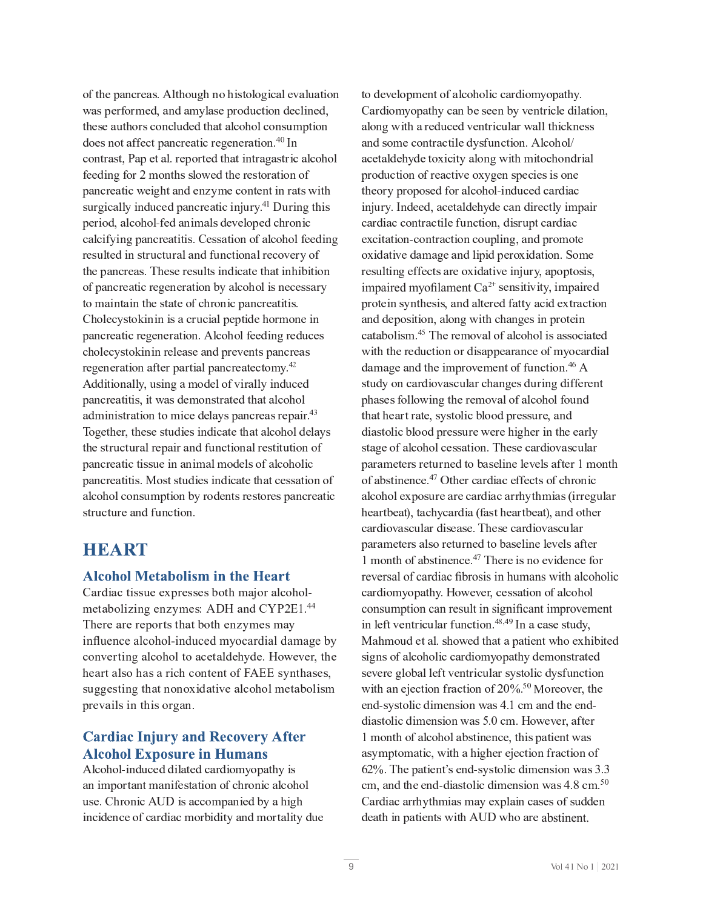$J_{\rm eff}$  is defined as a group of  $\mu$  and  $\mu$  and  $\mu$  and  $\mu$  and  $\mu$  is defined as a group of  $\mu$  $G = \mathcal{F} \cup \mathcal{F}$  and  $G = \mathcal{F} \cup \mathcal{F}$  and  $G = \mathcal{F} \cup \mathcal{F}$  and  $G = \mathcal{F} \cup \mathcal{F}$  is a set  $\mathcal{F} \cup \mathcal{F}$  $\overline{A}$   $\overline{A}$  $K_{\rm eff}$  is a positive definition of  $\mu$  in  $\mu$  and  $\mu$  and  $\mu$  and  $\mu$  is a positive definition of  $\mu$ D <sup>E</sup> <sup>I</sup> <sup>Q</sup> <sup>F</sup> <sup>C</sup> <sup>E</sup> <sup>G</sup> <sup>P</sup> <sup>Q</sup> <sup>g</sup> <sup>C</sup> <sup>P</sup> <sup>V</sup> \_ <sup>G</sup> <sup>E</sup> <sup>I</sup> <sup>O</sup> <sup>C</sup> <sup>I</sup> <sup>H</sup> <sup>W</sup> <sup>H</sup> <sup>C</sup> <sup>Q</sup> <sup>J</sup> <sup>I</sup> <sup>G</sup> <sup>C</sup> <sup>I</sup> <sup>G</sup> <sup>P</sup> <sup>I</sup> <sup>F</sup> <sup>E</sup> <sup>G</sup> <sup>U</sup> <sup>g</sup> <sup>P</sup> G \_ U l F V P I O L E M W P I O L E G E I Q E I Q E I Q E I Q F E I Q F E G E G P I V G E I D E I D E I D E I V G  $D_{\rm eff}$  and  $D_{\rm eff}$  and  $D_{\rm eff}$  is the K  $\alpha$  -f  $\alpha$  in the K  $\alpha$  -f  $\alpha$  in the  $\alpha$  -f  $\alpha$  and  $\alpha$ E M A M A H A M A G P I V D E I Q F C E G P J A G P J A G P J A G P J A G P J A G P J A G J A G J M K C O P I  $G = \frac{1}{2} \sum_{i=1}^{n} \frac{1}{2} \sum_{j=1}^{n} \frac{1}{2} \sum_{j=1}^{n} \frac{1}{2} \sum_{j=1}^{n} \frac{1}{2} \sum_{j=1}^{n} \frac{1}{2} \sum_{j=1}^{n} \frac{1}{2} \sum_{j=1}^{n} \frac{1}{2} \sum_{j=1}^{n} \frac{1}{2} \sum_{j=1}^{n} \frac{1}{2} \sum_{j=1}^{n} \frac{1}{2} \sum_{j=1}^{n} \frac{1}{2} \sum_{j=1}^{n} \frac{1}{2} \sum_{j=1}$  $J_{\rm eff}$  is the interaction of the interaction of the interaction of  $\mu$  and  $\mu$  and  $\mu$  and  $\mu$  $\mathcal{L} = \mathcal{L} \times \mathcal{L} = \mathcal{L} \times \mathcal{L} = \mathcal{L} \times \mathcal{L} = \mathcal{L} \times \mathcal{L} = \mathcal{L} \times \mathcal{L} = \mathcal{L} \times \mathcal{L} = \mathcal{L} \times \mathcal{L} = \mathcal{L} \times \mathcal{L} = \mathcal{L} \times \mathcal{L} = \mathcal{L} \times \mathcal{L} = \mathcal{L} \times \mathcal{L} = \mathcal{L} \times \mathcal{L} = \mathcal{L} \times \mathcal{L} = \mathcal{L} \times \mathcal{L} = \mathcal$  $D_{\rm eff}$  is defined as  $\mathcal{L}_{\rm eff}$  and  $\mathcal{L}_{\rm eff}$  and  $\mathcal{L}_{\rm eff}$  and  $\mathcal{L}_{\rm eff}$  and  $\mathcal{L}_{\rm eff}$ F C  $\bar{c}$  is a gradient of the field  $\bar{c}$  and  $\bar{c}$  and  $\bar{c}$  and  $\bar{c}$  and  $\bar{c}$  and  $\bar{c}$  and  $\bar{c}$ d O O P  $\alpha$  is a matrix of the matrix of the matrix of the matrix of the matrix of the matrix of the matrix of E O H P I P I P I  $\mathcal{H} = \mathcal{H}$  is a general definition of  $\mathcal{H}$ Together, these studies indicate that alcohol delays  $D_{\rm eff}$  is the interaction of the matrix  $D_{\rm eff}$  is the interaction of the matrix  $D_{\rm eff}$ D E I Q F C E G P U G U G L O P I O P I O P I O P I O P I O P I O P I O P I O P I O P I O P I O P I O P I U E  $U_{\rm eff}$  is the limit of the limit of  $\Gamma$  and  $\Gamma$  is the limit of  $\Gamma$ 

# HEART

### **Alcohol Metabolism in the Heart**

H C G E  $\bar{f}$  and  $\bar{f}$  and  $\bar{f}$  and  $\bar{f}$  is the internal polarization of  $\bar{f}$  and  $\bar{f}$ There are reports that both enzymes may influence alcohol-induced myocardial damage by  $\mathcal{L}_{\mathcal{L}}$  is the distribution of the distribution of  $\mathcal{L}_{\mathcal{L}}$  and  $\mathcal{L}_{\mathcal{L}}$  and  $\mathcal{L}_{\mathcal{L}}$  $\mathcal{L}_\text{C}$  G E  $\mathcal{L}_\text{C}$  and  $\mathcal{L}_\text{C}$  is a discrete interval group  $\mathcal{L}_\text{C}$  interval group  $\mathcal{L}_\text{C}$ D <sup>F</sup> <sup>C</sup> <sup>Y</sup> <sup>E</sup> <sup>P</sup> <sup>M</sup> <sup>U</sup> <sup>P</sup> <sup>I</sup> <sup>G</sup> \_ <sup>P</sup> <sup>U</sup> <sup>J</sup> <sup>F</sup> <sup>V</sup> <sup>E</sup> <sup>I</sup> <sup>b</sup>

### **Cardiac Injury and Recovery After Alcohol Exposure in Humans**

d M  $\alpha$  J  $\alpha$  and  $\alpha$  and  $\alpha$  and  $\alpha$  of  $\alpha$  e  $P$  and  $\alpha$  and  $\alpha$  and  $\alpha$   $\beta$   $\alpha$   $\beta$ l U C b  $\mathcal{L} = \mathcal{L} \times \mathcal{L}$  and  $\mathcal{L} = \mathcal{L} \times \mathcal{L}$  and  $\mathcal{L} = \mathcal{L} \times \mathcal{L}$  and  $\mathcal{L} = \mathcal{L} \times \mathcal{L}$ P <sup>I</sup> <sup>Q</sup> <sup>P</sup> <sup>O</sup> <sup>C</sup> <sup>I</sup> <sup>Q</sup> <sup>C</sup> <sup>J</sup> <sup>K</sup> <sup>Q</sup> <sup>E</sup> <sup>F</sup> <sup>O</sup> <sup>P</sup> <sup>E</sup> <sup>Q</sup> <sup>H</sup> <sup>J</sup> <sup>F</sup> [ <sup>P</sup> <sup>O</sup> <sup>P</sup> G <sup>W</sup> <sup>E</sup> <sup>I</sup> <sup>O</sup> <sup>H</sup> <sup>J</sup> <sup>F</sup> <sup>G</sup> <sup>E</sup> <sup>M</sup> <sup>P</sup> G <sup>W</sup> <sup>O</sup> <sup>l</sup> <sup>C</sup>

to development of alcoholic cardiomyopathy. <sup>z</sup> <sup>y</sup> <sup>y</sup> <sup>~</sup> <sup>x</sup> { { { <sup>|</sup> { <sup>x</sup> } { <sup>z</sup> } <sup>x</sup> <sup>y</sup> along with a reduced ventricular wall thickness and some contractile dysfunction. Alcohol/ acetaldehyde toxicity along with mitochondrial production of reactive oxygen species is one theory proposed for alcohol-induced cardiac injury. Indeed, acetaldehyde can directly impair cardiac contractile function, disrupt cardiac excitation-contraction coupling, and promote oxidative damage and lipid peroxidation. Some resulting effects are oxidative injury, apoptosis, impaired myofilament  $Ca^{2+}$  sensitivity, impaire protein synthesis, and altered fatty acid extraction and deposition, along with changes in protein catabolism.<sup>45</sup> The removal of alcohol is associated with the reduction or disappearance of myocardial damage and the improvement of function.<sup>46</sup>  $\overline{A}$ study on cardiovascular changes during different phases following the removal of alcohol found that heart rate, systolic blood pressure, and diastolic blood pressure were higher in the early stage of alcohol cessation. These cardiovascular parameters returned to baseline levels after 1 month of abstinence. $47$  Other cardiac effects of chronic alcohol exposure are cardiac arrhythmias (irregular heartbeat), tachycardia (fast heartbeat), and other cardiovascular disease. These cardiovascular parameters also returned to baseline levels after 1 month of abstinence.<sup>47</sup> There is no evidence for reversal of cardiac fibrosis in humans with alcoholic cardiomyopathy. However, cessation of alcohol consumption can result in significant improvement in left ventricular function.<sup>48,49</sup> In a case study, § <sup>y</sup> <sup>z</sup> { <sup>x</sup> } <sup>y</sup> { <sup>z</sup> <sup>x</sup> <sup>x</sup> <sup>~</sup> <sup>x</sup> { <sup>x</sup> <sup>y</sup> { x { <sup>z</sup> signs of alcoholic cardiomyopathy demonstrated severe global left ventricular systolic dysfunction  $\mathcal{L}$   $\mathcal{L}$   $\mathcal{L}$   $\mathcal{L}$   $\mathcal{L}$   $\mathcal{L}$   $\mathcal{L}$   $\mathcal{L}$   $\mathcal{L}$   $\mathcal{L}$   $\mathcal{L}$   $\mathcal{L}$   $\mathcal{L}$   $\mathcal{L}$   $\mathcal{L}$   $\mathcal{L}$   $\mathcal{L}$   $\mathcal{L}$   $\mathcal{L}$   $\mathcal{L}$   $\mathcal{L}$   $\mathcal{L}$   $\mathcal{L}$   $\mathcal{L}$   $\mathcal{$ end-systolic dimension was 4.1 cm and the enddiastolic dimension was 5.0 cm. However, after 1 month of alcohol abstinence, this patient was asymptomatic, with a higher ejection fraction of ® ¨ <sup>ª</sup> { <sup>~</sup> <sup>x</sup> { <sup>x</sup> ¯ { <sup>z</sup> <sup>x</sup> <sup>y</sup> } <sup>z</sup> { <sup>y</sup> ° °  $\mathbf{1} \mathbf{1} \mathbf{1} \mathbf{1} \mathbf{1} \mathbf{1} \mathbf{1} \mathbf{1} \mathbf{1} \mathbf{1} \mathbf{1} \mathbf{1} \mathbf{1} \mathbf{1} \mathbf{1} \mathbf{1} \mathbf{1} \mathbf{1} \mathbf{1} \mathbf{1} \mathbf{1} \mathbf{1} \mathbf{1} \mathbf{1} \mathbf{1} \mathbf{1} \mathbf{1} \mathbf{1} \mathbf{1} \mathbf{1} \mathbf{1} \mathbf{1} \mathbf{1} \mathbf{1} \mathbf{1} \mathbf{1} \mathbf{$  <sup>z</sup> <sup>x</sup> { <sup>~</sup> } { <sup>y</sup> <sup>z</sup> <sup>z</sup> { death in patients with AUD who are abstinent.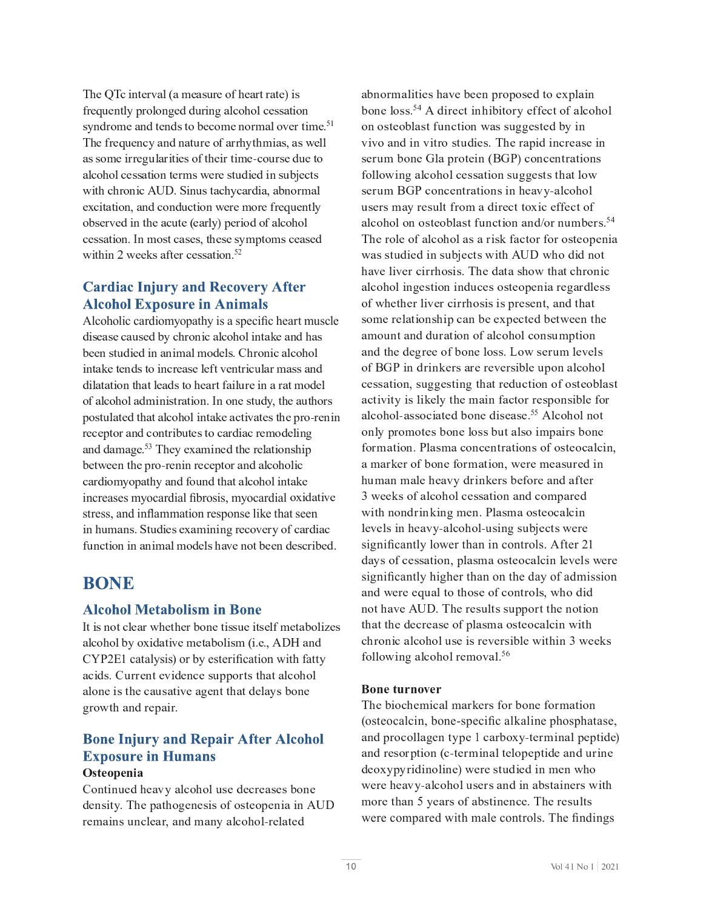The QTc interval (a measure of heart rate) is U W I O F J H C I O G C I O U G J H C I O G J H C I O G G J H C J H C J H C I J F H E M J H E M J H E M J H C The frequency and nature of arrhythmias, as well  $E_{\rm eff}$  , and the distribution of the distribution of the distribution of  $\sim$ g P  $G$  is the set of  $\mathcal{F}$  in the set of  $\mathcal{F}$  is the set of  $\mathcal{F}$  in the mass  $\mathcal{F}$  is the mass  $\mathcal{F}$ J  $\mathcal{L} \subset \mathcal{L}$  , we have defined as a contribution of  $\mathcal{L} \subset \mathcal{L}$  and  $\mathcal{L} \subset \mathcal{L}$  and  $\mathcal{L} \subset \mathcal{L}$  $\mathcal{L}^{\mathcal{L}}$  is the contract of the distribution of the distribution of the distribution of the distribution of the distribution of the distribution of the distribution of the distribution of the distribution of the di  $g$  P  $\sim$  P  $\sim$  P  $\sim$  P  $\sim$  P  $\sim$  P  $\sim$  P  $\sim$  P  $\sim$  P  $\sim$   $\sim$   $\sim$   $\sim$ 

### **Cardiac Injury and Recovery After Alcohol Exposure in Animals**

Alcoholic cardiomyopathy is a specific heart muscle  $\mathcal{L}^{\mathcal{L}}(\mathcal{L}^{\mathcal{L}})$  and the matrix  $\mathcal{L}^{\mathcal{L}}$  and  $\mathcal{L}^{\mathcal{L}}$  and  $\mathcal{L}^{\mathcal{L}}$  and  $\mathcal{L}^{\mathcal{L}}$  $P$  is the interaction of the interaction of the interaction of the interaction of the interaction of the interaction of the interaction of the interaction of the interaction of the interaction of the interaction of the i  $J_{\rm eff}$  is the matrix of the interval  $\mu$  and  $\mu$  is the interval  $\mu$  interval  $\mu$  and  $\mu$  $D = \frac{1}{2} \sum_{i=1}^{n} \frac{1}{2} \sum_{j=1}^{n} \frac{1}{2} \sum_{j=1}^{n} \frac{1}{2} \sum_{j=1}^{n} \frac{1}{2} \sum_{j=1}^{n} \frac{1}{2} \sum_{j=1}^{n} \frac{1}{2} \sum_{j=1}^{n} \frac{1}{2} \sum_{j=1}^{n} \frac{1}{2} \sum_{j=1}^{n} \frac{1}{2} \sum_{j=1}^{n} \frac{1}{2} \sum_{j=1}^{n} \frac{1}{2} \sum_{j=1}^{n} \frac{1}{2} \sum_{j=1}$  $\mathcal{L} = \mathcal{L} \mathcal{L} = \mathcal{L} \mathcal{L}$  $\mathcal{L}^{\mathcal{L}}_{\mathcal{L}}$  g  $\mathcal{L}^{\mathcal{L}}_{\mathcal{L}}$  g  $\mathcal{L}^{\mathcal{L}}_{\mathcal{L}}$  and  $\mathcal{L}^{\mathcal{L}}_{\mathcal{L}}$  and  $\mathcal{L}^{\mathcal{L}}_{\mathcal{L}}$ increases myocardial fibrosis, myocardial oxidative stress, and inflammation response like that seen  $K_{\rm eff}$  is the interaction of  $\mu$  in  $\mu$  and  $\mu$  and  $\mu$  and  $\mu$ 

# **BONE**

#### **Alcohol Metabolism in Bone**

 $\mathbb{E}_{\mathcal{A}}$  , where  $\mathcal{A}$ CYP2E1 catalysis) or by esterification with fatty  $\mathcal{L}_{\mathcal{L}}$  is the contract of the contract of  $\mathcal{L}_{\mathcal{L}}$  and  $\mathcal{L}_{\mathcal{L}}$  and  $\mathcal{L}_{\mathcal{L}}$  $V_{\rm eff}$  is a group of the field  $V_{\rm eff}$ 

# **Bone Injury and Repair After Alcohol Exposure in Humans**

#### $\sim$   $\sim$   $\sim$   $\sim$

 $J_{\rm eff}$  is the interaction of the interaction of  $\sim$   $J_{\rm eff}$  and  $J_{\rm eff}$  and  $J_{\rm eff}$  is the interaction of the interaction of the interaction of the interaction of the interaction of the interaction of the interactio F C H E P I  $\mathcal{L} = \mathcal{L} \times \mathcal{L}$  and  $\mathcal{L} = \mathcal{L} \times \mathcal{L}$  where  $\mathcal{L} = \mathcal{L} \times \mathcal{L}$ 

 $\mathbb{E}_{\mathcal{L}}[ \mathcal{L}^{\mathcal{L}}(\mathcal{L})] = \mathbb{E}_{\mathcal{L}}[ \mathcal{L}^{\mathcal{L}}(\mathcal{L})]$  $\mathcal{L}$  and  $\mathcal{L}$  and  $\mathcal{L}$  and  $\mathcal{L}$  and  $\mathcal{L}$  and  $\mathcal{L}$  and  $\mathcal{L}$  and  $\mathcal{L}$  and  $\mathcal{L}$  and  $\mathcal{L}$  and  $\mathcal{L}$  and  $\mathcal{L}$  and  $\mathcal{L}$  and  $\mathcal{L}$  and  $\mathcal{L}$  and  $\mathcal{L}$  and  $\mathcal{L}$  and  $J_{\rm M}$  J  $J_{\rm M}$  and  $J_{\rm M}$  is the unit  $T$  -defined by  $J_{\rm M}$  and  $J_{\rm M}$  and  $J_{\rm M}$   $J_{\rm M}$  $Y = \{x \in \mathbb{R}^d : |x| \leq \epsilon \}$  $K_{\rm eff}$  , and  $K_{\rm eff}$  is the distribution of  $\mu$  and  $\mu$  and  $\mu$  is the distribution of  $\mu$  $U \subset \mathbb{R}^d$  is the first of the  $\mathbb{R}^d$  -dimensional definition of  $\mathbb{R}^d$  ,  $\mathbb{R}^d$  and  $\mathbb{R}^d$  $\mathcal{L}$ The role of alcohol as a risk factor for osteopenia  $E = \frac{1}{2}$  , where  $\frac{1}{2}$  and  $\frac{1}{2}$  g  $\frac{1}{2}$  g  $\frac{1}{2}$  and  $\frac{1}{2}$  g  $\frac{1}{2}$  g  $\frac{1}{2}$  $E_{\rm eff}$  is the distribution of the distribution of  $\mu$  is the distribution of  $\mu$  and  $\mu$  $U$  is the contract of  $\mathcal{L}$  in the contract of  $\mathcal{L}$  and  $\mathcal{L}$  and  $\mathcal{L}$  and  $\mathcal{L}$  gauge  $\mathcal{L}$  $E_{\rm eff}$  is the interaction of the interaction of  $\mu$  and  $\mu$  and  $\mu$  is the interaction of  $\mu$  $J \in \mathcal{F}$  is the p  $T$  p  $T$  if  $T$  is the p  $T$  -d  $T$  is the p  $T$  -d  $\mathcal{F}$  and  $\mathcal{F}$  and  $\mathcal{F}$  $\mathcal{L}^{\mathcal{L}}(\mathcal{L}^{\mathcal{L}})$  and the function of  $\mathcal{L}^{\mathcal{L}}$  and  $\mathcal{L}^{\mathcal{L}}$  and  $\mathcal{L}^{\mathcal{L}}$  and  $\mathcal{L}^{\mathcal{L}}$  and  $\mathcal{L}^{\mathcal{L}}$  $E$  and  $E$  and  $E$  and  $E$  and  $E$  and  $E$  and  $E$  and  $E$  and  $E$  and  $E$  and  $E$  and  $E$  and  $E$  and  $E$  and  $E$  and  $E$  and  $E$  and  $E$  and  $E$  and  $E$  and  $E$  and  $E$  and  $E$  and  $E$  and  $E$  and  $E$  and  $E$  and  $E$  a  $J_{\rm M}$  , and the distribution of  $J_{\rm M}$  and  $J_{\rm M}$  is the distribution of  $J_{\rm M}$  and  $J_{\rm M}$  $E \in \mathbb{R}^n$  is the fixed part of  $\mathbb{R}^n$  if  $\mathbb{R}^n$  if  $\mathbb{R}^n$  is the fixed part of  $\mathbb{R}^n$  $\mathcal{L}_\text{H}$  is the interaction of  $\mathcal{L}_\text{H}$  interaction of  $\mathcal{L}_\text{H}$  and  $\mathcal{L}_\text{H}$  function of  $\mathcal{L}_\text{H}$ 3 weeks of alcohol cessation and compared  $\mathcal{G}_\mathcal{G}$  is the probability of  $\mathcal{G}_\mathcal{G}$  in  $\mathcal{G}_\mathcal{G}$  and  $\mathcal{G}_\mathcal{G}$  and  $\mathcal{G}_\mathcal{G}$  and  $\mathcal{G}_\mathcal{G}$  and  $\mathcal{G}_\mathcal{G}$  $M_{\rm C}$  C  $M_{\rm C}$  ,  $M_{\rm C}$  ,  $M_{\rm C}$  and  $M_{\rm C}$  is the linear point of the linear point  $M_{\rm C}$ significantly lower than in controls. After 21  $\mathcal{L}^{\mathcal{L}}(\mathcal{L}^{\mathcal{L}})$  and the gradient condition  $\mathcal{L}^{\mathcal{L}}$  and  $\mathcal{L}^{\mathcal{L}}$  and  $\mathcal{L}^{\mathcal{L}}$ significantly higher than on the day of admission In the distribution of the distribution  $\mathcal{L} = \mathcal{L} \mathcal{L}$  and  $\mathcal{L} = \mathcal{L} \mathcal{L}$  and  $\mathcal{L} = \mathcal{L} \mathcal{L}$  $G = \frac{1}{2} \sum_{i=1}^{n} \frac{1}{2} \sum_{j=1}^{n} \frac{1}{2} \sum_{j=1}^{n} \frac{1}{2} \sum_{j=1}^{n} \frac{1}{2} \sum_{j=1}^{n} \frac{1}{2} \sum_{j=1}^{n} \frac{1}{2} \sum_{j=1}^{n} \frac{1}{2} \sum_{j=1}^{n} \frac{1}{2} \sum_{j=1}^{n} \frac{1}{2} \sum_{j=1}^{n} \frac{1}{2} \sum_{j=1}^{n} \frac{1}{2} \sum_{j=1}^{n} \frac{1}{2} \sum_{j=1}$  $K$  and  $\mathcal{M}$  and  $\mathcal{M}$  and  $\mathcal{M}$  and  $\mathcal{M}$  and  $\mathcal{M}$  and  $\mathcal{M}$  and  $\mathcal{M}$  and  $\mathcal{M}$ 

#### Bone turnover

The biochemical markers for bone formation (osteocalcin, bone-specific alkaline phosphatase,  $E_{\rm eff}$  is the G  $P$  -d  $\sim$  d  $\sim$  d  $\sim$  d  $\sim$  d  $\sim$  d  $\sim$  d  $\sim$  d  $\sim$  d  $\sim$  d  $\sim$  $\overline{C}$  , we define the contract  $\overline{C}$  and  $\overline{C}$  and  $\overline{C}$  and  $\overline{C}$  and  $\overline{C}$  and  $\overline{C}$  and  $\overline{C}$  and  $\overline{C}$  and  $\overline{C}$  and  $\overline{C}$  and  $\overline{C}$  and  $\overline{C}$  and  $\overline{C}$  and  $\overline{C}$  and  $\overline{$ H  $\mathcal{H}_{\mathcal{F}}$  for  $\mathcal{F}_{\mathcal{F}}$  and  $\mathcal{F}_{\mathcal{F}}$  and  $\mathcal{F}_{\mathcal{F}}$  and  $\mathcal{F}_{\mathcal{F}}$  and  $\mathcal{F}_{\mathcal{F}}$ were compared with male controls. The findings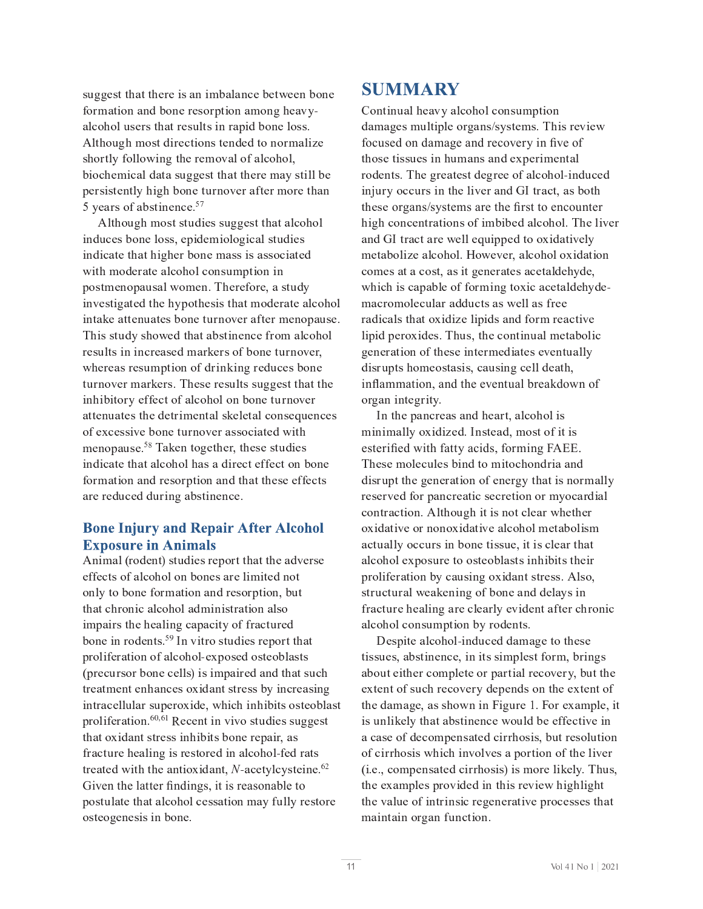$U$  is the contract of  $U$  contract of  $\mathcal{E}$  and  $\mathcal{E}$  and  $\mathcal{E}$  and  $\mathcal{E}$  is the contract of  $\mathcal{E}$  $E_{\rm eff} = 100$  J  $\mu$  m is the d  $\mu$  m in the d  $\mu$  m in the d  $\mu$  m in the d  $\mu$ d M G  $_{\rm H}$  ,  $\alpha$  is the contract of the contract of  $\alpha$  is the matrix of  $\alpha$  in  $\alpha$  in  $\alpha$  $\mathcal{P}_\text{max}$  and  $\mathcal{P}_\text{max}$  and  $\mathcal{P}_\text{max}$  and  $\mathcal{P}_\text{max}$  and  $\mathcal{P}_\text{max}$  and  $\mathcal{P}_\text{max}$  $D_{\rm eff}$  is the contract of the contract of  $\mu$  is the contract of the contract of  $\mu$  is the contract of the contract of the contract of the contract of the contract of the contract of the contract of the contract of t 5 years of abstinence. $57$ 

d M  $G$  is the contract of  $\mathcal{M}$  is the contract of  $\mathcal{M}$  and  $\mathcal{M}$  and  $\mathcal{M}$  and  $\mathcal{M}$ P <sup>I</sup> <sup>O</sup> <sup>l</sup> <sup>Q</sup> <sup>C</sup> <sup>U</sup> [ <sup>J</sup> <sup>I</sup> <sup>C</sup> <sup>M</sup> <sup>J</sup> <sup>U</sup> <sup>U</sup> <sup>R</sup> <sup>C</sup> <sup>D</sup> <sup>P</sup> <sup>O</sup> <sup>C</sup> <sup>H</sup> <sup>P</sup> <sup>J</sup> <sup>M</sup> <sup>J</sup> <sup>V</sup> <sup>P</sup> <sup>Q</sup> <sup>E</sup> <sup>M</sup> <sup>U</sup> <sup>G</sup> <sup>l</sup> <sup>O</sup> <sup>P</sup> <sup>C</sup> <sup>U</sup>  $\mathcal{G}_\mathcal{B}$  and  $\mathcal{G}_\mathcal{B}$  and  $\mathcal{G}_\mathcal{B}$  is a generator of the distribution of  $\mathcal{G}_\mathcal{B}$ D <sup>J</sup> <sup>U</sup> <sup>G</sup> <sup>H</sup> <sup>C</sup> <sup>I</sup> <sup>J</sup> <sup>D</sup> <sup>E</sup> <sup>l</sup> <sup>U</sup> <sup>E</sup> <sup>M</sup> <sup>g</sup> <sup>J</sup> <sup>H</sup> <sup>C</sup> <sup>I</sup> <sup>b</sup> <sup>D</sup> \_ <sup>C</sup> <sup>F</sup> <sup>C</sup> <sup>K</sup> <sup>J</sup> <sup>F</sup> <sup>C</sup> <sup>R</sup> <sup>E</sup> <sup>U</sup> <sup>G</sup> <sup>l</sup> <sup>O</sup> <sup>W</sup>  $P \in \mathcal{P}$  is the contract of the G G  $C$  in  $\mathcal{P}$  is the contract of the linear polarization of the contract of the contract of the contract of the contract of the contract of the contract of the contract of the cont This study showed that abstinence from alcohol  $\mathcal{L}_\text{c}$  , we can consider the distribution of  $\mathcal{L}_\text{c}$  and  $\mathcal{L}_\text{c}$  is a positive distribution of  $\mathcal{L}_\text{c}$ G l  $F$  is defined by  $\mathcal{L}_\mathcal{D}$  and  $\mathcal{L}_\mathcal{D}$  and  $\mathcal{L}_\mathcal{D}$  and  $\mathcal{L}_\mathcal{D}$  and  $\mathcal{L}_\mathcal{D}$  and  $\mathcal{L}_\mathcal{D}$ E <sup>G</sup> <sup>G</sup> <sup>C</sup> <sup>I</sup> <sup>l</sup> <sup>E</sup> <sup>G</sup> <sup>C</sup> <sup>U</sup> <sup>G</sup> \_ <sup>C</sup> <sup>O</sup> <sup>C</sup> <sup>G</sup> <sup>F</sup> <sup>P</sup> <sup>H</sup> <sup>C</sup> <sup>I</sup> <sup>G</sup> <sup>E</sup> <sup>M</sup> <sup>U</sup> \ <sup>C</sup> <sup>M</sup> <sup>C</sup> <sup>G</sup> <sup>E</sup> <sup>M</sup> <sup>Q</sup> <sup>J</sup> <sup>I</sup> <sup>U</sup> <sup>C</sup> <sup>R</sup> <sup>l</sup> <sup>C</sup> <sup>I</sup> <sup>Q</sup> <sup>C</sup> <sup>U</sup>  $J_{\rm eff}$  (  $J_{\rm eff}$  ) and  $J_{\rm eff}$  is the contract of the contract of  $\mu$  and  $\mu$  and  $\mu$  and  $\mu$  $\mathcal{F} \Omega$  $P$  is a contract of  $P$  is a contract of  $\mathcal{P}$  and  $\mathcal{P}$  is a contract of  $\mathcal{P}$  in  $\mathcal{P}$  is a contract of  $\mathcal{P}$  $K_{\rm eff}$  is the first part of  $\mu$  in  $\mu$  is the first part of  $\mu$  in  $\mu$  and  $\mu$  and  $\mu$ 

#### **Bone Injury and Repair After Alcohol Exposure in Animals**

d I  $P$  H  $\bar{P}$   $\bar{P}$  and  $\bar{P}$   $\bar{P}$  and  $\bar{P}$   $\bar{P}$   $\bar{P}$   $\bar{P}$   $\bar{P}$   $\bar{P}$   $\bar{P}$   $\bar{P}$   $\bar{P}$   $\bar{P}$   $\bar{P}$   $\bar{P}$   $\bar{P}$   $\bar{P}$   $\bar{P}$   $\bar{P}$   $\bar{P}$   $\bar{P}$   $\bar{P}$   $\bar{P}$   $\bar{P}$   $\bar$ C <sup>K</sup> <sup>K</sup> <sup>C</sup> <sup>Q</sup> <sup>G</sup> <sup>U</sup> <sup>J</sup> <sup>K</sup> <sup>E</sup> <sup>M</sup> <sup>Q</sup> <sup>J</sup> \_ <sup>J</sup> <sup>M</sup> <sup>J</sup> <sup>I</sup> [ <sup>J</sup> <sup>I</sup> <sup>C</sup> <sup>U</sup> <sup>E</sup> <sup>F</sup> <sup>C</sup> <sup>M</sup> <sup>P</sup> <sup>H</sup> <sup>P</sup> <sup>G</sup> <sup>C</sup> <sup>O</sup> <sup>I</sup> <sup>J</sup> <sup>G</sup>  $G = \frac{1}{2} \sum_{i=1}^n \frac{1}{2} \sum_{j=1}^n \frac{1}{2} \sum_{j=1}^n \frac{1}{2} \sum_{j=1}^n \frac{1}{2} \sum_{j=1}^n \frac{1}{2} \sum_{j=1}^n \frac{1}{2} \sum_{j=1}^n \frac{1}{2} \sum_{j=1}^n \frac{1}{2} \sum_{j=1}^n \frac{1}{2} \sum_{j=1}^n \frac{1}{2} \sum_{j=1}^n \frac{1}{2} \sum_{j=1}^n \frac{1}{2} \sum_{j=1}^n \frac{1}{2} \sum_{$  $P$  H  $\sim$   $P$  F  $\sim$   $P$   $\sim$   $P$   $\sim$   $P$   $\sim$   $P$   $\sim$   $P$   $\sim$   $P$   $\sim$   $P$   $\sim$   $P$   $\sim$   $P$   $\sim$   $P$   $\sim$   $P$   $\sim$   $P$   $\sim$   $P$   $\sim$   $P$   $\sim$   $P$   $\sim$   $P$   $\sim$   $P$   $\sim$   $P$   $\sim$   $P$   $\sim$   $P$   $\sim$   $P$   $\sim$   $P$   $\sim$   $D_{\rm eff}$  is the first part of  $\mu$  and  $\mu$  and  $\mu$  and  $\mu$  and  $\mu$  and  $\mu$  is the contract of  $\mu$ (precursor bone cells) is impaired and that such  $P$  is the interaction of the field  $\mathcal{P}$  and  $\mathcal{P}$  and  $\mathcal{P}$  and  $\mathcal{P}$  and  $\mathcal{P}$  is the interaction of the interaction of the interaction of the interaction of the interaction of the interaction of the int D <sup>F</sup> <sup>J</sup> <sup>M</sup> <sup>P</sup> <sup>K</sup> <sup>C</sup> <sup>F</sup> <sup>E</sup> <sup>G</sup> <sup>P</sup> <sup>J</sup> <sup>I</sup> <sup>b</sup> <sup>M</sup> <sup>Y</sup> > M <sup>=</sup> <sup>a</sup> <sup>C</sup> <sup>Q</sup> <sup>C</sup> <sup>I</sup> <sup>G</sup> <sup>P</sup> <sup>I</sup> <sup>Y</sup> <sup>P</sup> <sup>Y</sup> <sup>J</sup> <sup>U</sup> <sup>G</sup> <sup>l</sup> <sup>O</sup> <sup>P</sup> <sup>C</sup> <sup>U</sup> <sup>U</sup> <sup>l</sup> <sup>V</sup> <sup>V</sup> <sup>C</sup> <sup>U</sup> <sup>G</sup>  $K_{\rm eff}$  e  $K_{\rm eff}$  is the contract of the contract of  $\mu$  and  $\mu$  and  $\mu$  and  $\mu$  and  $\mu$  and  $\mu$  $\Gamma$  C  $\Gamma$  C  $\Gamma$  C  $\Gamma$  and  $\Gamma$  and  $\Gamma$  and  $\Gamma$  and  $\Gamma$  and  $\Gamma$  is equal to  $\Gamma$  and  $\Gamma$  is equal to  $\Gamma$  and  $\Gamma$  and  $\Gamma$  is equal to  $\Gamma$  is equal to  $\Gamma$  is equal to  $\Gamma$  is equal to  $\Gamma$  is equal to  $\Gamma$  is e Given the latter findings, it is reasonable to  $D_{\rm eff}$  is the contract of the G  $_{\rm eff}$  m  $_{\rm eff}$  and  $_{\rm eff}$  is the window f contract of the window f contract of the  $_{\rm eff}$  $J_{\rm M}$  U G  $J_{\rm M}$  (  $J_{\rm M}$  )  $J_{\rm M}$  (  $J_{\rm M}$  )  $J_{\rm M}$ 

# **SUMMARY**

 $\mathcal{L}^{\mathcal{L}}(\mathcal{L}^{\mathcal{L}})$  is the distribution of the distribution of  $\mathcal{L}^{\mathcal{L}}$ focused on damage and recovery in five of F  $\mathcal{L}_{\mathcal{D}}$  of  $\mathcal{L}_{\mathcal{D}}$  and  $\mathcal{L}_{\mathcal{D}}$  and  $\mathcal{L}_{\mathcal{D}}$  and  $\mathcal{L}_{\mathcal{D}}$  and  $\mathcal{L}_{\mathcal{D}}$  $P$  is the interaction of the  $P$  -c  $\mathcal{L}_{\mathcal{A}}$  and  $\mathcal{L}_{\mathcal{A}}$  and  $\mathcal{L}_{\mathcal{A}}$  and  $\mathcal{L}_{\mathcal{A}}$  and  $\mathcal{L}_{\mathcal{A}}$ these organs/systems are the first to encounter  $P$   $\sim$   $P$   $\sim$   $P$   $\sim$   $P$   $\sim$   $P$   $\sim$   $P$   $\sim$   $P$   $\sim$   $P$   $\sim$   $P$   $\sim$   $P$   $\sim$   $P$   $\sim$   $P$   $\sim$   $P$   $\sim$   $P$   $\sim$   $P$   $\sim$   $P$   $\sim$   $P$   $\sim$   $P$   $\sim$   $P$   $\sim$   $P$   $\sim$   $P$   $\sim$   $P$   $\sim$   $P$   $\sim$   $P$   $\sim$   $P$   $E = \frac{1}{2} \sum_{i=1}^{n} \frac{1}{2} \sum_{j=1}^{n} \frac{1}{2} \sum_{j=1}^{n} \frac{1}{2} \sum_{j=1}^{n} \frac{1}{2} \sum_{j=1}^{n} \frac{1}{2} \sum_{j=1}^{n} \frac{1}{2} \sum_{j=1}^{n} \frac{1}{2} \sum_{j=1}^{n} \frac{1}{2} \sum_{j=1}^{n} \frac{1}{2} \sum_{j=1}^{n} \frac{1}{2} \sum_{j=1}^{n} \frac{1}{2} \sum_{j=1}^{n} \frac{1}{2} \sum_{j=1}$  $\mathcal{L}_{\mathcal{L}}$  is the current of the G e G e  $\mathcal{L}_{\mathcal{L}}$  and  $\mathcal{L}_{\mathcal{L}}$  and  $\mathcal{L}_{\mathcal{L}}$  and  $\mathcal{L}_{\mathcal{L}}$  $\mathcal{P}_\text{max}$  and  $\mathcal{P}_\text{max}$  and  $\mathcal{P}_\text{max}$  and  $\mathcal{P}_\text{max}$  and  $\mathcal{P}_\text{max}$  and  $\mathcal{P}_\text{max}$ F E O P  $P$  C  $P$   $=$   $P$   $=$   $P$   $=$   $P$   $=$   $P$   $=$   $P$   $=$   $P$   $=$   $P$   $=$   $P$   $=$   $P$   $=$   $P$   $=$   $P$   $=$   $P$   $=$   $P$   $=$   $P$   $=$   $P$   $=$   $P$   $=$   $P$   $=$   $P$   $=$   $P$   $=$   $P$   $=$   $P$   $=$   $P$   $=$   $P$   $=$   $P$   $=$   $P$   $=$ M <sup>P</sup> <sup>D</sup> <sup>P</sup> <sup>O</sup> <sup>D</sup> <sup>C</sup> <sup>F</sup> <sup>J</sup> <sup>C</sup> <sup>P</sup> <sup>O</sup> <sup>C</sup> <sup>U</sup> <sup>b</sup> <sup>D</sup> \_ <sup>l</sup> <sup>U</sup> <sup>R</sup> <sup>G</sup> \_ <sup>C</sup> <sup>Q</sup> <sup>J</sup> <sup>I</sup> <sup>G</sup> <sup>P</sup> <sup>I</sup> <sup>l</sup> <sup>E</sup> <sup>M</sup> <sup>H</sup> <sup>C</sup> <sup>G</sup> <sup>E</sup> [ <sup>J</sup> <sup>M</sup> <sup>P</sup> <sup>Q</sup>  $\mathcal{O}_\mathcal{P}$  is the unit of the unit of the unit of the unit of the unit of the unit of the unit of the unit of the unit of the unit of the unit of the unit of the unit of the unit of the unit of the unit of the unit of inflammation, and the eventual breakdown of

Let  $\mathcal{L}_\mathcal{L}$  be a fixed parameter  $\mathcal{L}_\mathcal{L}$  and  $\mathcal{L}_\mathcal{L}$  and  $\mathcal{L}_\mathcal{L}$  and  $\mathcal{L}_\mathcal{L}$ H <sup>P</sup> <sup>I</sup> <sup>P</sup> <sup>H</sup> <sup>E</sup> <sup>M</sup> <sup>M</sup> <sup>W</sup> <sup>J</sup> <sup>C</sup> <sup>P</sup> <sup>O</sup> <sup>P</sup> <sup>H</sup> <sup>C</sup> <sup>O</sup> <sup>b</sup> <sup>L</sup> <sup>I</sup> <sup>U</sup> <sup>G</sup> <sup>C</sup> <sup>E</sup> <sup>O</sup> <sup>R</sup> <sup>H</sup> <sup>J</sup> <sup>U</sup> <sup>G</sup> <sup>J</sup> <sup>K</sup> <sup>P</sup> <sup>G</sup> <sup>P</sup> <sup>U</sup> esterified with fatty acids, forming FAEE. These molecules bind to mitochondria and  $\overline{C}$  , we define the contract of the contract  $\overline{C}$  is the contract of  $\overline{C}$  and  $\overline{C}$  is the matrix of  $\overline{C}$  $\mathcal{L}_{\mathcal{A}}$  is defined as a group of  $\mathcal{L}_{\mathcal{A}}$  and  $\mathcal{L}_{\mathcal{A}}$  and  $\mathcal{L}_{\mathcal{A}}$  group of  $\mathcal{L}_{\mathcal{A}}$  $J_{\rm eff}$  and  $J_{\rm eff}$  is the contract of  $\mu$  in  $\mu$  and  $\mu$  and  $\mu$  and  $\mu$  and  $\mu$  and  $\mu$  and  $\mu$  $E_{\rm eff}$  , and the contract  $\omega$  and  $\omega$  is the contract of  $\omega$  and  $\omega$  is the contract of  $\omega$  $D_{\rm eff}$  is the first part of  $\mu$  in  $\mu$  and  $\mu$  is the first part of  $\mu$  and  $\mu$  and  $\mu$  and  $\mu$  and  $\mu$ K <sup>F</sup> <sup>E</sup> <sup>Q</sup> <sup>G</sup> <sup>l</sup> <sup>F</sup> <sup>C</sup> \_ <sup>C</sup> <sup>E</sup> <sup>M</sup> <sup>P</sup> <sup>I</sup> <sup>V</sup> <sup>E</sup> <sup>F</sup> <sup>C</sup> <sup>Q</sup> <sup>M</sup> <sup>C</sup> <sup>E</sup> <sup>F</sup> <sup>M</sup> <sup>W</sup> <sup>C</sup> <sup>Y</sup> <sup>P</sup> <sup>O</sup> <sup>C</sup> <sup>I</sup> <sup>G</sup> <sup>E</sup> <sup>K</sup> <sup>G</sup> <sup>C</sup> <sup>F</sup> <sup>Q</sup> \_ <sup>F</sup> <sup>J</sup> <sup>I</sup> <sup>P</sup> <sup>Q</sup>  $\mathcal{L}_{\mathcal{M}}$  and  $\mathcal{L}_{\mathcal{M}}$  and  $\mathcal{L}_{\mathcal{M}}$  is the distribution of  $\mathcal{L}_{\mathcal{M}}$ 

 $G$  P U  $U$  is the contract of  $\mathbb{R}^n$  in the contract of  $\mathbb{R}^n$  in the contract of  $\mathbb{R}^n$ E [ <sup>J</sup> <sup>l</sup> <sup>G</sup> <sup>C</sup> <sup>P</sup> <sup>G</sup> \_ <sup>C</sup> <sup>F</sup> <sup>Q</sup> <sup>J</sup> <sup>H</sup> <sup>D</sup> <sup>M</sup> <sup>C</sup> <sup>G</sup> <sup>C</sup> <sup>J</sup> <sup>F</sup> <sup>D</sup> <sup>E</sup> <sup>F</sup> <sup>G</sup> <sup>P</sup> <sup>E</sup> <sup>M</sup> <sup>F</sup> <sup>C</sup> <sup>Q</sup> <sup>J</sup> <sup>Y</sup> <sup>C</sup> <sup>F</sup> <sup>W</sup> <sup>R</sup> [ <sup>l</sup> <sup>G</sup> <sup>G</sup> \_ <sup>C</sup> G \_ <sup>C</sup> <sup>O</sup> <sup>E</sup> <sup>H</sup> <sup>E</sup> <sup>V</sup> <sup>C</sup> <sup>R</sup> <sup>E</sup> <sup>U</sup> <sup>U</sup> \_ <sup>J</sup> <sup>g</sup> <sup>I</sup> <sup>P</sup> <sup>I</sup> <sup>n</sup> P <sup>V</sup> <sup>l</sup> <sup>F</sup> <sup>C</sup> ^ <sup>b</sup> <sup>n</sup> J <sup>F</sup> <sup>C</sup> <sup>C</sup> <sup>E</sup> <sup>H</sup> <sup>D</sup> <sup>M</sup> <sup>C</sup> <sup>R</sup> <sup>P</sup> <sup>G</sup>  $P \equiv \{ \begin{array}{c} \mathcal{P} \setminus \{ \mathcal{P} \} \subset \{ \mathcal{P} \} \subset \{ \mathcal{P} \} \subset \{ \mathcal{P} \} \subset \{ \mathcal{P} \setminus \{ \mathcal{P} \} \subset \{ \mathcal{P} \} \subset \{ \mathcal{P} \} \subset \{ \mathcal{P} \} \subset \{ \mathcal{P} \} \subset \{ \mathcal{P} \} \subset \{ \mathcal{P} \} \subset \{ \mathcal{P} \} \subset \{ \mathcal{P} \} \subset \{ \mathcal{P} \} \subset \{ \mathcal{P} \} \subset \{ \mathcal{P}$  $J_{\rm eff}$   $\sim$   $J_{\rm eff}$   $\sim$   $J_{\rm eff}$   $\sim$   $J_{\rm eff}$   $\sim$   $J_{\rm eff}$   $\sim$   $J_{\rm eff}$   $\sim$   $J_{\rm eff}$   $\sim$   $J_{\rm eff}$   $\sim$   $J_{\rm eff}$   $\sim$   $J_{\rm eff}$   $\sim$   $J_{\rm eff}$   $\sim$   $J_{\rm eff}$   $\sim$   $J_{\rm eff}$   $\sim$   $J_{\rm eff}$   $\sim$   $J_{\rm eff}$   $\sim$   $J_{\rm eff}$   $\$ (i.e., compensated cirrhosis) is more likely. Thus,  $G = \{x \in \mathbb{R}^d : |x| \leq \epsilon \}$  $H = \frac{1}{2}$  and  $H = \frac{1}{2}$  and  $H = \frac{1}{2}$  and  $H = \frac{1}{2}$  and  $H = \frac{1}{2}$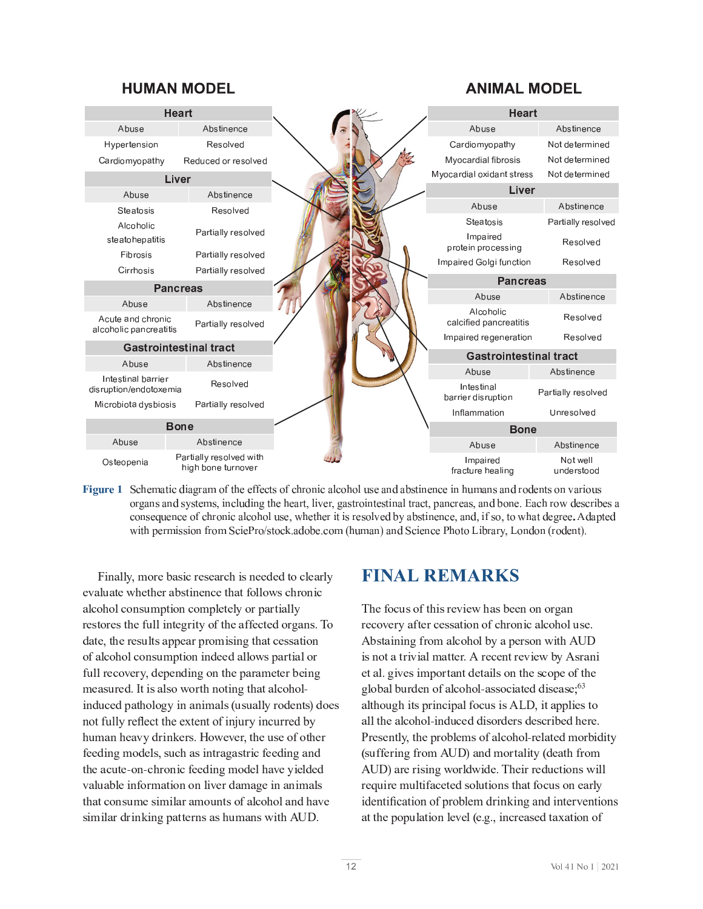#### **HUMAN MODEL**

#### **ANIMAL MODEL**



Figure 1 Schematic diagram of the effects of chronic alcohol use and abstinence in humans and rodents on various organs and systems, including the heart, liver, gastrointestinal tract, pancreas, and bone. Each row describes a consequence of chronic alcohol use, whether it is resolved by abstinence, and, if so, to what degree. Adapted with permission from SciePro/stock.adobe.com (human) and Science Photo Library, London (rodent).

n P <sup>I</sup> <sup>E</sup> <sup>M</sup> <sup>M</sup> W <sup>R</sup> <sup>H</sup> <sup>J</sup> <sup>F</sup> <sup>C</sup> [ <sup>E</sup> <sup>U</sup> <sup>P</sup> <sup>Q</sup> <sup>F</sup> <sup>C</sup> <sup>U</sup> <sup>C</sup> <sup>E</sup> <sup>F</sup> <sup>Q</sup> \_ <sup>P</sup> <sup>U</sup> <sup>I</sup> <sup>C</sup> <sup>C</sup> <sup>O</sup> <sup>C</sup> <sup>O</sup> <sup>G</sup> <sup>J</sup> <sup>Q</sup> <sup>M</sup> <sup>C</sup> <sup>E</sup> <sup>F</sup> <sup>M</sup> W  $\mathbb{E}_{\mathcal{M}}$  is a given  $\mathcal{M}$  and  $\mathcal{M}$  and  $\mathcal{M}$  and  $\mathcal{M}$ F <sup>C</sup> <sup>U</sup> <sup>G</sup> <sup>J</sup> <sup>F</sup> <sup>C</sup> <sup>U</sup> <sup>G</sup> \_ <sup>C</sup> <sup>K</sup> <sup>l</sup> <sup>M</sup> <sup>M</sup> <sup>P</sup> <sup>I</sup> <sup>G</sup> <sup>C</sup> <sup>V</sup> <sup>F</sup> <sup>P</sup> G <sup>W</sup> <sup>J</sup> <sup>K</sup> <sup>G</sup> \_ <sup>C</sup> <sup>E</sup> <sup>K</sup> <sup>K</sup> <sup>C</sup> <sup>Q</sup> <sup>G</sup> <sup>C</sup> <sup>O</sup> <sup>J</sup> <sup>F</sup> <sup>V</sup> <sup>E</sup> <sup>I</sup> <sup>U</sup> <sup>b</sup> <sup>D</sup> <sup>J</sup>  $J_{\rm eff}$  is a mass  $J_{\rm eff}$  in the definition of the f g  $\mu$  in the definition of  $\mu$  and  $\mu$  and  $\mu$  $K_{\rm eff}$  , we can consider the constant  $\mu$  and  $\mu$  is a constant  $\mu$  in  $\mu$  in  $\mu$  is a constant  $\mu$ P <sup>I</sup> <sup>O</sup> <sup>l</sup> <sup>Q</sup> <sup>C</sup> <sup>O</sup> <sup>D</sup> <sup>E</sup> <sup>G</sup> \_ <sup>J</sup> <sup>M</sup> <sup>J</sup> <sup>V</sup> <sup>W</sup> <sup>P</sup> <sup>I</sup> <sup>E</sup> <sup>I</sup> <sup>P</sup> <sup>H</sup> <sup>E</sup> <sup>M</sup> <sup>U</sup> <sup>A</sup> <sup>l</sup> <sup>U</sup> <sup>l</sup> <sup>E</sup> <sup>M</sup> <sup>M</sup> W <sup>F</sup> <sup>J</sup> <sup>O</sup> <sup>C</sup> <sup>I</sup> <sup>G</sup> <sup>U</sup> <sup>B</sup> <sup>O</sup> <sup>J</sup> <sup>C</sup> <sup>U</sup> not fully reflect the extent of injury incurred by K C O P I V H J O P I V H J O P I V H J O P I V H J O P I V H J O P I V E V E V E V E V E U G F P I V E I O P  $G = \{x \in \mathbb{R}^d : |x| \leq \epsilon \}$  $G = \frac{1}{2} \sum_{i=1}^n \frac{1}{2} \sum_{j=1}^n \frac{1}{2} \sum_{j=1}^n \frac{1}{2} \sum_{j=1}^n \frac{1}{2} \sum_{j=1}^n \frac{1}{2} \sum_{j=1}^n \frac{1}{2} \sum_{j=1}^n \frac{1}{2} \sum_{j=1}^n \frac{1}{2} \sum_{j=1}^n \frac{1}{2} \sum_{j=1}^n \frac{1}{2} \sum_{j=1}^n \frac{1}{2} \sum_{j=1}^n \frac{1}{2} \sum_{j=1}^n \frac{1}{2} \sum_{$  $U \subset \mathbb{R}^n$  is the fit  $\mathbb{R}^n$  in  $\mathbb{R}^n$  in  $\mathbb{R}^n$  is the interface in  $\mathbb{R}^n$ 

# **FINAL REMARKS**

The focus of this review has been on organ F C  $\bar{C}$  and  $\bar{C}$  and  $\bar{C}$  and  $\bar{C}$  is a given by  $\bar{C}$  and  $\bar{C}$  and  $\bar{C}$  and  $\bar{C}$  and  $\bar{C}$  by  $\bar{C}$  and  $\bar{C}$  and  $\bar{C}$  and  $\bar{C}$  and  $\bar{C}$  and  $\bar{C}$  and  $\bar{C}$  and  $\bar{C}$  and  $\bar{$ P <sup>U</sup> <sup>I</sup> <sup>J</sup> <sup>G</sup> <sup>E</sup> <sup>G</sup> <sup>F</sup> <sup>P</sup> Y <sup>P</sup> <sup>E</sup> <sup>M</sup> <sup>H</sup> <sup>E</sup> <sup>G</sup> <sup>G</sup> <sup>C</sup> <sup>F</sup> <sup>b</sup> <sup>d</sup> <sup>F</sup> <sup>C</sup> <sup>Q</sup> <sup>C</sup> <sup>I</sup> <sup>G</sup> <sup>F</sup> <sup>C</sup> <sup>Y</sup> <sup>P</sup> <sup>C</sup> <sup>g</sup> [ <sup>W</sup> <sup>d</sup> <sup>U</sup> <sup>F</sup> <sup>E</sup> <sup>I</sup> <sup>P</sup> C <sup>G</sup> <sup>E</sup> <sup>M</sup> <sup>b</sup> <sup>V</sup> <sup>P</sup> Y <sup>C</sup> <sup>U</sup> <sup>P</sup> <sup>H</sup> <sup>D</sup> <sup>J</sup> <sup>F</sup> <sup>G</sup> <sup>E</sup> <sup>I</sup> <sup>G</sup> <sup>O</sup> <sup>C</sup> <sup>G</sup> <sup>E</sup> <sup>P</sup> <sup>M</sup> <sup>U</sup> <sup>J</sup> <sup>I</sup> <sup>G</sup> \_ <sup>C</sup> <sup>U</sup> <sup>Q</sup> <sup>J</sup> <sup>D</sup> <sup>C</sup> <sup>J</sup> <sup>K</sup> <sup>G</sup> \_ <sup>C</sup>  $V = V \cdot \mathcal{L}$ E M G U D F P I D G U D F P I D G U D F P U D F P U D F P U D E M P L U P U D H P U D H P L U G H P C U G J B  $E = \frac{1}{2} \sum_{i=1}^{n} \frac{1}{2} \sum_{j=1}^{n} \frac{1}{2} \sum_{j=1}^{n} \frac{1}{2} \sum_{j=1}^{n} \frac{1}{2} \sum_{j=1}^{n} \frac{1}{2} \sum_{j=1}^{n} \frac{1}{2} \sum_{j=1}^{n} \frac{1}{2} \sum_{j=1}^{n} \frac{1}{2} \sum_{j=1}^{n} \frac{1}{2} \sum_{j=1}^{n} \frac{1}{2} \sum_{j=1}^{n} \frac{1}{2} \sum_{j=1}^{n} \frac{1}{2} \sum_{j=1}$ (suffering from AUD) and mortality (death from d  $\bar{B}$  B  $\bar{B}$   $\bar{B}$  and  $\bar{B}$   $\bar{B}$   $\bar{B}$   $\bar{B}$   $\bar{B}$   $\bar{B}$   $\bar{B}$   $\bar{B}$   $\bar{B}$   $\bar{B}$   $\bar{B}$   $\bar{B}$   $\bar{B}$   $\bar{B}$   $\bar{B}$   $\bar{B}$   $\bar{B}$   $\bar{B}$   $\bar{B}$   $\bar{B}$   $\bar{B}$   $\bar{B}$   $\bar{B}$   $\bar{B$ identification of problem drinking and interventions E <sup>G</sup> <sup>G</sup> \_ <sup>C</sup> <sup>D</sup> <sup>J</sup> <sup>D</sup> <sup>l</sup> <sup>M</sup> <sup>E</sup> <sup>G</sup> <sup>P</sup> <sup>J</sup> <sup>I</sup> <sup>M</sup> <sup>C</sup> <sup>Y</sup> <sup>C</sup> <sup>M</sup> <sup>A</sup> <sup>C</sup> <sup>b</sup> <sup>V</sup> <sup>b</sup> <sup>R</sup> <sup>P</sup> <sup>I</sup> <sup>Q</sup> <sup>F</sup> <sup>C</sup> <sup>E</sup> <sup>U</sup> <sup>C</sup> <sup>O</sup> <sup>G</sup> <sup>E</sup> <sup>C</sup> <sup>E</sup> <sup>G</sup> <sup>P</sup> <sup>J</sup> <sup>I</sup> <sup>J</sup> <sup>K</sup>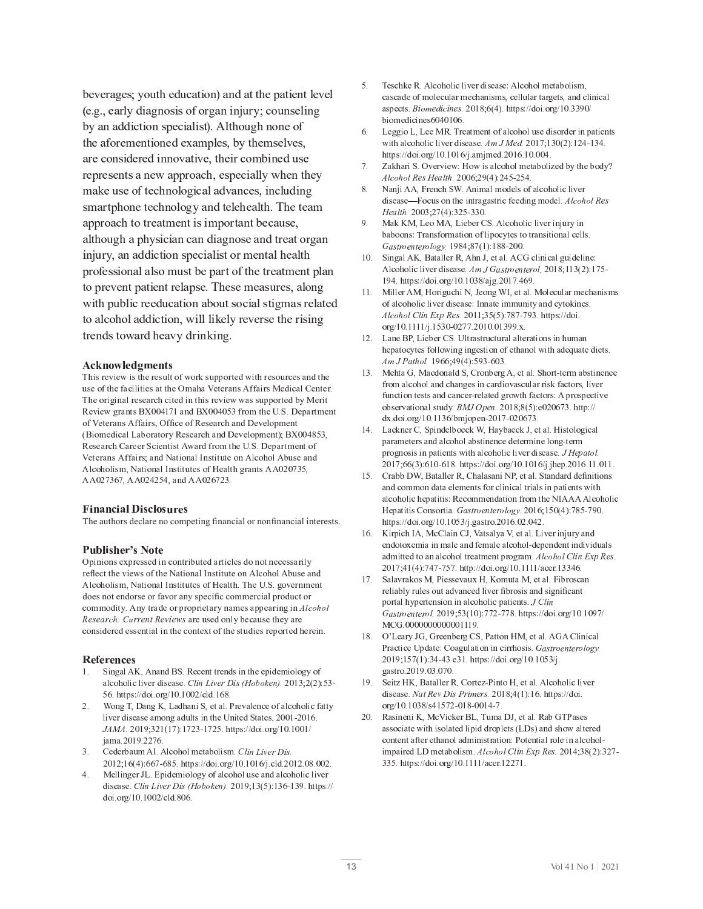$\mathcal{L}^{\mathcal{L}}(\mathcal{L}^{\mathcal{L}})$  is the contract of  $\mathcal{L}^{\mathcal{L}}$  and  $\mathcal{L}^{\mathcal{L}}$  and  $\mathcal{L}^{\mathcal{L}}$  and  $\mathcal{L}^{\mathcal{L}}$  and  $\mathcal{L}^{\mathcal{L}}$ (e.g., early diagnosis of organ injury; counseling [ <sup>W</sup> <sup>E</sup> <sup>I</sup> <sup>E</sup> <sup>O</sup> <sup>O</sup> <sup>P</sup> <sup>Q</sup> <sup>G</sup> <sup>P</sup> <sup>J</sup> <sup>I</sup> <sup>U</sup> <sup>D</sup> <sup>C</sup> <sup>Q</sup> <sup>P</sup> <sup>E</sup> <sup>M</sup> <sup>P</sup> <sup>U</sup> <sup>G</sup> <sup>B</sup> <sup>b</sup> <sup>d</sup> <sup>M</sup> G \_ <sup>J</sup> <sup>l</sup> <sup>V</sup> \_ <sup>I</sup> <sup>J</sup> <sup>I</sup> <sup>C</sup> <sup>J</sup> <sup>K</sup> G  $\mathcal{L}_{\mathcal{F}}$  for a contribution of  $\mathcal{F}$  in the contribution of  $\mathcal{F}$  and  $\mathcal{F}$  and  $\mathcal{F}$  $F_{\rm eff}$  C  $F_{\rm eff}$  and  $F_{\rm eff}$  is a discrete  $T_{\rm eff}$ H E  $\sim$  I division in the case of the contract of the contract of the contract of the contract of the contract of  $E \in \mathcal{E}$  and  $E \in \mathcal{E}$  and  $E \in \mathcal{E}$  given by the interpretation of  $E$  and  $E$  and  $E$  and  $E$ E <sup>M</sup> G \_ <sup>J</sup> <sup>l</sup> <sup>V</sup> \_ <sup>E</sup> <sup>D</sup> \_ <sup>W</sup> <sup>U</sup> <sup>P</sup> <sup>Q</sup> <sup>P</sup> <sup>E</sup> <sup>I</sup> <sup>Q</sup> <sup>E</sup> <sup>I</sup> <sup>O</sup> <sup>P</sup> <sup>E</sup> <sup>V</sup> <sup>I</sup> <sup>J</sup> <sup>U</sup> <sup>C</sup> <sup>E</sup> <sup>I</sup> <sup>O</sup> <sup>G</sup> <sup>F</sup> <sup>C</sup> <sup>E</sup> <sup>G</sup> <sup>J</sup> <sup>F</sup> <sup>V</sup> <sup>E</sup> <sup>I</sup>  $D_{\rm eff}$  is the distribution of the matrix  $D_{\rm eff}$  and  $D_{\rm eff}$  and  $D_{\rm eff}$  and  $D_{\rm eff}$  and  $D_{\rm eff}$  $G$  is a gradient of the contract of the contract of the contract of the contract of the contract of the contract of the contract of the contract of the contract of the contract of the contract of the contract of the cont G <sup>J</sup> <sup>E</sup> <sup>M</sup> <sup>Q</sup> <sup>J</sup> \_ <sup>J</sup> <sup>M</sup> <sup>E</sup> <sup>O</sup> <sup>O</sup> <sup>P</sup> <sup>Q</sup> <sup>G</sup> <sup>P</sup> <sup>J</sup> <sup>I</sup> <sup>R</sup> <sup>g</sup> <sup>P</sup> <sup>M</sup> <sup>M</sup> <sup>M</sup> <sup>P</sup> \ <sup>C</sup> <sup>M</sup> W <sup>F</sup> <sup>C</sup> <sup>Y</sup> <sup>C</sup> <sup>F</sup> <sup>U</sup> <sup>C</sup> <sup>G</sup> \_ <sup>C</sup> <sup>F</sup> <sup>P</sup> <sup>U</sup> <sup>P</sup> <sup>I</sup> <sup>V</sup>  $G_{\rm eff}$  is the contract of  $G_{\rm eff}$  g equation of  $\Gamma$  is the contract of  $\Gamma$ 

#### **Acknowledgments**

! - " # \$ \$ % % use of the facilities at the Omaha Veterans Affairs Medical Center  $\Box$  . The state of the state of the state of the state of the state of the state of the state of the state of Review grants  $BX004171$  and  $BX004053$  from the U.S. Departmen of Veterans Affairs, Office of Research and Development (Biomedical Laboratory Research and Development): BX004853 Research Career Scientist Award from the U.S. Department of " " <sup>8</sup> % - ; - - <sup>+</sup> % Alcoholism, National Institutes of Health grants AA020735

#### <sup>¹</sup> <sup>º</sup> <sup>&</sup>gt; <sup>º</sup> <sup>&</sup>gt; ? <sup>º</sup> ¼ <sup>½</sup> <sup>¾</sup>

The authors declare no competing financial or nonfinancial interests.

#### @ <sup>¼</sup> <sup>A</sup> º<sup>B</sup> <sup>¾</sup> <sup>½</sup> <sup>C</sup><sup>D</sup> <sup>¾</sup>

 $\mathcal{L} \times \mathcal{L} = \{ \mathcal{L} \times \mathcal{L} \times \mathcal{L} \times \mathcal{L} \times \mathcal{L} \times \mathcal{L} \times \mathcal{L} \times \mathcal{L} \times \mathcal{L} \times \mathcal{L} \times \mathcal{L} \times \mathcal{L} \times \mathcal{L} \times \mathcal{L} \times \mathcal{L} \times \mathcal{L} \times \mathcal{L} \times \mathcal{L} \times \mathcal{L} \times \mathcal{L} \times \mathcal{L} \times \mathcal{L} \times \mathcal{L} \times \mathcal{L} \times \mathcal{L} \times \mathcal$ reflect the views of the National Institute on Alcohol Abuse and Alcoholism. National Institutes of Health. The U.S. governmen does not endorse or favor any specific commercial product or  $\mathbf c$  ommodity. Any trade or proprietary names appearing in  $\mathbf A \mathbf I \mathbf c$  oho <sup>K</sup> <sup>L</sup> <sup>M</sup> <sup>L</sup> <sup>N</sup> <sup>O</sup> <sup>H</sup> <sup>J</sup> <sup>P</sup> <sup>Q</sup> <sup>R</sup> <sup>O</sup> <sup>O</sup> <sup>L</sup> <sup>S</sup> <sup>T</sup> <sup>K</sup> <sup>L</sup> <sup>U</sup> <sup>V</sup> <sup>L</sup> <sup>W</sup> <sup>M</sup> % - , <sup>+</sup> ,  $\mathcal{S} = \{ \mathcal{S} \mid \mathcal{S} \in \mathcal{S} \mid \mathcal{S} \in \mathcal{S} \}$  . The set of the set of the set of the set of the set of the set of the set of the set of the set of the set of the set of the set of the set of the set of the set of th

#### $\blacksquare$   $\blacksquare$   $\blacksquare$   $\blacksquare$   $\blacksquare$   $\blacksquare$   $\blacksquare$   $\blacksquare$   $\blacksquare$   $\blacksquare$   $\blacksquare$   $\blacksquare$   $\blacksquare$   $\blacksquare$   $\blacksquare$   $\blacksquare$   $\blacksquare$   $\blacksquare$   $\blacksquare$   $\blacksquare$   $\blacksquare$   $\blacksquare$   $\blacksquare$   $\blacksquare$   $\blacksquare$   $\blacksquare$   $\blacksquare$

- $1.$  $\sum_{n=1}^{\infty}$  3  $\sum_{n=1}^{\infty}$   $\sum_{n=1}^{\infty}$   $\sum_{n=1}^{\infty}$   $\sum_{n=1}^{\infty}$   $\sum_{n=1}^{\infty}$   $\sum_{n=1}^{\infty}$   $\sum_{n=1}^{\infty}$   $\sum_{n=1}^{\infty}$   $\sum_{n=1}^{\infty}$   $\sum_{n=1}^{\infty}$   $\sum_{n=1}^{\infty}$   $\sum_{n=1}^{\infty}$   $\sum_{n=1}^{\infty}$   $\sum_{n=1}^$  $\overline{\mathbf{v}}$  .  $\overline{\mathbf{v}}$  of  $\overline{\mathbf{v}}$  and  $\overline{\mathbf{v}}$  of  $\overline{\mathbf{v}}$  is a substance
- ) <sup>e</sup> \* ! : <sup>4</sup> \* <sup>Z</sup> : <sup>6</sup> % <sup>3</sup> : ) <sup>f</sup> " " , liver disease among adults in the United States, 2001-2016  $\mathcal{F} \circ \mathcal{F} \circ \mathcal{F} \circ \mathcal{F} \circ \mathcal{F} \circ \mathcal{F} \circ \mathcal{F} \circ \mathcal{F} \circ \mathcal{F} \circ \mathcal{F} \circ \mathcal{F} \circ \mathcal{F} \circ \mathcal{F} \circ \mathcal{F} \circ \mathcal{F} \circ \mathcal{F} \circ \mathcal{F} \circ \mathcal{F} \circ \mathcal{F} \circ \mathcal{F} \circ \mathcal{F} \circ \mathcal{F} \circ \mathcal{F} \circ \mathcal{F} \circ \mathcal{F} \circ \mathcal{F} \circ \mathcal{F} \circ \mathcal{$ iama.2019.2276
- 3. Cederbaum AI. Alcohol metabolism. Clin Liver Dis <sup>8</sup> <sup>=</sup> <sup>5</sup> <sup>7</sup> <sup>=</sup> <sup>=</sup> / <sup>c</sup> <sup>=</sup> <sup>9</sup> <sup>0</sup> ) \$ <sup>d</sup> <sup>d</sup> % ) \* <sup>d</sup> ) <sup>=</sup> <sup>d</sup> <sup>j</sup> ) - % ) ) <sup>9</sup> ) )
- 4. Mellinger JL. Epidemiology of alcohol use and alcoholic live  $\mathcal{P} = \{ \mathcal{P} \mid \mathcal{P} \mathcal{P} \mathcal{P} \mathcal{P} \mathcal{P} \mathcal{P} \mathcal{P} \mathcal{P} \mathcal{P} \mathcal{P} \mathcal{P} \mathcal{P} \mathcal{P} \mathcal{P} \mathcal{P} \mathcal{P} \mathcal{P} \mathcal{P} \mathcal{P} \mathcal{P} \mathcal{P} \mathcal{P} \mathcal{P} \mathcal{P} \mathcal{P} \mathcal{P} \mathcal{P} \mathcal{P} \mathcal{P} \mathcal{P} \mathcal{P} \mathcal{P} \mathcal{P} \mathcal{P$
- $5$  $\mathbf{e}$  eschke R. Alcoholic liver disease: Alcohol metabolism cascade of molecular mechanisms, cellular targets, and clinical  $\mathbf{v} = \mathbf{v} - \mathbf{v}$  $\overline{ \text{biomedicines}}$  6040106
- $\epsilon$ . Leggio L. Lee MR. Treatment of alcohol use disorder in patient  $\overline{\mathbf{r}}$  , in  $\overline{\mathbf{r}}$  ,  $\overline{\mathbf{r}}$  ,  $\overline{\mathbf{r}}$  ,  $\overline{\mathbf{r}}$  ,  $\overline{\mathbf{r}}$  ,  $\overline{\mathbf{r}}$  ,  $\overline{\mathbf{r}}$  ,  $\overline{\mathbf{r}}$  ,  $\overline{\mathbf{r}}$  ,  $\overline{\mathbf{r}}$  ,  $\overline{\mathbf{r}}$  ,  $\overline{\mathbf{r}}$  ,  $\overline{\mathbf{r}}$  ,  $\overline{\mathbf{r}}$  ,  $\overline{\mathbf{$ https://doi.org/10.1016/ $\mu$  amimed.2016.10.004
- 7. Zakhari S. Overview: How is alcohol metabolized by the body  $\overline{G}$   $\overline{G}$   $\overline{G}$   $\overline{G}$   $\overline{G}$   $\overline{G}$   $\overline{G}$   $\overline{G}$   $\overline{G}$   $\overline{G}$   $\overline{G}$   $\overline{G}$   $\overline{G}$   $\overline{G}$   $\overline{G}$   $\overline{G}$   $\overline{G}$   $\overline{G}$   $\overline{G}$   $\overline{G}$   $\overline{G}$   $\overline{G}$   $\overline{G}$   $\overline{G}$   $\overline{$
- 8. Nanii AA, French SW, Animal models of alcoholic live  $\alpha$  disease—Focus on the intragastric feeding model. *Alcohol Re* ^ <sup>L</sup> <sup>N</sup> <sup>G</sup> <sup>T</sup> <sup>J</sup> <sup>b</sup> <sup>1</sup> <sup>8</sup> / <sup>5</sup> <sup>7</sup> <sup>1</sup> <sup>0</sup> <sup>c</sup> <sup>1</sup> <sup>1</sup> )
- <sup>i</sup> ) ( # <sup>Z</sup> ( : <sup>6</sup> ( : <sup>6</sup> <sup>+</sup> <sup>3</sup> ) <sup>j</sup> ,  $b$ aboons: Transformation of lipocytes to transitional cells n M John Charles and the same of the same of the same of the same of the same of the same of the same of the s
- $\mathcal{L} = \{ \mathcal{L} \mid \mathcal{L} \in \mathbb{R}^n : \mathcal{L} \in \mathbb{R}^n : \mathcal{L} \in \mathbb{R}^n : \mathcal{L} \in \mathbb{R}^n : \mathcal{L} \in \mathbb{R}^n : \mathcal{L} \in \mathbb{R}^n : \mathcal{L} \in \mathbb{R}^n : \mathcal{L} \in \mathbb{R}^n : \mathcal{L} \in \mathbb{R}^n : \mathcal{L} \in \mathbb{R}^n : \mathcal{L} \in \mathbb{R}^n : \mathcal{L} \in \mathbb{R}^n$  $\overline{\mathbf{r}}$  ,  $\overline{\mathbf{r}}$  ,  $\overline{\mathbf{r}}$  ,  $\overline{\mathbf{r}}$  ,  $\overline{\mathbf{r}}$  ,  $\overline{\mathbf{r}}$  ,  $\overline{\mathbf{r}}$  ,  $\overline{\mathbf{r}}$  ,  $\overline{\mathbf{r}}$  ,  $\overline{\mathbf{r}}$  ,  $\overline{\mathbf{r}}$  ,  $\overline{\mathbf{r}}$  ,  $\overline{\mathbf{r}}$  ,  $\overline{\mathbf{r}}$  ,  $\overline{\mathbf{r}}$  ,  $\overline{\mathbf{r}}$ <sup>i</sup> ) \$ <sup>d</sup> <sup>d</sup> % ) \* <sup>d</sup> ) <sup>1</sup> <sup>9</sup> <sup>d</sup> <sup>j</sup> \* ) / ) <sup>=</sup> <sup>i</sup> )
- 11. Miller AM, Horiguchi N. Jeong WI, et al. Molecular mechanism of alcoholic liver disease: Innate immunity and cytokines  $\mathcal{L}(\mathcal{S}) = \mathcal{S}(\mathcal{S}) = \mathcal{S}(\mathcal{S}) = \mathcal{S}(\mathcal{S}) = \mathcal{S}(\mathcal{S}) = \mathcal{S}(\mathcal{S}) = \mathcal{S}(\mathcal{S}) = \mathcal{S}(\mathcal{S}) = \mathcal{S}(\mathcal{S}) = \mathcal{S}(\mathcal{S}) = \mathcal{S}(\mathcal{S}) = \mathcal{S}(\mathcal{S}) = \mathcal{S}(\mathcal{S}) = \mathcal{S}(\mathcal{S}) = \mathcal{S}(\mathcal{S}) = \mathcal{S}(\mathcal{S}) = \mathcal{S}(\mathcal{S})$  $\overline{\phantom{a}}$  ,  $\overline{\phantom{a}}$  ,  $\overline{\phantom{a}}$  ,  $\overline{\phantom{a}}$  ,  $\overline{\phantom{a}}$  ,  $\overline{\phantom{a}}$  ,  $\overline{\phantom{a}}$  ,  $\overline{\phantom{a}}$  ,  $\overline{\phantom{a}}$  ,  $\overline{\phantom{a}}$  ,  $\overline{\phantom{a}}$  ,  $\overline{\phantom{a}}$  ,  $\overline{\phantom{a}}$  ,  $\overline{\phantom{a}}$  ,  $\overline{\phantom{a}}$  ,  $\overline{\phantom{a}}$
- 12. Lane BP. Lieber CS. Ultrastructural alterations in huma  $\mathbf{r} = \mathbf{r} + \mathbf{r} + \mathbf{r} + \mathbf{r} + \mathbf{r} + \mathbf{r} + \mathbf{r} + \mathbf{r} + \mathbf{r} + \mathbf{r} + \mathbf{r} + \mathbf{r} + \mathbf{r} + \mathbf{r} + \mathbf{r} + \mathbf{r} + \mathbf{r} + \mathbf{r} + \mathbf{r} + \mathbf{r} + \mathbf{r} + \mathbf{r} + \mathbf{r} + \mathbf{r} + \mathbf{r} + \mathbf{r} + \mathbf{r} + \mathbf{r} + \mathbf{r} + \mathbf{r} + \mathbf$ <sup>F</sup> <sup>n</sup> <sup>g</sup> } <sup>N</sup> <sup>T</sup> <sup>J</sup> <sup>I</sup> <sup>G</sup> <sup>b</sup> <sup>i</sup> <sup>=</sup> <sup>=</sup> <sup>8</sup> <sup>i</sup> <sup>5</sup> <sup>7</sup> <sup>0</sup> <sup>i</sup> <sup>1</sup> <sup>c</sup> <sup>=</sup> <sup>1</sup> )
- $13.$  Mehta G. Macdonald S. Cronberg A, et al. Short-term abstinence from alcohol and changes in cardiovascular risk factors, live " % <sup>c</sup> - % \* " \$ \$ <sup>+</sup> - % , ) <sup>m</sup> <sup>h</sup> <sup>g</sup> <sup>~</sup> { <sup>L</sup> <sup>S</sup> <sup>b</sup> <sup>9</sup> <sup>8</sup> <sup>9</sup> <sup>5</sup> <sup>0</sup> <sup>7</sup> <sup>=</sup> / <sup>1</sup> ) \$ <sup>d</sup> <sup>d</sup> dx.doi.org/10.1136/bmiopen-2017-020673
- $\ldots$  ,  $\ldots$  ,  $\ldots$  ,  $\ldots$  ,  $\ldots$  ,  $\ldots$  ,  $\ldots$  ,  $\ldots$ parameters and alcohol abstinence determine long-term  $\ddot{\textbf{a}} = \textbf{a} + \textbf{b} + \textbf{c} + \textbf{c} + \textbf{c} + \textbf{c} + \textbf{c} + \textbf{c} + \textbf{c} + \textbf{c} + \textbf{c} + \textbf{c} + \textbf{c} + \textbf{c} + \textbf{c} + \textbf{c} + \textbf{c} + \textbf{c} + \textbf{c} + \textbf{c} + \textbf{c} + \textbf{c} + \textbf{c} + \textbf{c} + \textbf{c} + \textbf{c} + \textbf{c} + \textbf{c} + \textbf{c} + \textbf{c} +$ / <sup>8</sup> <sup>=</sup> <sup>=</sup> <sup>5</sup> <sup>1</sup> <sup>7</sup> <sup>=</sup> <sup>c</sup> <sup>=</sup> <sup>9</sup> ) \$ <sup>d</sup> <sup>d</sup> % ) \* <sup>d</sup> ) <sup>=</sup> <sup>d</sup> <sup>j</sup> ) <sup>j</sup> \$ ) <sup>=</sup> ) ) )
- 15 Crabb DW, Bataller R, Chalasani NP, et al. Standard definitions and common data elements for clinical trials in patients wit  $\alpha$  alcoholic hepatitis: Recommendation from the NIAAA Alcoholic  $\mathbf{r} = \mathbf{r} \cdot \mathbf{a}$  , we will be according to  $\mathbf{r}$ \$ <sup>d</sup> <sup>d</sup> % ) \* <sup>d</sup> ) <sup>0</sup> <sup>1</sup> <sup>d</sup> <sup>j</sup> ) \* ) <sup>=</sup> ) ) )
- 16.  $\mathcal{L} = \{ \mathcal{L} \mathcal{L} \mathcal{L} \mathcal{L} \mathcal{L} \mathcal{L} \mathcal{L} \mathcal{L} \mathcal{L} \mathcal{L} \mathcal{L} \mathcal{L} \mathcal{L} \mathcal{L} \mathcal{L} \mathcal{L} \mathcal{L} \mathcal{L} \mathcal{L} \mathcal{L} \mathcal{L} \mathcal{L} \mathcal{L} \mathcal{L} \mathcal{L} \mathcal{L} \mathcal{L} \mathcal{L} \mathcal{L} \mathcal{L} \mathcal{L} \mathcal{L} \mathcal{L} \mathcal{L} \mathcal{L} \$ endotoxemia in male and female alcohol-dependent individuals admitted to an alcohol treatment program,  $\overrightarrow{A}$  lcohol Clin Exp Res / <sup>8</sup> <sup>5</sup> <sup>7</sup> / / <sup>c</sup> / <sup>0</sup> / ) \$ <sup>d</sup> <sup>d</sup> % ) \* <sup>d</sup> ) <sup>d</sup> ) <sup>1</sup> <sup>1</sup> <sup>=</sup> )
- 17. Salavrakos M. Piessevaux H. Komuta M. et al. Fibrosca reliably rules out advanced liver fibrosis and significant \$ - , \$ - - \$ ) <sup>g</sup> <sup>Q</sup> <sup>G</sup> <sup>V</sup> <sup>S</sup> n manda wang mang manda manda sa sang MCG.0000000000001119.
- $\mathbf{a}$  are  $\mathbf{b}$  in an  $\mathbf{b}$  in  $\mathbf{c}$  in  $\mathbf{c}$ <sup>f</sup> <sup>2</sup> \$ %  \* - ) <sup>u</sup> <sup>N</sup> <sup>M</sup> <sup>T</sup> <sup>O</sup> <sup>I</sup> <sup>L</sup> <sup>S</sup> <sup>T</sup> <sup>L</sup> <sup>O</sup> <sup>I</sup> <sup>G</sup> <sup>I</sup> <sup>v</sup> <sup>w</sup> <sup>b</sup> <sup>i</sup> <sup>8</sup> <sup>0</sup> / <sup>5</sup> <sup>7</sup> <sup>1</sup> <sup>c</sup> <sup>1</sup> <sup>1</sup> ) \$ <sup>d</sup> <sup>d</sup> % ) \* <sup>d</sup> ) <sup>0</sup> <sup>1</sup> <sup>d</sup> <sup>j</sup> ) \* ) <sup>i</sup> ) <sup>1</sup> ) / )
- $\overline{\mathbf{z}}$  ,  $\overline{\mathbf{z}}$  ,  $\overline{\mathbf{z}}$  ,  $\overline{\mathbf{z}}$  ,  $\overline{\mathbf{z}}$  ,  $\overline{\mathbf{z}}$  ,  $\overline{\mathbf{z}}$  ,  $\overline{\mathbf{z}}$  ,  $\overline{\mathbf{z}}$  ,  $\overline{\mathbf{z}}$  ,  $\overline{\mathbf{z}}$  ,  $\overline{\mathbf{z}}$  ,  $\overline{\mathbf{z}}$  ,  $\overline{\mathbf{z}}$  ,  $\overline{\mathbf{z}}$  ,  $\overline{\mathbf{z}}$  $\mathcal{N}$  , and the set of the set of  $\mathcal{N}$  and  $\mathcal{N}$  and  $\mathcal{N}$  are the set of  $\mathcal{N}$ \* <sup>d</sup> ) <sup>1</sup> <sup>9</sup> <sup>d</sup> <sup>0</sup> / <sup>c</sup> <sup>9</sup> <sup>c</sup> <sup>c</sup> / )
- $20.$ 20. Rasineni K. McVicker BL. Tuma DJ. et al. Rab GTPase - % - \$ % % \$ - <sup>5</sup> <sup>6</sup> <sup>4</sup> <sup>7</sup> % - % content after ethanol administration: Potential role in alcohol  $\mu$  impaired LD metabolism. *Alcohol Clin Exn Res.* 2014:38(2):327 <sup>1</sup> <sup>1</sup> <sup>0</sup> ) \$ <sup>d</sup> <sup>d</sup> % ) \* <sup>d</sup> ) <sup>d</sup> ) / )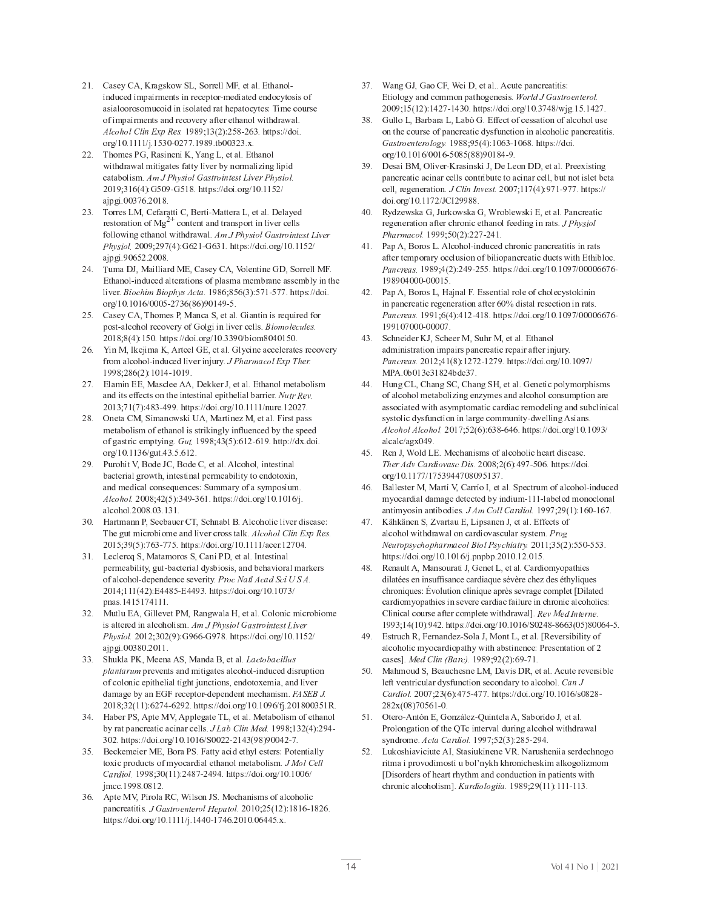- $\mathcal{L} = \mathcal{L} = \mathcal{L} = \mathcal{L} = \mathcal{L} = \mathcal{L} = \mathcal{L} = \mathcal{L} = \mathcal{L} = \mathcal{L} = \mathcal{L} = \mathcal{L} = \mathcal{L} = \mathcal{L} = \mathcal{L} = \mathcal{L} = \mathcal{L} = \mathcal{L} = \mathcal{L} = \mathcal{L} = \mathcal{L} = \mathcal{L} = \mathcal{L} = \mathcal{L} = \mathcal{L} = \mathcal{L} = \mathcal{L} = \mathcal{L} = \mathcal{L} = \mathcal{L} = \mathcal{L} = \mathcal$ induced impairments in receptor-mediated endocytosis of asialoorosomucoid in isolated rat hepatocytes: Time cours of impairments and recovery after ethanol withdrawal  $\mathcal{F}$  is the state of  $\mathcal{F}$  is a state of  $\mathcal{F}$  in  $\mathcal{F}$ \* <sup>d</sup> ) <sup>d</sup> <sup>j</sup> ) <sup>0</sup> <sup>1</sup> <sup>c</sup> / / ) <sup>i</sup> <sup>9</sup> <sup>i</sup> ) <sup>+</sup> <sup>1</sup> <sup>1</sup> ) E )
- 22. Thomes PG, Rasineni K, Yang L, et al. Ethanol withdrawal mitigates fatty liver by normalizing lipicatabolism. Am J Physiol Gastrointest Liver Physiol. <sup>i</sup> <sup>8</sup> <sup>1</sup> <sup>=</sup> <sup>5</sup> <sup>7</sup> <sup>x</sup> <sup>0</sup> <sup>i</sup> <sup>c</sup> <sup>x</sup> <sup>0</sup> <sup>9</sup> ) \$ <sup>d</sup> <sup>d</sup> % ) \* <sup>d</sup> ) <sup>0</sup> <sup>d</sup> <sup>j</sup> \$ \* ) <sup>1</sup> / <sup>=</sup> ) <sup>9</sup> )
- $\mathbf{a}$  . The state is the state of the state of the state of the state of the state of the state of the state of the state of the state of the state of the state of the state of the state of the state of the state of th " ( \* ? <sup>n</sup> % \$ - - - " - - \* - % - ) <sup>F</sup> <sup>n</sup> <sup>g</sup> } <sup>J</sup> <sup>w</sup> <sup>M</sup> <sup>V</sup> <sup>I</sup> <sup>G</sup> <sup>u</sup> <sup>N</sup> <sup>M</sup> <sup>T</sup> <sup>O</sup> <sup>I</sup> <sup>V</sup> <sup>S</sup> <sup>T</sup> <sup>L</sup> <sup>M</sup> <sup>T</sup> [ <sup>V</sup> <sup>U</sup> <sup>L</sup> <sup>O</sup>  $\mathcal{L}$  , and an order of  $\mathcal{L}$  , the second second in the second second second in the second second second second second second second second second second second second second second second second second second seco <sup>j</sup> \$ \* ) i <sup>=</sup> <sup>0</sup> ) <sup>9</sup> )
- 24. Tuma DJ, Mailliard ME, Casey CA, Volentine GD, Sorrell MF Ethanol-induced alterations of plasma membrane assembly in the  $\cdots$  m  $\cdots$  m  $\cdots$  in the second contract  $\cdots$ \* <sup>d</sup> ) <sup>=</sup> <sup>d</sup> <sup>0</sup> <sup>c</sup> / <sup>1</sup> <sup>=</sup> <sup>5</sup> <sup>9</sup> <sup>=</sup> <sup>7</sup> <sup>i</sup> <sup>i</sup> <sup>c</sup> <sup>0</sup> )
- $25.$  Casey CA, Thomes P. Manca S. et al. Giantin is required for  $\frac{1}{2}$  ,  $\frac{1}{2}$  ,  $\frac{1}{2}$  ,  $\frac{1}{2}$  ,  $\frac{1}{2}$  ,  $\frac{1}{2}$  ,  $\frac{1}{2}$  ,  $\frac{1}{2}$  ,  $\frac{1}{2}$  ,  $\frac{1}{2}$ 2018:8(4):150. https://doi.org/10.3390/biom8040150
- 26. Yin M. Ikejima K. Arteel GE, et al. Glycine accelerates recover from alcohol-induced liver injury. *J Pharmacol Exp Ther* <sup>i</sup> <sup>i</sup> <sup>9</sup> <sup>8</sup> <sup>9</sup> <sup>=</sup> <sup>5</sup> <sup>7</sup> <sup>c</sup> <sup>i</sup> )
- 27. Elamin EE, Masclee AA, Dekker J, et al. Ethanol metabolism  $\mathcal{L} = \mathcal{L} \mathcal{L} = \mathcal{L} \mathcal{L} = \mathcal{L} \mathcal{L} = \mathcal{L} \mathcal{L} = \mathcal{L} \mathcal{L} = \mathcal{L} \mathcal{L} = \mathcal{L} \mathcal{L} = \mathcal{L} \mathcal{L} = \mathcal{L} \mathcal{L} = \mathcal{L} \mathcal{L} = \mathcal{L} \mathcal{L} = \mathcal{L} \mathcal{L} = \mathcal{L} \mathcal{L} = \mathcal{L} \mathcal{L} = \mathcal{L} \mathcal{L} = \mathcal{L} \mathcal{L} = \mathcal{L$ <sup>1</sup> <sup>8</sup> / <sup>5</sup> / <sup>7</sup> <sup>9</sup> <sup>1</sup> <sup>c</sup> <sup>i</sup> <sup>i</sup> ) \$ <sup>d</sup> <sup>d</sup> % ) \* <sup>d</sup> ) <sup>d</sup> ) / )
- 28. Oneta CM, Simanowski UA, Martinez M, et al. First pas metabolism of ethanol is strikingly influenced by the speed of gastric emptying,  $Gut$  1998:43(5):612-619, http://dx.doi \* <sup>d</sup> ) <sup>1</sup> <sup>=</sup> <sup>d</sup> \* ) <sup>1</sup> ) <sup>0</sup> ) = )
- $\ldots$  ,  $\ldots$   $\ldots$  .  $\ldots$  .  $\ldots$  .  $\ldots$ bacterial growth, intestinal permeability to endotoxin. and medical consequences: Summary of a symposium  $\mathbf{F} = \mathbf{F} + \mathbf{F} + \mathbf{F} + \mathbf{F} + \mathbf{F} + \mathbf{F} + \mathbf{F} + \mathbf{F} + \mathbf{F} + \mathbf{F} + \mathbf{F} + \mathbf{F} + \mathbf{F} + \mathbf{F} + \mathbf{F} + \mathbf{F} + \mathbf{F} + \mathbf{F} + \mathbf{F} + \mathbf{F} + \mathbf{F} + \mathbf{F} + \mathbf{F} + \mathbf{F} + \mathbf{F} + \mathbf{F} + \mathbf{F} + \mathbf{F} + \mathbf{F} + \mathbf{F} + \mathbf$
- 30. Hartmann P. Seebauer CT. Schnabl B. Alcoholic liver disease The gut microbiome and liver cross talk.  $Alcohol Clin Exn Res$ <sup>0</sup> <sup>8</sup> <sup>1</sup> <sup>i</sup> <sup>5</sup> <sup>0</sup> <sup>7</sup> / <sup>=</sup> <sup>1</sup> <sup>c</sup> / / <sup>0</sup> ) \$ <sup>d</sup> <sup>d</sup> % ) \* <sup>d</sup> ) <sup>d</sup> ) / )
- $31.$  Leclerca S. Matamoros S. Cani PD, et al. Intestinal permeability, gut-bacterial dysbiosis, and behavioral marker <sup>8</sup> <sup>5</sup> <sup>7</sup> <sup>l</sup> <sup>9</sup> <sup>0</sup> c l <sup>i</sup> <sup>1</sup> ) \$ <sup>d</sup> <sup>d</sup> % ) \* <sup>d</sup> ) / <sup>1</sup> <sup>d</sup> pnas.1415174111.
- 32. Mutlu EA, Gillevet PM, Rangwala H, et al. Colonic microbiome is altered in alcoholism.  $Am\overline{J}$  Physiol Gastrointest Live  $\mathcal{L}$  , and a contract of  $\mathcal{L}$  , and  $\mathcal{L}$  is a semi-finite original matrix  $\mathcal{L}$ . . . . . . . . . . .
- <sup>1</sup> <sup>1</sup> ) <sup>3</sup> # <sup>f</sup> <sup>Z</sup> : ( <sup>3</sup> : ( % : ) [ <sup>N</sup> <sup>H</sup> <sup>T</sup> <sup>I</sup> \_ <sup>N</sup> <sup>H</sup> <sup>V</sup> <sup>G</sup> <sup>G</sup> <sup>R</sup> <sup>M</sup>  $\mu$  n  $\mu$  of  $\mu$  of  $\mu$  s and mitigates alcohol-induced distuption of colonic epithelial tight junctions, endotoxemia, and live damage by an EGF receptor-dependent mechanism. *FASEB J* <sup>9</sup> <sup>8</sup> <sup>1</sup> <sup>5</sup> <sup>7</sup> <sup>=</sup> / <sup>c</sup> <sup>=</sup> <sup>i</sup> ) \$ <sup>d</sup> <sup>d</sup> % ) \* <sup>d</sup> ) <sup>i</sup> <sup>=</sup> <sup>d</sup> " <sup>j</sup> ) <sup>9</sup> <sup>1</sup> <sup>0</sup> )
- 34. Haber PS, Apte MV, Applegate TL, et al. Metabolism of ethanol  $\mathbf{r}$  ,  $\mathbf{r}$  ,  $\mathbf{r}$  ,  $\mathbf{r}$  is the set of  $\mathbf{r}$  is the set of  $\mathbf{r}$  as  $\mathbf{r}$ <sup>1</sup> ) \$ <sup>d</sup> <sup>d</sup> % ) \* <sup>d</sup> ) <sup>=</sup> <sup>d</sup> <sup>3</sup> <sup>c</sup> <sup>1</sup> <sup>5</sup> <sup>i</sup> <sup>9</sup> <sup>7</sup> <sup>i</sup> <sup>c</sup> / )
- 35. Beckemeier ME, Bora PS, Fatty acid ethyl esters: Potentiall toxic products of myocardial ethanol metabolism.  $J$  Mol Cel  $\sigma$  ,  $\sigma$  is the second state of  $\sigma$  is the second state of  $\sigma$ imcc.1998.0812
- $16.$  Apte MV, Pirola RC, Wilson JS, Mechanisms of alcoholic  $\mathcal{A}$  , we have the set of the set of the set of the set of the set of the set of the set of the set of the set of the set of the set of the set of the set of the set of the set of the set of the set of the set of the \$ <sup>d</sup> <sup>d</sup> % ) \* <sup>d</sup> ) <sup>d</sup> <sup>j</sup> ) <sup>c</sup> / <sup>=</sup> ) ) <sup>=</sup> <sup>0</sup> ) E )
- $\mathbf{1} = \mathbf{1} \cdot \mathbf{1} \cdot \mathbf{1} \cdot \mathbf{1} \cdot \mathbf{1} \cdot \mathbf{1} \cdot \mathbf{1} \cdot \mathbf{1} \cdot \mathbf{1} \cdot \mathbf{1} \cdot \mathbf{1} \cdot \mathbf{1} \cdot \mathbf{1} \cdot \mathbf{1} \cdot \mathbf{1} \cdot \mathbf{1} \cdot \mathbf{1} \cdot \mathbf{1} \cdot \mathbf{1} \cdot \mathbf{1} \cdot \mathbf{1} \cdot \mathbf{1} \cdot \mathbf{1} \cdot \mathbf{1} \cdot \mathbf{1} \cdot \mathbf{1} \cdot \mathbf{1$ Etiology and common pathogenesis. *World J Gastroenterol* <sup>i</sup> <sup>8</sup> <sup>0</sup> <sup>5</sup> <sup>7</sup> / <sup>c</sup> <sup>1</sup> ) \$ <sup>d</sup> <sup>d</sup> % ) \* <sup>d</sup> ) 1 / <sup>9</sup> <sup>d</sup> <sup>j</sup> \* ) <sup>0</sup> ) / )
- <sup>1</sup> <sup>9</sup> ) <sup>x</sup> - <sup>6</sup> : <sup>+</sup> <sup>6</sup> : <sup>6</sup> <sup>+</sup> <sup>x</sup> ) <sup>l</sup> " " " " <sup>u</sup> <sup>N</sup> <sup>M</sup> <sup>T</sup> <sup>O</sup> <sup>I</sup> <sup>L</sup> <sup>S</sup> <sup>T</sup> <sup>L</sup> <sup>O</sup> <sup>I</sup> <sup>G</sup> <sup>I</sup> <sup>v</sup> <sup>w</sup> <sup>b</sup> <sup>i</sup> <sup>9</sup> <sup>9</sup> <sup>8</sup> <sup>i</sup> <sup>0</sup> <sup>5</sup> <sup>7</sup> <sup>=</sup> <sup>1</sup> <sup>c</sup> <sup>=</sup> <sup>9</sup> ) \$ <sup>d</sup> <sup>d</sup> % ) \* <sup>d</sup> ) <sup>=</sup> <sup>d</sup> <sup>=</sup> <sup>c</sup> <sup>0</sup> <sup>9</sup> <sup>0</sup> <sup>5</sup> <sup>9</sup> <sup>9</sup> <sup>7</sup> <sup>i</sup> <sup>9</sup> <sup>c</sup> <sup>i</sup> )
- <sup>1</sup> <sup>i</sup> ) <sup>4</sup> ( : & c Z # <sup>k</sup> : <sup>4</sup> <sup>6</sup> <sup>4</sup> <sup>4</sup> : ) <sup>f</sup> <sup>E</sup> \* \$ - - <sup>+</sup> - - : <sup>+</sup> - <sup>+</sup> - - : \* ) <sup>g</sup> <sup>Q</sup> <sup>G</sup> <sup>V</sup> <sup>S</sup> <sup>S</sup> <sup>U</sup> <sup>L</sup> <sup>M</sup> <sup>T</sup> <sup>b</sup> / <sup>8</sup> / <sup>5</sup> <sup>7</sup> <sup>i</sup> / <sup>c</sup> <sup>i</sup> / / ) \$ <sup>d</sup> <sup>d</sup>
- ) , % <sup>q</sup> # <sup>x</sup> : <sup>k</sup> # # <sup>x</sup> : <sup>e</sup> <sup>+</sup> # <sup>l</sup> : ) <sup>f</sup>  $\mathcal{F} = \mathcal{F} \cup \mathcal{F} = \mathcal{F} \cup \mathcal{F} = \mathcal{F} \cup \mathcal{F} = \mathcal{F} \cup \mathcal{F} = \mathcal{F} \cup \mathcal{F} = \mathcal{F} \cup \mathcal{F} = \mathcal{F} \cup \mathcal{F} = \mathcal{F} \cup \mathcal{F} = \mathcal{F} \cup \mathcal{F} = \mathcal{F} \cup \mathcal{F} = \mathcal{F} \cup \mathcal{F} = \mathcal{F} \cup \mathcal{F} = \mathcal{F} \cup \mathcal{F} = \mathcal{F} \cup \mathcal{F} = \mathcal$  $\overline{J}$  is the second set that
- ) for a set of the set of the set of the set of the set of the set of the set of the set of the set of the set of the set of the set of the set of the set of the set of the set of the set of the set of the set of the set after temporary occlusion of biliopancreatic ducts with Ethibloc  $\frac{1}{2}$   $\frac{1}{2}$   $\frac{1}{2}$   $\frac{1}{2}$   $\frac{1}{2}$   $\frac{1}{2}$   $\frac{1}{2}$   $\frac{1}{2}$   $\frac{1}{2}$   $\frac{1}{2}$   $\frac{1}{2}$   $\frac{1}{2}$   $\frac{1}{2}$   $\frac{1}{2}$   $\frac{1}{2}$   $\frac{1}{2}$   $\frac{1}{2}$   $\frac{1}{2}$   $\frac{1}{2}$   $\frac{1}{2}$   $\frac{1}{2}$   $\frac{1}{2}$  <sup>i</sup> <sup>9</sup> <sup>i</sup> <sup>c</sup> <sup>0</sup> )
- ) for  $\mathbf{r} = \mathbf{r}$  , the state of  $\mathbf{r} = \mathbf{r}$  , the state of  $\mathbf{r} = \mathbf{r}$  , then  $\mathbf{r} = \mathbf{r}$  $\mathcal{L} \left( \mathcal{L} \right)$  . The set of the set of the set of the set of the set of the set of the set of the set of the set of the set of the set of the set of the set of the set of the set of the set of the set of the set of  $\mathbf{r}$  show the second second second second second second second second second second second second second second second second second second second second second second second second second second second second second <sup>i</sup> <sup>i</sup> / <sup>c</sup> / )
- $\mathbf{a}$  ,  $\mathbf{a}$  ,  $\mathbf{b}$  ,  $\mathbf{c}$  ,  $\mathbf{c}$  ,  $\mathbf{c}$  ,  $\mathbf{c}$  ,  $\mathbf{c}$  ,  $\mathbf{c}$  ,  $\mathbf{c}$  ,  $\mathbf{c}$ administration impairs pancreatic repair after injury  $\overline{\phantom{a}}$  and  $\overline{\phantom{a}}$  .  $\overline{\phantom{a}}$  .  $\overline{\phantom{a}}$  .  $\overline{\phantom{a}}$  .  $\overline{\phantom{a}}$  .  $\overline{\phantom{a}}$  .  $\overline{\phantom{a}}$  .  $\overline{\phantom{a}}$  .  $\overline{\phantom{a}}$  .  $\overline{\phantom{a}}$  .  $\overline{\phantom{a}}$  .  $\overline{\phantom{a}}$  .  $\overline{\phantom{a}}$  .  $\overline{\phantom{a}}$  .  $\overline{\phantom{a$ MPA.0b013e31824bde37.
- 44. Hung CL, Chang SC, Chang SH, et al. Genetic polymorphism  $\alpha$  alcohol metabolizing enzymes and alcohol consumption are associated with asymptomatic cardiac remodeling and subclinical  $s$  vstolic dysfunction in large community-dwelling Asians  $\mathbf{F} \cdot \mathbf{F} = \mathbf{F} \cdot \mathbf{F} + \mathbf{F} \cdot \mathbf{F} + \mathbf{F} \cdot \mathbf{F} + \mathbf{F} \cdot \mathbf{F} + \mathbf{F} \cdot \mathbf{F} + \mathbf{F} \cdot \mathbf{F} + \mathbf{F} \cdot \mathbf{F} + \mathbf{F} \cdot \mathbf{F} + \mathbf{F} \cdot \mathbf{F} + \mathbf{F} \cdot \mathbf{F} + \mathbf{F} \cdot \mathbf{F} + \mathbf{F} \cdot \mathbf{F} + \mathbf{F} \cdot \mathbf{F} + \mathbf{F} \cdot \math$
- 45. Ren J. Wold LE. Mechanisms of alcoholic heart disease  $\overline{U}$   $\overline{U}$   $\overline{V}$   $\overline{V}$   $\overline{V}$   $\overline{V}$   $\overline{V}$   $\overline{V}$   $\overline{V}$   $\overline{V}$   $\overline{V}$   $\overline{V}$   $\overline{V}$   $\overline{V}$   $\overline{V}$   $\overline{V}$   $\overline{V}$   $\overline{V}$   $\overline{V}$   $\overline{V}$   $\overline{V}$   $\overline{V}$   $\overline{V}$   $\overline{V}$   $\overline{$
- 46. Ballester M. Martí V. Carrío I. et al. Spectrum of alcohol-induce myocardial damage detected by indium-111-labeled monoclonal  $\frac{1}{2}$  antimyosin antibodies. *J Am Coll Cardiol.* 1997:29(1):160-167
- 47  $\mathcal{L} = \mathcal{L} = \mathcal{L} = \mathcal{L} = \mathcal{L} = \mathcal{L} = \mathcal{L} = \mathcal{L} = \mathcal{L} = \mathcal{L} = \mathcal{L} = \mathcal{L} = \mathcal{L} = \mathcal{L} = \mathcal{L} = \mathcal{L} = \mathcal{L} = \mathcal{L} = \mathcal{L} = \mathcal{L} = \mathcal{L} = \mathcal{L} = \mathcal{L} = \mathcal{L} = \mathcal{L} = \mathcal{L} = \mathcal{L} = \mathcal{L} = \mathcal{L} = \mathcal{L} = \mathcal{L} = \mathcal$ alcohol withdrawal on cardiovascular system.  $Pro$  <sup>L</sup> <sup>R</sup> <sup>O</sup> <sup>I</sup> { <sup>M</sup> <sup>w</sup> <sup>H</sup> <sup>J</sup> <sup>I</sup> { <sup>J</sup> <sup>N</sup> <sup>O</sup> <sup>n</sup> <sup>N</sup> <sup>H</sup> <sup>I</sup> <sup>G</sup> <sup>m</sup> <sup>V</sup> <sup>I</sup> <sup>G</sup> } <sup>M</sup> <sup>w</sup> <sup>H</sup> <sup>J</sup> <sup>V</sup> <sup>N</sup> <sup>T</sup> <sup>O</sup> <sup>w</sup> <sup>b</sup> <sup>8</sup> <sup>1</sup> <sup>0</sup> <sup>5</sup> <sup>7</sup> <sup>0</sup> <sup>0</sup> <sup>c</sup> <sup>0</sup> <sup>0</sup> <sup>1</sup> ) \$ <sup>d</sup> <sup>d</sup> % ) \* <sup>d</sup> ) <sup>=</sup> <sup>d</sup> <sup>j</sup> ) \$ \$ <sup>+</sup> \$ ) ) ) <sup>0</sup> )
- 48 48. Renault A. Mansourati J. Genet L. et al. Cardiomyopathie dilatées en insuffisance cardiaque sévère chez des éthyliques chroniques: Évolution clinique après sevrage complet [Dilated]  $\alpha$  cardiomy opathies in severe cardiac failure in chronic alcoholics Clinical course after complete withdrawall. Rev Med Interne <sup>i</sup> <sup>i</sup> <sup>1</sup> <sup>8</sup> <sup>5</sup> <sup>7</sup> <sup>i</sup> ) \$ <sup>d</sup> <sup>d</sup> % ) \* <sup>d</sup> ) <sup>=</sup> <sup>d</sup> <sup>3</sup> <sup>9</sup> <sup>c</sup> <sup>9</sup> <sup>=</sup> <sup>=</sup> <sup>1</sup> <sup>5</sup> <sup>0</sup> <sup>7</sup> <sup>9</sup> <sup>=</sup> <sup>c</sup> <sup>0</sup> )
- 49. Estruch R, Fernandez-Sola J, Mont L, et al. [Reversibility of  $\alpha$  alcoholic myocardiopathy with abstinence: Presentation of ) <sup>h</sup> <sup>L</sup> <sup>o</sup> <sup>Q</sup> <sup>G</sup> <sup>V</sup> <sup>S</sup> ] <sup>m</sup> <sup>N</sup> <sup>O</sup> <sup>H</sup> <sup>a</sup> <sup>b</sup> <sup>i</sup> <sup>9</sup> <sup>i</sup> <sup>8</sup> <sup>i</sup> <sup>5</sup> <sup>7</sup> <sup>=</sup> <sup>i</sup> <sup>c</sup> / )
- $50.$  Mahmoud S, Beauchesne LM, Davis DR, et al. Acute reversible - " - % , " % , - - ) <sup>Q</sup> <sup>N</sup> <sup>S</sup> <sup>g</sup> <sup>Q</sup> <sup>N</sup> <sup>O</sup> <sup>o</sup> <sup>V</sup> <sup>I</sup> <sup>G</sup> <sup>b</sup> / <sup>8</sup> <sup>1</sup> <sup>5</sup> <sup>=</sup> <sup>7</sup> / <sup>0</sup> <sup>c</sup> / / ) \$ <sup>d</sup> <sup>d</sup> % ) \* <sup>d</sup> ) <sup>=</sup> <sup>d</sup> <sup>9</sup> <sup>9</sup> <sup>c</sup> ---------------
- $\mathbf{r} = \mathbf{r} \mathbf{r}$  $\mathbf{r}$  ,  $\mathbf{r}$  ,  $\mathbf{r}$  ,  $\mathbf{r}$  ,  $\mathbf{r}$  ,  $\mathbf{r}$  ,  $\mathbf{r}$  ,  $\mathbf{r}$  ,  $\mathbf{r}$  ,  $\mathbf{r}$  ,  $\mathbf{r}$  ,  $\mathbf{r}$  ,  $\mathbf{r}$  ,  $\mathbf{r}$  ,  $\mathbf{r}$  ,  $\mathbf{r}$  ,  $\mathbf{r}$  ,  $\mathbf{r}$  ,  $\mathbf{r}$  ,  $\mathbf{r}$  , syndrome.  $Acta\,Cardiol.$  1997:52(3):285-294
- <sup>0</sup> ) <sup>6</sup> # ; : <sup>3</sup> # ) % \* ritma i provodimosti u bol'nykh khronicheskim alkogolizmom [Disorders of heart rhythm and conduction in patients with chronic alcoholisml. *Kardiologiia*. 1989:29(11):111-113